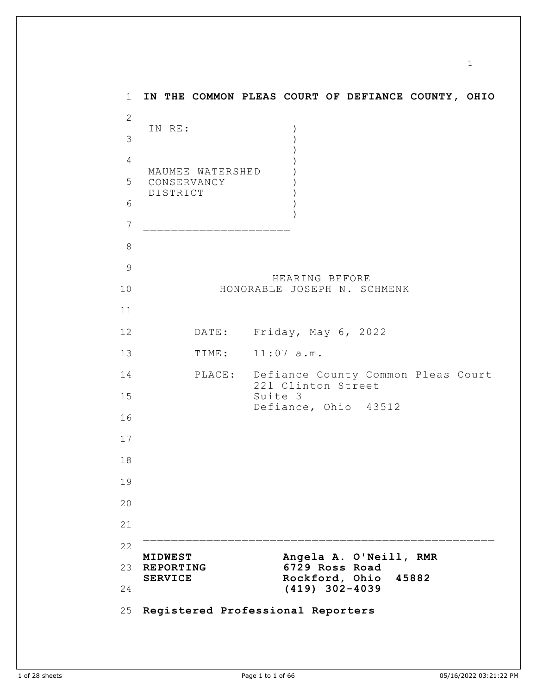1 2 3 4 5 6 7 8 9 10 11 12 13 14 15 16 17 18 19 20 21 22 23 REPORTING 24 25 **Registered Professional Reporters IN THE COMMON PLEAS COURT OF DEFIANCE COUNTY, OHIO** IN RE: MAUMEE WATERSHED CONSERVANCY DISTRICT ) ) ) ) ) ) ) ) )  $\mathcal{L}_\text{max}$ HEARING BEFORE HONORABLE JOSEPH N. SCHMENK DATE: Friday, May 6, 2022 TIME: 11:07 a.m. PLACE: Defiance County Common Pleas Court 221 Clinton Street Suite 3 Defiance, Ohio 43512  $\mathcal{L}_\text{max}$  and the contract of the contract of the contract of the contract of the contract of the contract of the contract of the contract of the contract of the contract of the contract of the contract of the contrac **MIDWEST Angela A. O'Neill, RMR REPORTING 6729 Ross Road SERVICE Rockford, Ohio 45882 (419) 302-4039**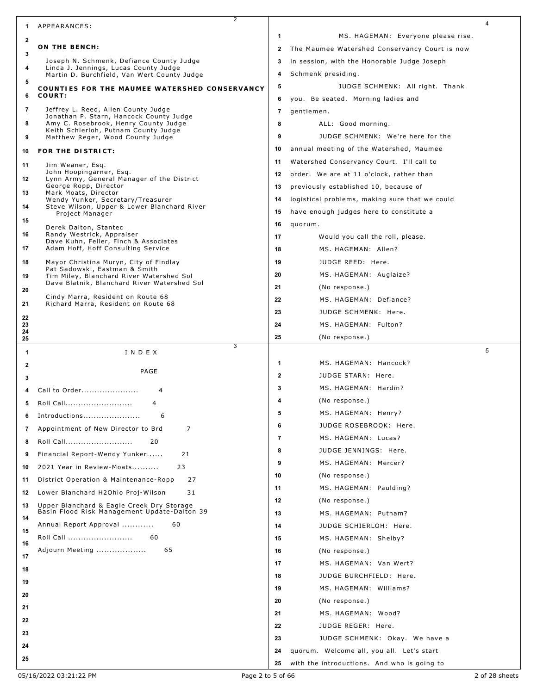|              | 2                                                                                         |                |                                                |   |
|--------------|-------------------------------------------------------------------------------------------|----------------|------------------------------------------------|---|
| 1            | APPEARANCES:                                                                              |                |                                                | 4 |
| 2            | ON THE BENCH:                                                                             | 1              | MS. HAGEMAN: Everyone please rise.             |   |
| 3            |                                                                                           | $\mathbf{2}$   | The Maumee Watershed Conservancy Court is now  |   |
| 4            | Joseph N. Schmenk, Defiance County Judge<br>Linda J. Jennings, Lucas County Judge         | 3              | in session, with the Honorable Judge Joseph    |   |
| 5            | Martin D. Burchfield, Van Wert County Judge                                               | 4              | Schmenk presiding.                             |   |
| 6            | COUNTIES FOR THE MAUMEE WATERSHED CONSERVANCY<br>COURT:                                   | 5              | JUDGE SCHMENK: All right. Thank                |   |
|              |                                                                                           | 6              | you. Be seated. Morning ladies and             |   |
| 7            | Jeffrey L. Reed, Allen County Judge<br>Jonathan P. Starn, Hancock County Judge            | $\overline{7}$ | gentlemen.                                     |   |
| 8            | Amy C. Rosebrook, Henry County Judge<br>Keith Schierloh, Putnam County Judge              | 8              | ALL: Good morning.                             |   |
| 9            | Matthew Reger, Wood County Judge                                                          | 9              | JUDGE SCHMENK: We're here for the              |   |
| 10           | FOR THE DISTRICT:                                                                         | 10             | annual meeting of the Watershed, Maumee        |   |
| 11           | Jim Weaner, Esq.                                                                          | 11             | Watershed Conservancy Court. I'll call to      |   |
| 12           | John Hoopingarner, Esq.<br>Lynn Army, General Manager of the District                     | 12             | order. We are at 11 o'clock, rather than       |   |
| 13           | George Ropp, Director<br>Mark Moats, Director                                             | 13             | previously established 10, because of          |   |
| 14           | Wendy Yunker, Secretary/Treasurer<br>Steve Wilson, Upper & Lower Blanchard River          | 14             | logistical problems, making sure that we could |   |
|              | Project Manager                                                                           | 15             | have enough judges here to constitute a        |   |
| 15           | Derek Dalton, Stantec                                                                     | 16             | quorum.                                        |   |
| 16           | Randy Westrick, Appraiser<br>Dave Kuhn, Feller, Finch & Associates                        | 17             | Would you call the roll, please.               |   |
| 17           | Adam Hoff, Hoff Consulting Service                                                        | 18             | MS. HAGEMAN: Allen?                            |   |
| 18           | Mayor Christina Muryn, City of Findlay                                                    | 19             | JUDGE REED: Here.                              |   |
| 19           | Pat Sadowski, Eastman & Smith<br>Tim Miley, Blanchard River Watershed Sol                 | 20             | MS. HAGEMAN: Auglaize?                         |   |
| 20           | Dave Blatnik, Blanchard River Watershed Sol                                               | 21             | (No response.)                                 |   |
| 21           | Cindy Marra, Resident on Route 68<br>Richard Marra, Resident on Route 68                  | 22             | MS. HAGEMAN: Defiance?                         |   |
|              |                                                                                           | 23             | JUDGE SCHMENK: Here.                           |   |
| 22<br>23     |                                                                                           | 24             | MS. HAGEMAN: Fulton?                           |   |
| 24<br>25     |                                                                                           | 25             | (No response.)                                 |   |
|              |                                                                                           |                |                                                |   |
| 1            | 3<br>INDEX                                                                                |                |                                                | 5 |
| $\mathbf{2}$ |                                                                                           | 1              | MS. HAGEMAN: Hancock?                          |   |
| 3            | PAGE                                                                                      | $\mathbf{2}$   | JUDGE STARN: Here.                             |   |
| 4            | Call to Order<br>4                                                                        | 3              | MS. HAGEMAN: Hardin?                           |   |
| 5            | Roll Call<br>4                                                                            | 4              | (No response.)                                 |   |
|              |                                                                                           | 5              | MS. HAGEMAN: Henry?                            |   |
| 6            | Introductions<br>6                                                                        | 6              | JUDGE ROSEBROOK: Here.                         |   |
| 7            | 7<br>Appointment of New Director to Brd                                                   | $\overline{7}$ | MS. HAGEMAN: Lucas?                            |   |
| 8            | 20<br>Roll Call                                                                           | 8              | JUDGE JENNINGS: Here.                          |   |
| 9            | 21<br>Financial Report-Wendy Yunker                                                       | 9              | MS. HAGEMAN: Mercer?                           |   |
| 10           | 2021 Year in Review-Moats<br>23                                                           | 10             | (No response.)                                 |   |
| 11           | District Operation & Maintenance-Ropp<br>27                                               | 11             | MS. HAGEMAN: Paulding?                         |   |
| 12           | 31<br>Lower Blanchard H2Ohio Proj-Wilson                                                  | 12             | (No response.)                                 |   |
| 13           | Upper Blanchard & Eagle Creek Dry Storage<br>Basin Flood Risk Management Update-Dalton 39 | 13             | MS. HAGEMAN: Putnam?                           |   |
| 14           | Annual Report Approval<br>60                                                              | 14             | JUDGE SCHIERLOH: Here.                         |   |
| 15           | Roll Call<br>60                                                                           | 15             | MS. HAGEMAN: Shelby?                           |   |
| 16           | 65<br>Adjourn Meeting                                                                     | 16             | (No response.)                                 |   |
| 17           |                                                                                           | 17             | MS. HAGEMAN: Van Wert?                         |   |
| 18           |                                                                                           | 18             | JUDGE BURCHFIELD: Here.                        |   |
| 19           |                                                                                           | 19             | MS. HAGEMAN: Williams?                         |   |
| 20           |                                                                                           | 20             | (No response.)                                 |   |
| 21           |                                                                                           | 21             | MS. HAGEMAN: Wood?                             |   |
| 22           |                                                                                           | 22             | JUDGE REGER: Here.                             |   |
| 23           |                                                                                           | 23             | JUDGE SCHMENK: Okay. We have a                 |   |
| 24           |                                                                                           | 24             | quorum. Welcome all, you all. Let's start      |   |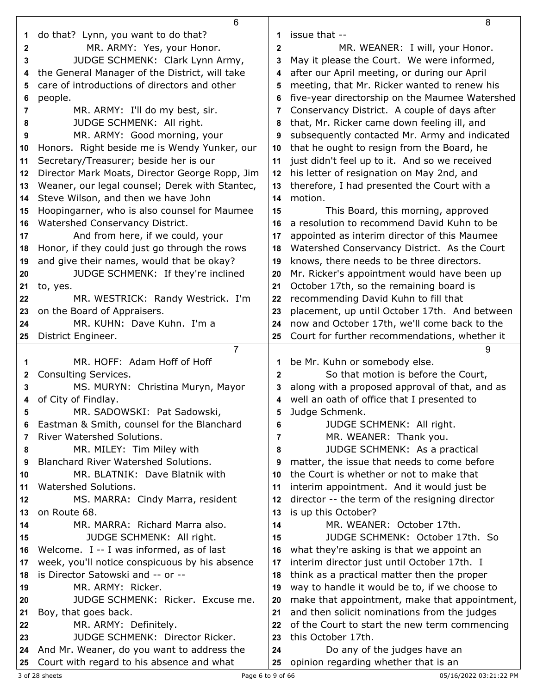|              | 6                                                                               |              | 8                                              |
|--------------|---------------------------------------------------------------------------------|--------------|------------------------------------------------|
| 1            | do that? Lynn, you want to do that?                                             | 1            | issue that --                                  |
| $\mathbf{2}$ | MR. ARMY: Yes, your Honor.                                                      | $\mathbf{2}$ | MR. WEANER: I will, your Honor.                |
| 3            | JUDGE SCHMENK: Clark Lynn Army,                                                 | 3            | May it please the Court. We were informed,     |
| 4            | the General Manager of the District, will take                                  | 4            | after our April meeting, or during our April   |
| 5            | care of introductions of directors and other                                    | 5            | meeting, that Mr. Ricker wanted to renew his   |
| 6            | people.                                                                         | 6            | five-year directorship on the Maumee Watershed |
| 7            | MR. ARMY: I'll do my best, sir.                                                 | 7            | Conservancy District. A couple of days after   |
| 8            | JUDGE SCHMENK: All right.                                                       | 8            | that, Mr. Ricker came down feeling ill, and    |
| 9            | MR. ARMY: Good morning, your                                                    | 9            | subsequently contacted Mr. Army and indicated  |
| 10           | Honors. Right beside me is Wendy Yunker, our                                    | 10           | that he ought to resign from the Board, he     |
| 11           | Secretary/Treasurer; beside her is our                                          | 11           | just didn't feel up to it. And so we received  |
| 12           | Director Mark Moats, Director George Ropp, Jim                                  | 12           | his letter of resignation on May 2nd, and      |
| 13           | Weaner, our legal counsel; Derek with Stantec,                                  | 13           | therefore, I had presented the Court with a    |
| 14           | Steve Wilson, and then we have John                                             | 14           | motion.                                        |
|              |                                                                                 | 15           | This Board, this morning, approved             |
| 15           | Hoopingarner, who is also counsel for Maumee<br>Watershed Conservancy District. |              | a resolution to recommend David Kuhn to be     |
| 16           |                                                                                 | 16           |                                                |
| 17           | And from here, if we could, your                                                | 17           | appointed as interim director of this Maumee   |
| 18           | Honor, if they could just go through the rows                                   | 18           | Watershed Conservancy District. As the Court   |
| 19           | and give their names, would that be okay?                                       | 19           | knows, there needs to be three directors.      |
| 20           | JUDGE SCHMENK: If they're inclined                                              | 20           | Mr. Ricker's appointment would have been up    |
| 21           | to, yes.                                                                        | 21           | October 17th, so the remaining board is        |
| 22           | MR. WESTRICK: Randy Westrick. I'm                                               | 22           | recommending David Kuhn to fill that           |
| 23           | on the Board of Appraisers.                                                     | 23           | placement, up until October 17th. And between  |
| 24           | MR. KUHN: Dave Kuhn. I'm a                                                      | 24           | now and October 17th, we'll come back to the   |
| 25           | District Engineer.                                                              | 25           | Court for further recommendations, whether it  |
|              |                                                                                 |              |                                                |
|              | $\overline{7}$                                                                  |              | 9                                              |
| 1            | MR. HOFF: Adam Hoff of Hoff                                                     | 1            | be Mr. Kuhn or somebody else.                  |
| 2            | Consulting Services.                                                            | $\mathbf{2}$ | So that motion is before the Court,            |
| 3            | MS. MURYN: Christina Muryn, Mayor                                               | 3            | along with a proposed approval of that, and as |
| 4            | of City of Findlay.                                                             | 4            | well an oath of office that I presented to     |
|              | MR. SADOWSKI: Pat Sadowski,                                                     |              | Judge Schmenk.                                 |
| 6            | Eastman & Smith, counsel for the Blanchard                                      | 6            | JUDGE SCHMENK: All right.                      |
| 7            | <b>River Watershed Solutions.</b>                                               | 7            | MR. WEANER: Thank you.                         |
| 8            | MR. MILEY: Tim Miley with                                                       | 8            | JUDGE SCHMENK: As a practical                  |
| 9            | Blanchard River Watershed Solutions.                                            | 9            | matter, the issue that needs to come before    |
| 10           | MR. BLATNIK: Dave Blatnik with                                                  | 10           | the Court is whether or not to make that       |
| 11           | Watershed Solutions.                                                            | 11           | interim appointment. And it would just be      |
| 12           | MS. MARRA: Cindy Marra, resident                                                | 12           | director -- the term of the resigning director |
| 13           | on Route 68.                                                                    | 13           | is up this October?                            |
| 14           | MR. MARRA: Richard Marra also.                                                  | 14           | MR. WEANER: October 17th.                      |
| 15           | JUDGE SCHMENK: All right.                                                       | 15           | JUDGE SCHMENK: October 17th. So                |
| 16           | Welcome. I -- I was informed, as of last                                        | 16           | what they're asking is that we appoint an      |
| 17           | week, you'll notice conspicuous by his absence                                  | 17           | interim director just until October 17th. I    |
| 18           | is Director Satowski and -- or --                                               | 18           | think as a practical matter then the proper    |
| 19           | MR. ARMY: Ricker.                                                               | 19           | way to handle it would be to, if we choose to  |
| 20           | JUDGE SCHMENK: Ricker. Excuse me.                                               | 20           | make that appointment, make that appointment,  |
| 21           | Boy, that goes back.                                                            | 21           | and then solicit nominations from the judges   |
| 22           | MR. ARMY: Definitely.                                                           | 22           | of the Court to start the new term commencing  |
| 23           | JUDGE SCHMENK: Director Ricker.                                                 | 23           | this October 17th.                             |
| 24           | And Mr. Weaner, do you want to address the                                      | 24           | Do any of the judges have an                   |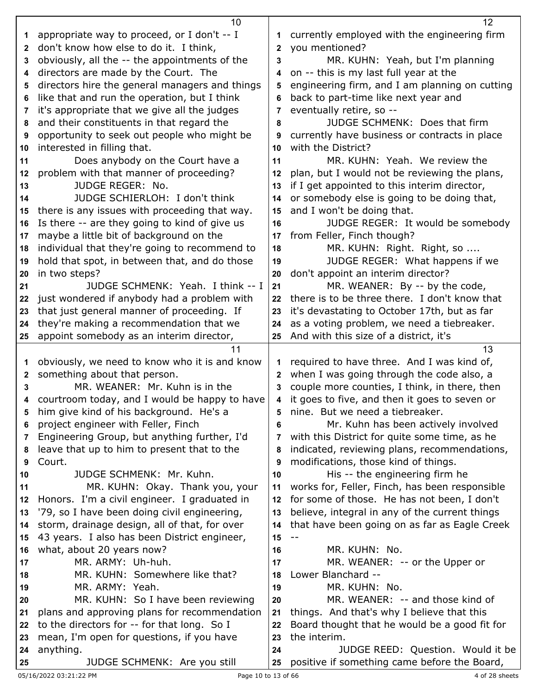|    | 10 <sup>°</sup>                                                                          |              | 12                                             |
|----|------------------------------------------------------------------------------------------|--------------|------------------------------------------------|
| 1  | appropriate way to proceed, or I don't -- I                                              | 1            | currently employed with the engineering firm   |
| 2  | don't know how else to do it. I think,                                                   | 2            | you mentioned?                                 |
| 3  | obviously, all the -- the appointments of the                                            | 3            | MR. KUHN: Yeah, but I'm planning               |
| 4  | directors are made by the Court. The                                                     | 4            | on -- this is my last full year at the         |
| 5  | directors hire the general managers and things                                           | 5            | engineering firm, and I am planning on cutting |
| 6  | like that and run the operation, but I think                                             | 6            | back to part-time like next year and           |
| 7  | it's appropriate that we give all the judges                                             | 7            | eventually retire, so --                       |
| 8  | and their constituents in that regard the                                                | 8            | JUDGE SCHMENK: Does that firm                  |
| 9  | opportunity to seek out people who might be                                              | 9            | currently have business or contracts in place  |
| 10 | interested in filling that.                                                              | 10           | with the District?                             |
| 11 | Does anybody on the Court have a                                                         | 11           | MR. KUHN: Yeah. We review the                  |
| 12 | problem with that manner of proceeding?                                                  | 12           | plan, but I would not be reviewing the plans,  |
| 13 | <b>JUDGE REGER: No.</b>                                                                  | 13           | if I get appointed to this interim director,   |
| 14 | JUDGE SCHIERLOH: I don't think                                                           | 14           | or somebody else is going to be doing that,    |
| 15 | there is any issues with proceeding that way.                                            | 15           | and I won't be doing that.                     |
| 16 | Is there -- are they going to kind of give us                                            | 16           | JUDGE REGER: It would be somebody              |
| 17 | maybe a little bit of background on the                                                  | 17           | from Feller, Finch though?                     |
| 18 | individual that they're going to recommend to                                            | 18           | MR. KUHN: Right. Right, so                     |
| 19 | hold that spot, in between that, and do those                                            | 19           | JUDGE REGER: What happens if we                |
| 20 | in two steps?                                                                            | 20           | don't appoint an interim director?             |
| 21 | JUDGE SCHMENK: Yeah. I think -- I                                                        | 21           | MR. WEANER: By -- by the code,                 |
| 22 | just wondered if anybody had a problem with                                              | 22           | there is to be three there. I don't know that  |
| 23 | that just general manner of proceeding. If                                               | 23           | it's devastating to October 17th, but as far   |
| 24 | they're making a recommendation that we                                                  | 24           | as a voting problem, we need a tiebreaker.     |
| 25 | appoint somebody as an interim director,                                                 | 25           | And with this size of a district, it's         |
|    |                                                                                          |              |                                                |
|    | 11                                                                                       |              | 13                                             |
| 1  | obviously, we need to know who it is and know                                            | 1            | required to have three. And I was kind of,     |
| 2  | something about that person.                                                             | $\mathbf{2}$ | when I was going through the code also, a      |
| 3  | MR. WEANER: Mr. Kuhn is in the                                                           | 3            | couple more counties, I think, in there, then  |
| 4  |                                                                                          | 4            | it goes to five, and then it goes to seven or  |
| 5  | courtroom today, and I would be happy to have<br>him give kind of his background. He's a |              | nine. But we need a tiebreaker.                |
| 6  | project engineer with Feller, Finch                                                      | 6            | Mr. Kuhn has been actively involved            |
| 7  | Engineering Group, but anything further, I'd                                             | 7            | with this District for quite some time, as he  |
| 8  | leave that up to him to present that to the                                              | 8            | indicated, reviewing plans, recommendations,   |
| 9  | Court.                                                                                   | 9            | modifications, those kind of things.           |
| 10 | JUDGE SCHMENK: Mr. Kuhn.                                                                 | 10           | His -- the engineering firm he                 |
| 11 | MR. KUHN: Okay. Thank you, your                                                          | 11           | works for, Feller, Finch, has been responsible |
| 12 | Honors. I'm a civil engineer. I graduated in                                             | 12           | for some of those. He has not been, I don't    |
| 13 | '79, so I have been doing civil engineering,                                             | 13           | believe, integral in any of the current things |
| 14 | storm, drainage design, all of that, for over                                            | 14           | that have been going on as far as Eagle Creek  |
| 15 | 43 years. I also has been District engineer,                                             | 15           | $\overline{\phantom{m}}$                       |
| 16 | what, about 20 years now?                                                                | 16           | MR. KUHN: No.                                  |
| 17 | MR. ARMY: Uh-huh.                                                                        | 17           | MR. WEANER: -- or the Upper or                 |
| 18 | MR. KUHN: Somewhere like that?                                                           | 18           | Lower Blanchard --                             |
| 19 | MR. ARMY: Yeah.                                                                          | 19           | MR. KUHN: No.                                  |
| 20 | MR. KUHN: So I have been reviewing                                                       | 20           | MR. WEANER: -- and those kind of               |
| 21 | plans and approving plans for recommendation                                             | 21           | things. And that's why I believe that this     |
| 22 | to the directors for -- for that long. So I                                              | 22           | Board thought that he would be a good fit for  |
| 23 | mean, I'm open for questions, if you have                                                | 23           | the interim.                                   |
| 24 | anything.                                                                                | 24           | JUDGE REED: Question. Would it be              |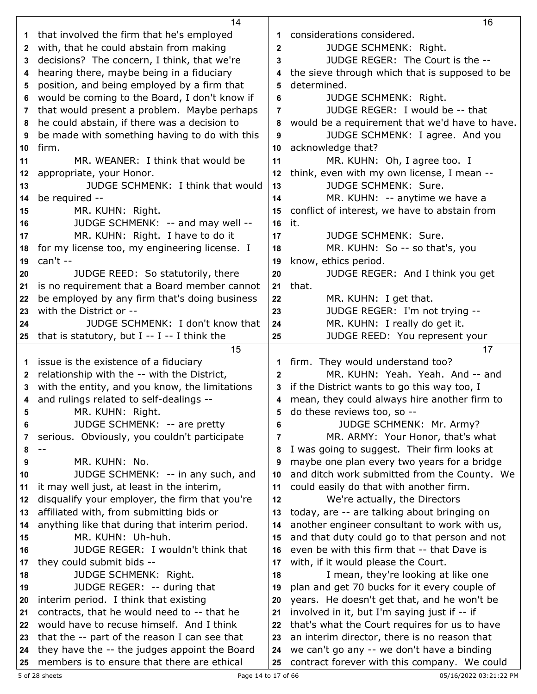|          | 14                                                                                           |                | 16                                                                                         |
|----------|----------------------------------------------------------------------------------------------|----------------|--------------------------------------------------------------------------------------------|
| 1        | that involved the firm that he's employed                                                    | 1              | considerations considered.                                                                 |
| 2        | with, that he could abstain from making                                                      | $\mathbf 2$    | JUDGE SCHMENK: Right.                                                                      |
| 3        | decisions? The concern, I think, that we're                                                  | 3              | JUDGE REGER: The Court is the --                                                           |
| 4        | hearing there, maybe being in a fiduciary                                                    | 4              | the sieve through which that is supposed to be                                             |
| 5        | position, and being employed by a firm that                                                  | 5              | determined.                                                                                |
| 6        | would be coming to the Board, I don't know if                                                | 6              | <b>JUDGE SCHMENK: Right.</b>                                                               |
|          | that would present a problem. Maybe perhaps                                                  | $\overline{7}$ | JUDGE REGER: I would be -- that                                                            |
| 7        | he could abstain, if there was a decision to                                                 |                |                                                                                            |
| 8        |                                                                                              | 8              | would be a requirement that we'd have to have.                                             |
| 9        | be made with something having to do with this                                                | 9              | JUDGE SCHMENK: I agree. And you                                                            |
| 10       | firm.                                                                                        | 10             | acknowledge that?                                                                          |
| 11       | MR. WEANER: I think that would be                                                            | 11             | MR. KUHN: Oh, I agree too. I                                                               |
| 12       | appropriate, your Honor.                                                                     | 12             | think, even with my own license, I mean --                                                 |
| 13       | JUDGE SCHMENK: I think that would                                                            | 13             | <b>JUDGE SCHMENK: Sure.</b>                                                                |
| 14       | be required --                                                                               | 14             | MR. KUHN: -- anytime we have a                                                             |
| 15       | MR. KUHN: Right.                                                                             | 15             | conflict of interest, we have to abstain from                                              |
| 16       | JUDGE SCHMENK: -- and may well --                                                            | 16             | it.                                                                                        |
| 17       | MR. KUHN: Right. I have to do it                                                             | 17             | <b>JUDGE SCHMENK: Sure.</b>                                                                |
| 18       | for my license too, my engineering license. I                                                | 18             | MR. KUHN: So -- so that's, you                                                             |
| 19       | can't --                                                                                     | 19             | know, ethics period.                                                                       |
| 20       | JUDGE REED: So statutorily, there                                                            | 20             | JUDGE REGER: And I think you get                                                           |
| 21       | is no requirement that a Board member cannot                                                 | 21             | that.                                                                                      |
| 22       | be employed by any firm that's doing business                                                | 22             | MR. KUHN: I get that.                                                                      |
| 23       | with the District or --                                                                      | 23             | JUDGE REGER: I'm not trying --                                                             |
| 24       | JUDGE SCHMENK: I don't know that                                                             | 24             | MR. KUHN: I really do get it.                                                              |
| 25       | that is statutory, but $I - I - I$ think the                                                 | 25             | JUDGE REED: You represent your                                                             |
|          |                                                                                              |                |                                                                                            |
|          |                                                                                              |                |                                                                                            |
|          | 15                                                                                           |                | 17                                                                                         |
| 1        | issue is the existence of a fiduciary                                                        | 1              | firm. They would understand too?                                                           |
| 2        | relationship with the -- with the District,                                                  | 2              | MR. KUHN: Yeah. Yeah. And -- and                                                           |
| 3        | with the entity, and you know, the limitations                                               | 3              | if the District wants to go this way too, I                                                |
|          | 4 and rulings related to self-dealings --                                                    | 4              | mean, they could always hire another firm to                                               |
| 5        | MR. KUHN: Right.                                                                             | 5              | do these reviews too, so --                                                                |
| 6        | JUDGE SCHMENK: -- are pretty                                                                 | 6              | JUDGE SCHMENK: Mr. Army?                                                                   |
| 7        | serious. Obviously, you couldn't participate                                                 | 7              | MR. ARMY: Your Honor, that's what                                                          |
| 8        |                                                                                              | 8              | I was going to suggest. Their firm looks at                                                |
| 9        | MR. KUHN: No.                                                                                | 9              | maybe one plan every two years for a bridge                                                |
| 10       | JUDGE SCHMENK: -- in any such, and                                                           | 10             | and ditch work submitted from the County. We                                               |
| 11       | it may well just, at least in the interim,                                                   | 11             | could easily do that with another firm.                                                    |
| 12       | disqualify your employer, the firm that you're                                               | 12             | We're actually, the Directors                                                              |
| 13       | affiliated with, from submitting bids or                                                     | 13             | today, are -- are talking about bringing on                                                |
| 14       | anything like that during that interim period.                                               | 14             | another engineer consultant to work with us,                                               |
| 15       | MR. KUHN: Uh-huh.                                                                            | 15             |                                                                                            |
| 16       |                                                                                              | 16             | and that duty could go to that person and not                                              |
|          | JUDGE REGER: I wouldn't think that                                                           |                | even be with this firm that -- that Dave is                                                |
| 17       | they could submit bids --                                                                    | 17             | with, if it would please the Court.                                                        |
| 18       | <b>JUDGE SCHMENK: Right.</b>                                                                 | 18<br>19       | I mean, they're looking at like one                                                        |
| 19       | JUDGE REGER: -- during that                                                                  |                | plan and get 70 bucks for it every couple of                                               |
| 20       | interim period. I think that existing                                                        | 20             | years. He doesn't get that, and he won't be                                                |
| 21       | contracts, that he would need to -- that he                                                  | 21             | involved in it, but I'm saying just if -- if                                               |
| 22       | would have to recuse himself. And I think                                                    | 22             | that's what the Court requires for us to have                                              |
| 23       | that the -- part of the reason I can see that                                                | 23             | an interim director, there is no reason that                                               |
| 24<br>25 | they have the -- the judges appoint the Board<br>members is to ensure that there are ethical | 24<br>25       | we can't go any -- we don't have a binding<br>contract forever with this company. We could |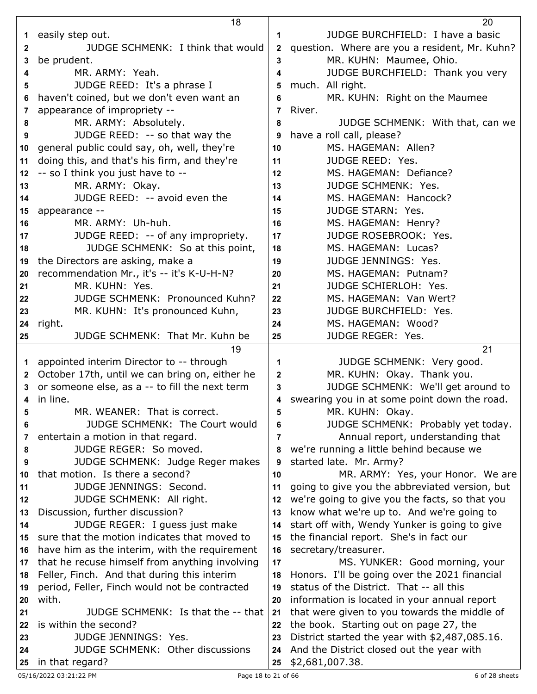|              | 18                                                                             |              | 20                                                                                          |
|--------------|--------------------------------------------------------------------------------|--------------|---------------------------------------------------------------------------------------------|
| 1            | easily step out.                                                               | 1            | JUDGE BURCHFIELD: I have a basic                                                            |
| 2            | JUDGE SCHMENK: I think that would                                              | $\mathbf{2}$ | question. Where are you a resident, Mr. Kuhn?                                               |
| 3            | be prudent.                                                                    | 3            | MR. KUHN: Maumee, Ohio.                                                                     |
| 4            | MR. ARMY: Yeah.                                                                | 4            | JUDGE BURCHFIELD: Thank you very                                                            |
| 5            | JUDGE REED: It's a phrase I                                                    | 5            | much. All right.                                                                            |
| 6            | haven't coined, but we don't even want an                                      | 6            | MR. KUHN: Right on the Maumee                                                               |
| 7            | appearance of impropriety --                                                   | 7            | River.                                                                                      |
| 8            | MR. ARMY: Absolutely.                                                          | 8            | JUDGE SCHMENK: With that, can we                                                            |
| 9            | JUDGE REED: -- so that way the                                                 | 9            | have a roll call, please?                                                                   |
| 10           | general public could say, oh, well, they're                                    | 10           | MS. HAGEMAN: Allen?                                                                         |
| 11           | doing this, and that's his firm, and they're                                   | 11           | JUDGE REED: Yes.                                                                            |
| 12           | -- so I think you just have to --                                              | 12           | MS. HAGEMAN: Defiance?                                                                      |
| 13           | MR. ARMY: Okay.                                                                | 13           | <b>JUDGE SCHMENK: Yes.</b>                                                                  |
| 14           | JUDGE REED: -- avoid even the                                                  | 14           | MS. HAGEMAN: Hancock?                                                                       |
| 15           | appearance --                                                                  | 15           | <b>JUDGE STARN: Yes.</b>                                                                    |
| 16           | MR. ARMY: Uh-huh.                                                              | 16           | MS. HAGEMAN: Henry?                                                                         |
| 17           | JUDGE REED: -- of any impropriety.                                             | 17           | JUDGE ROSEBROOK: Yes.                                                                       |
| 18           | JUDGE SCHMENK: So at this point,                                               | 18           | MS. HAGEMAN: Lucas?                                                                         |
| 19           | the Directors are asking, make a                                               | 19           | JUDGE JENNINGS: Yes.                                                                        |
| 20           | recommendation Mr., it's -- it's K-U-H-N?                                      | 20           | MS. HAGEMAN: Putnam?                                                                        |
| 21           | MR. KUHN: Yes.                                                                 | 21           | JUDGE SCHIERLOH: Yes.                                                                       |
| 22           | <b>JUDGE SCHMENK: Pronounced Kuhn?</b>                                         | 22           | MS. HAGEMAN: Van Wert?                                                                      |
| 23           | MR. KUHN: It's pronounced Kuhn,                                                | 23           | JUDGE BURCHFIELD: Yes.                                                                      |
| 24           | right.                                                                         | 24           | MS. HAGEMAN: Wood?                                                                          |
| 25           | JUDGE SCHMENK: That Mr. Kuhn be                                                | 25           | JUDGE REGER: Yes.                                                                           |
|              | 19                                                                             |              | 21                                                                                          |
| $\mathbf{1}$ | appointed interim Director to -- through                                       | 1            | JUDGE SCHMENK: Very good.                                                                   |
| $\mathbf{2}$ | October 17th, until we can bring on, either he                                 | $\mathbf{2}$ | MR. KUHN: Okay. Thank you.                                                                  |
| 3            | or someone else, as a -- to fill the next term                                 | 3            | JUDGE SCHMENK: We'll get around to                                                          |
|              | 4 in line.                                                                     | 4            | swearing you in at some point down the road.                                                |
| 5            | MR. WEANER: That is correct.                                                   | 5            | MR. KUHN: Okay.                                                                             |
| 6            | <b>JUDGE SCHMENK: The Court would</b>                                          | 6            | JUDGE SCHMENK: Probably yet today.                                                          |
| 7            | entertain a motion in that regard.                                             | 7            | Annual report, understanding that                                                           |
| 8            | JUDGE REGER: So moved.                                                         | 8            | we're running a little behind because we                                                    |
| 9            | JUDGE SCHMENK: Judge Reger makes                                               | 9            | started late. Mr. Army?                                                                     |
| 10           | that motion. Is there a second?<br>JUDGE JENNINGS: Second.                     | 10           | MR. ARMY: Yes, your Honor. We are                                                           |
| 11           |                                                                                | 11           | going to give you the abbreviated version, but                                              |
| 12           | JUDGE SCHMENK: All right.<br>Discussion, further discussion?                   | 12           | we're going to give you the facts, so that you<br>know what we're up to. And we're going to |
| 13           |                                                                                | 13           |                                                                                             |
| 14           | JUDGE REGER: I guess just make<br>sure that the motion indicates that moved to | 14           | start off with, Wendy Yunker is going to give                                               |
| 15           | have him as the interim, with the requirement                                  | 15<br>16     | the financial report. She's in fact our<br>secretary/treasurer.                             |
| 16<br>17     | that he recuse himself from anything involving                                 | 17           | MS. YUNKER: Good morning, your                                                              |
|              | Feller, Finch. And that during this interim                                    | 18           | Honors. I'll be going over the 2021 financial                                               |
| 18           | period, Feller, Finch would not be contracted                                  | 19           | status of the District. That -- all this                                                    |
| 19<br>20     | with.                                                                          | 20           | information is located in your annual report                                                |
| 21           | JUDGE SCHMENK: Is that the -- that                                             | 21           | that were given to you towards the middle of                                                |
| 22           | is within the second?                                                          | 22           | the book. Starting out on page 27, the                                                      |
| 23           | JUDGE JENNINGS: Yes.                                                           | 23           | District started the year with \$2,487,085.16.                                              |
| 24           | <b>JUDGE SCHMENK: Other discussions</b>                                        | 24           | And the District closed out the year with                                                   |
|              | in that regard?                                                                | 25           | \$2,681,007.38.                                                                             |
| 25           |                                                                                |              |                                                                                             |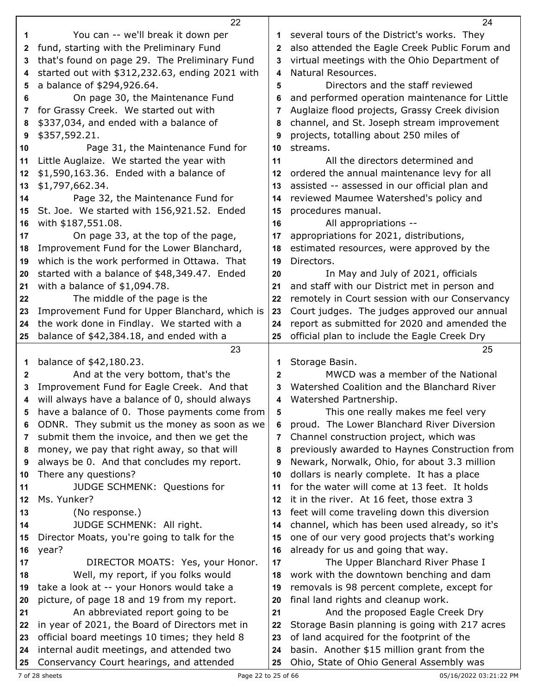|              | 22                                                                                           |              | 24                                                                                     |
|--------------|----------------------------------------------------------------------------------------------|--------------|----------------------------------------------------------------------------------------|
| 1            | You can -- we'll break it down per                                                           | 1            | several tours of the District's works. They                                            |
| 2            | fund, starting with the Preliminary Fund                                                     | 2            | also attended the Eagle Creek Public Forum and                                         |
| 3            | that's found on page 29. The Preliminary Fund                                                | 3            | virtual meetings with the Ohio Department of                                           |
| 4            | started out with \$312,232.63, ending 2021 with                                              | 4            | Natural Resources.                                                                     |
| 5            | a balance of \$294,926.64.                                                                   | 5            | Directors and the staff reviewed                                                       |
| 6            | On page 30, the Maintenance Fund                                                             | 6            | and performed operation maintenance for Little                                         |
| 7            | for Grassy Creek. We started out with                                                        | 7            | Auglaize flood projects, Grassy Creek division                                         |
| 8            | \$337,034, and ended with a balance of                                                       | 8            | channel, and St. Joseph stream improvement                                             |
| 9            | \$357,592.21.                                                                                | 9            | projects, totalling about 250 miles of                                                 |
| 10           | Page 31, the Maintenance Fund for                                                            | 10           | streams.                                                                               |
| 11           | Little Auglaize. We started the year with                                                    | 11           | All the directors determined and                                                       |
| 12           | \$1,590,163.36. Ended with a balance of                                                      | 12           | ordered the annual maintenance levy for all                                            |
| 13           | \$1,797,662.34.                                                                              | 13           | assisted -- assessed in our official plan and                                          |
| 14           | Page 32, the Maintenance Fund for                                                            | 14           | reviewed Maumee Watershed's policy and                                                 |
| 15           | St. Joe. We started with 156,921.52. Ended                                                   | 15           | procedures manual.                                                                     |
| 16           | with \$187,551.08.                                                                           | 16           | All appropriations --                                                                  |
| 17           | On page 33, at the top of the page,                                                          | 17           | appropriations for 2021, distributions,                                                |
| 18           | Improvement Fund for the Lower Blanchard,                                                    | 18           | estimated resources, were approved by the                                              |
| 19           | which is the work performed in Ottawa. That                                                  | 19           | Directors.                                                                             |
| 20           | started with a balance of \$48,349.47. Ended                                                 | 20           | In May and July of 2021, officials                                                     |
| 21           | with a balance of $$1,094.78$ .                                                              | 21           | and staff with our District met in person and                                          |
| 22           | The middle of the page is the                                                                | 22           | remotely in Court session with our Conservancy                                         |
| 23           | Improvement Fund for Upper Blanchard, which is                                               | 23           | Court judges. The judges approved our annual                                           |
| 24           | the work done in Findlay. We started with a                                                  | 24           | report as submitted for 2020 and amended the                                           |
| 25           | balance of \$42,384.18, and ended with a                                                     | 25           | official plan to include the Eagle Creek Dry                                           |
|              |                                                                                              |              |                                                                                        |
|              | 23                                                                                           |              | 25                                                                                     |
| 1            |                                                                                              | 1            | Storage Basin.                                                                         |
| $\mathbf{2}$ | balance of \$42,180.23.<br>And at the very bottom, that's the                                | $\mathbf{2}$ | MWCD was a member of the National                                                      |
| 3            |                                                                                              | 3            | Watershed Coalition and the Blanchard River                                            |
| 4            | Improvement Fund for Eagle Creek. And that<br>will always have a balance of 0, should always | 4            | Watershed Partnership.                                                                 |
| 5            | have a balance of 0. Those payments come from                                                | 5            | This one really makes me feel very                                                     |
| 6            | ODNR. They submit us the money as soon as we                                                 | 6            | proud. The Lower Blanchard River Diversion                                             |
| 7            | submit them the invoice, and then we get the                                                 | 7            | Channel construction project, which was                                                |
| 8            | money, we pay that right away, so that will                                                  | 8            | previously awarded to Haynes Construction from                                         |
| 9            | always be 0. And that concludes my report.                                                   | 9            | Newark, Norwalk, Ohio, for about 3.3 million                                           |
| 10           | There any questions?                                                                         | 10           | dollars is nearly complete. It has a place                                             |
| 11           | JUDGE SCHMENK: Questions for                                                                 | 11           | for the water will come at 13 feet. It holds                                           |
| 12           | Ms. Yunker?                                                                                  | 12           | it in the river. At 16 feet, those extra 3                                             |
| 13           | (No response.)                                                                               | 13           | feet will come traveling down this diversion                                           |
| 14           | JUDGE SCHMENK: All right.                                                                    | 14           | channel, which has been used already, so it's                                          |
| 15           | Director Moats, you're going to talk for the                                                 | 15           | one of our very good projects that's working                                           |
| 16           | year?                                                                                        | 16           | already for us and going that way.                                                     |
| 17           | DIRECTOR MOATS: Yes, your Honor.                                                             | 17           | The Upper Blanchard River Phase I                                                      |
| 18           | Well, my report, if you folks would                                                          | 18           | work with the downtown benching and dam                                                |
| 19           | take a look at -- your Honors would take a                                                   | 19           | removals is 98 percent complete, except for                                            |
| 20           | picture, of page 18 and 19 from my report.                                                   | 20           | final land rights and cleanup work.                                                    |
| 21           | An abbreviated report going to be                                                            | 21           | And the proposed Eagle Creek Dry                                                       |
| 22           | in year of 2021, the Board of Directors met in                                               | 22           | Storage Basin planning is going with 217 acres                                         |
| 23           | official board meetings 10 times; they held 8                                                | 23           | of land acquired for the footprint of the                                              |
| 24           | internal audit meetings, and attended two<br>Conservancy Court hearings, and attended        | 24           | basin. Another \$15 million grant from the<br>Ohio, State of Ohio General Assembly was |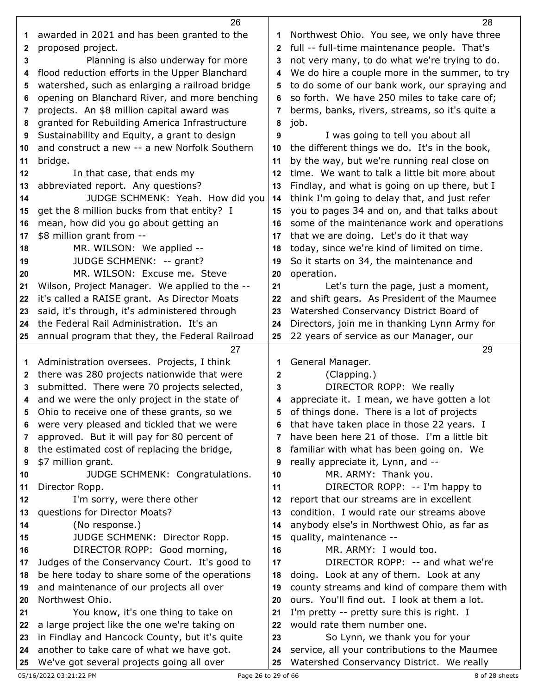|              | 26                                                                                             |              | 28                                                                          |
|--------------|------------------------------------------------------------------------------------------------|--------------|-----------------------------------------------------------------------------|
| 1            | awarded in 2021 and has been granted to the                                                    | 1            | Northwest Ohio. You see, we only have three                                 |
| 2            | proposed project.                                                                              | 2            | full -- full-time maintenance people. That's                                |
| 3            | Planning is also underway for more                                                             | 3            | not very many, to do what we're trying to do.                               |
| 4            | flood reduction efforts in the Upper Blanchard                                                 | 4            | We do hire a couple more in the summer, to try                              |
| 5            | watershed, such as enlarging a railroad bridge                                                 | 5            | to do some of our bank work, our spraying and                               |
| 6            | opening on Blanchard River, and more benching                                                  | 6            | so forth. We have 250 miles to take care of;                                |
| 7            | projects. An \$8 million capital award was                                                     | 7            | berms, banks, rivers, streams, so it's quite a                              |
| 8            | granted for Rebuilding America Infrastructure                                                  | 8            | job.                                                                        |
| 9            | Sustainability and Equity, a grant to design                                                   | 9            | I was going to tell you about all                                           |
| 10           | and construct a new -- a new Norfolk Southern                                                  | 10           | the different things we do. It's in the book,                               |
| 11           | bridge.                                                                                        | 11           | by the way, but we're running real close on                                 |
| 12           | In that case, that ends my                                                                     | 12           | time. We want to talk a little bit more about                               |
| 13           | abbreviated report. Any questions?                                                             | 13           | Findlay, and what is going on up there, but I                               |
| 14           | JUDGE SCHMENK: Yeah. How did you                                                               | 14           | think I'm going to delay that, and just refer                               |
| 15           | get the 8 million bucks from that entity? I                                                    | 15           | you to pages 34 and on, and that talks about                                |
| 16           | mean, how did you go about getting an                                                          | 16           | some of the maintenance work and operations                                 |
| 17           | \$8 million grant from --                                                                      | 17           | that we are doing. Let's do it that way                                     |
| 18           | MR. WILSON: We applied --                                                                      | 18           | today, since we're kind of limited on time.                                 |
| 19           | JUDGE SCHMENK: -- grant?                                                                       | 19           | So it starts on 34, the maintenance and                                     |
| 20           | MR. WILSON: Excuse me. Steve                                                                   | 20           | operation.                                                                  |
| 21           | Wilson, Project Manager. We applied to the --                                                  | 21           | Let's turn the page, just a moment,                                         |
| 22           | it's called a RAISE grant. As Director Moats                                                   | 22           | and shift gears. As President of the Maumee                                 |
| 23           | said, it's through, it's administered through                                                  | 23           | Watershed Conservancy District Board of                                     |
| 24           | the Federal Rail Administration. It's an                                                       | 24           | Directors, join me in thanking Lynn Army for                                |
| 25           | annual program that they, the Federal Railroad                                                 | 25           | 22 years of service as our Manager, our                                     |
|              |                                                                                                |              |                                                                             |
|              |                                                                                                |              |                                                                             |
|              | 27                                                                                             |              | 29                                                                          |
| 1            | Administration oversees. Projects, I think                                                     | 1            | General Manager.                                                            |
| $\mathbf{2}$ | there was 280 projects nationwide that were                                                    | $\mathbf{2}$ | (Clapping.)                                                                 |
| 3            | submitted. There were 70 projects selected,                                                    | 3            | DIRECTOR ROPP: We really                                                    |
| 4            | and we were the only project in the state of                                                   | 4            | appreciate it. I mean, we have gotten a lot                                 |
| 5            | Ohio to receive one of these grants, so we                                                     | 5            | of things done. There is a lot of projects                                  |
| 6            | were very pleased and tickled that we were                                                     | 6            | that have taken place in those 22 years. I                                  |
| 7            | approved. But it will pay for 80 percent of                                                    | 7            | have been here 21 of those. I'm a little bit                                |
| 8            | the estimated cost of replacing the bridge,                                                    | 8            | familiar with what has been going on. We                                    |
| 9            | \$7 million grant.                                                                             | 9            | really appreciate it, Lynn, and --                                          |
| 10           | JUDGE SCHMENK: Congratulations.                                                                | 10           | MR. ARMY: Thank you.                                                        |
| 11<br>12     | Director Ropp.                                                                                 | 11<br>12     | DIRECTOR ROPP: -- I'm happy to                                              |
|              | I'm sorry, were there other                                                                    | 13           | report that our streams are in excellent                                    |
| 13           | questions for Director Moats?                                                                  | 14           | condition. I would rate our streams above                                   |
| 14           | (No response.)                                                                                 | 15           | anybody else's in Northwest Ohio, as far as                                 |
| 15<br>16     | JUDGE SCHMENK: Director Ropp.                                                                  | 16           | quality, maintenance --<br>MR. ARMY: I would too.                           |
| 17           | DIRECTOR ROPP: Good morning,                                                                   | 17           |                                                                             |
| 18           | Judges of the Conservancy Court. It's good to<br>be here today to share some of the operations | 18           | DIRECTOR ROPP: -- and what we're<br>doing. Look at any of them. Look at any |
| 19           |                                                                                                | 19           | county streams and kind of compare them with                                |
| 20           | and maintenance of our projects all over<br>Northwest Ohio.                                    | 20           | ours. You'll find out. I look at them a lot.                                |
| 21           | You know, it's one thing to take on                                                            | 21           | I'm pretty -- pretty sure this is right. I                                  |
| 22           | a large project like the one we're taking on                                                   | 22           | would rate them number one.                                                 |
| 23           | in Findlay and Hancock County, but it's quite                                                  | 23           | So Lynn, we thank you for your                                              |
| 24           | another to take care of what we have got.                                                      | 24           | service, all your contributions to the Maumee                               |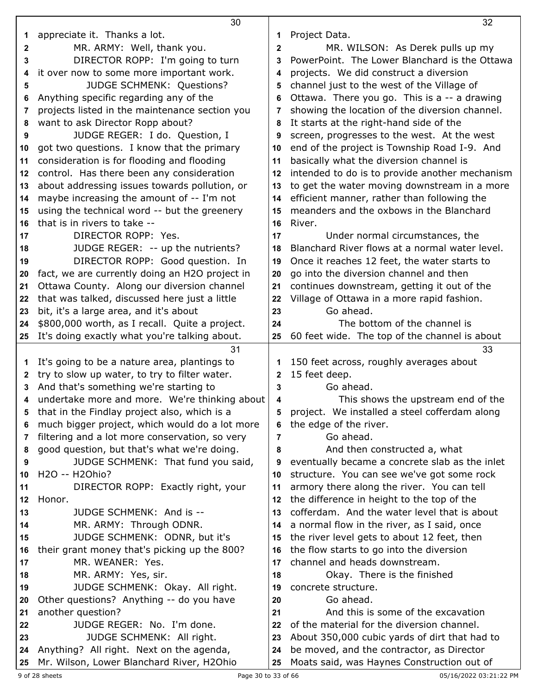|          | 30                                                                                            |                   | 32                                                                                         |
|----------|-----------------------------------------------------------------------------------------------|-------------------|--------------------------------------------------------------------------------------------|
| 1        | appreciate it. Thanks a lot.                                                                  | 1                 | Project Data.                                                                              |
| 2        | MR. ARMY: Well, thank you.                                                                    | $\mathbf 2$       | MR. WILSON: As Derek pulls up my                                                           |
| 3        | DIRECTOR ROPP: I'm going to turn                                                              | 3                 | PowerPoint. The Lower Blanchard is the Ottawa                                              |
| 4        | it over now to some more important work.                                                      | 4                 | projects. We did construct a diversion                                                     |
| 5        | <b>JUDGE SCHMENK: Questions?</b>                                                              | 5                 | channel just to the west of the Village of                                                 |
| 6        | Anything specific regarding any of the                                                        | 6                 | Ottawa. There you go. This is a -- a drawing                                               |
| 7        | projects listed in the maintenance section you                                                | 7                 | showing the location of the diversion channel.                                             |
| 8        | want to ask Director Ropp about?                                                              | 8                 | It starts at the right-hand side of the                                                    |
| 9        | JUDGE REGER: I do. Question, I                                                                | 9                 | screen, progresses to the west. At the west                                                |
| 10       | got two questions. I know that the primary                                                    | 10                | end of the project is Township Road I-9. And                                               |
| 11       | consideration is for flooding and flooding                                                    | 11                | basically what the diversion channel is                                                    |
| 12       | control. Has there been any consideration                                                     | 12                | intended to do is to provide another mechanism                                             |
| 13       | about addressing issues towards pollution, or                                                 | 13                | to get the water moving downstream in a more                                               |
| 14       | maybe increasing the amount of -- I'm not                                                     | 14                | efficient manner, rather than following the                                                |
| 15       | using the technical word -- but the greenery                                                  | 15                | meanders and the oxbows in the Blanchard                                                   |
| 16       | that is in rivers to take --                                                                  | 16                | River.                                                                                     |
| 17       | DIRECTOR ROPP: Yes.                                                                           | 17                | Under normal circumstances, the                                                            |
| 18       | JUDGE REGER: -- up the nutrients?                                                             | 18                | Blanchard River flows at a normal water level.                                             |
| 19       | DIRECTOR ROPP: Good question. In                                                              | 19                | Once it reaches 12 feet, the water starts to                                               |
| 20       | fact, we are currently doing an H2O project in                                                | 20                | go into the diversion channel and then                                                     |
| 21       | Ottawa County. Along our diversion channel                                                    | 21                | continues downstream, getting it out of the                                                |
| 22       | that was talked, discussed here just a little                                                 | 22<br>23          | Village of Ottawa in a more rapid fashion.<br>Go ahead.                                    |
| 23<br>24 | bit, it's a large area, and it's about<br>\$800,000 worth, as I recall. Quite a project.      | 24                | The bottom of the channel is                                                               |
| 25       | It's doing exactly what you're talking about.                                                 | 25                | 60 feet wide. The top of the channel is about                                              |
|          |                                                                                               |                   |                                                                                            |
|          |                                                                                               |                   |                                                                                            |
|          | 31                                                                                            |                   | 33                                                                                         |
| 1        | It's going to be a nature area, plantings to                                                  | 1                 | 150 feet across, roughly averages about                                                    |
| 2<br>3   | try to slow up water, to try to filter water.                                                 | $\mathbf{2}$<br>3 | 15 feet deep.<br>Go ahead.                                                                 |
| 4        | And that's something we're starting to                                                        | 4                 |                                                                                            |
|          | undertake more and more. We're thinking about<br>that in the Findlay project also, which is a |                   | This shows the upstream end of the                                                         |
| 6        | much bigger project, which would do a lot more                                                | 6                 | project. We installed a steel cofferdam along<br>the edge of the river.                    |
| 7        | filtering and a lot more conservation, so very                                                | 7                 | Go ahead.                                                                                  |
| 8        | good question, but that's what we're doing.                                                   | 8                 | And then constructed a, what                                                               |
| 9        | JUDGE SCHMENK: That fund you said,                                                            | 9                 | eventually became a concrete slab as the inlet                                             |
| 10       | H2O -- H2Ohio?                                                                                | 10                | structure. You can see we've got some rock                                                 |
| 11       | DIRECTOR ROPP: Exactly right, your                                                            | 11                | armory there along the river. You can tell                                                 |
| 12       | Honor.                                                                                        | 12                | the difference in height to the top of the                                                 |
| 13       | JUDGE SCHMENK: And is --                                                                      | 13                | cofferdam. And the water level that is about                                               |
| 14       | MR. ARMY: Through ODNR.                                                                       | 14                | a normal flow in the river, as I said, once                                                |
| 15       | JUDGE SCHMENK: ODNR, but it's                                                                 | 15                | the river level gets to about 12 feet, then                                                |
| 16       | their grant money that's picking up the 800?                                                  | 16                | the flow starts to go into the diversion                                                   |
| 17       | MR. WEANER: Yes.                                                                              | 17                | channel and heads downstream.                                                              |
| 18       | MR. ARMY: Yes, sir.                                                                           | 18                | Okay. There is the finished                                                                |
| 19       | JUDGE SCHMENK: Okay. All right.                                                               | 19                | concrete structure.                                                                        |
| 20       | Other questions? Anything -- do you have                                                      | 20                | Go ahead.                                                                                  |
| 21       | another question?                                                                             | 21                | And this is some of the excavation                                                         |
| 22       | JUDGE REGER: No. I'm done.                                                                    | 22                | of the material for the diversion channel.                                                 |
| 23<br>24 | JUDGE SCHMENK: All right.<br>Anything? All right. Next on the agenda,                         | 23<br>24          | About 350,000 cubic yards of dirt that had to<br>be moved, and the contractor, as Director |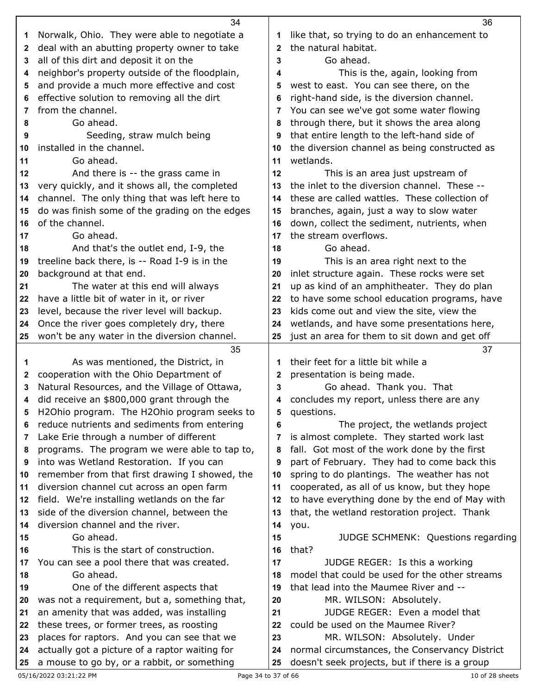|        | 34                                                                                        |              | 36                                                                                           |
|--------|-------------------------------------------------------------------------------------------|--------------|----------------------------------------------------------------------------------------------|
| 1      | Norwalk, Ohio. They were able to negotiate a                                              | 1            | like that, so trying to do an enhancement to                                                 |
| 2      | deal with an abutting property owner to take                                              | $\mathbf{2}$ | the natural habitat.                                                                         |
| 3      | all of this dirt and deposit it on the                                                    | 3            | Go ahead.                                                                                    |
| 4      | neighbor's property outside of the floodplain,                                            | 4            | This is the, again, looking from                                                             |
| 5      | and provide a much more effective and cost                                                | 5            | west to east. You can see there, on the                                                      |
| 6      | effective solution to removing all the dirt                                               | 6            | right-hand side, is the diversion channel.                                                   |
| 7      | from the channel.                                                                         | 7            | You can see we've got some water flowing                                                     |
| 8      | Go ahead.                                                                                 | 8            | through there, but it shows the area along                                                   |
| 9      | Seeding, straw mulch being                                                                | 9            | that entire length to the left-hand side of                                                  |
| 10     | installed in the channel.                                                                 | 10           | the diversion channel as being constructed as                                                |
| 11     | Go ahead.                                                                                 | 11           | wetlands.                                                                                    |
| 12     | And there is -- the grass came in                                                         | 12           | This is an area just upstream of                                                             |
| 13     | very quickly, and it shows all, the completed                                             | 13           | the inlet to the diversion channel. These --                                                 |
| 14     | channel. The only thing that was left here to                                             | 14           | these are called wattles. These collection of                                                |
| 15     | do was finish some of the grading on the edges                                            | 15           | branches, again, just a way to slow water                                                    |
| 16     | of the channel.                                                                           | 16           | down, collect the sediment, nutrients, when                                                  |
| 17     | Go ahead.                                                                                 | 17           | the stream overflows.                                                                        |
| 18     | And that's the outlet end, I-9, the                                                       | 18           | Go ahead.                                                                                    |
| 19     | treeline back there, is -- Road I-9 is in the                                             | 19           | This is an area right next to the                                                            |
| 20     | background at that end.                                                                   | 20           | inlet structure again. These rocks were set                                                  |
| 21     | The water at this end will always                                                         | 21           | up as kind of an amphitheater. They do plan                                                  |
| 22     | have a little bit of water in it, or river                                                | 22           | to have some school education programs, have                                                 |
| 23     | level, because the river level will backup.                                               | 23           | kids come out and view the site, view the                                                    |
| 24     | Once the river goes completely dry, there                                                 | 24           | wetlands, and have some presentations here,                                                  |
|        | won't be any water in the diversion channel.                                              | 25           | just an area for them to sit down and get off                                                |
|        |                                                                                           |              |                                                                                              |
| 25     |                                                                                           |              |                                                                                              |
| 1      | 35                                                                                        | 1            | 37<br>their feet for a little bit while a                                                    |
| 2      | As was mentioned, the District, in                                                        | 2            |                                                                                              |
| 3      | cooperation with the Ohio Department of                                                   | 3            | presentation is being made.                                                                  |
| 4      | Natural Resources, and the Village of Ottawa,                                             | 4            | Go ahead. Thank you. That                                                                    |
|        | did receive an \$800,000 grant through the                                                | 5            | concludes my report, unless there are any                                                    |
| 5<br>6 | H2Ohio program. The H2Ohio program seeks to                                               | 6            | questions.                                                                                   |
| 7      | reduce nutrients and sediments from entering                                              | 7            | The project, the wetlands project                                                            |
| 8      | Lake Erie through a number of different                                                   | 8            | is almost complete. They started work last                                                   |
| 9      | programs. The program we were able to tap to,<br>into was Wetland Restoration. If you can | 9            | fall. Got most of the work done by the first<br>part of February. They had to come back this |
| 10     | remember from that first drawing I showed, the                                            | 10           | spring to do plantings. The weather has not                                                  |
| 11     | diversion channel cut across an open farm                                                 | 11           | cooperated, as all of us know, but they hope                                                 |
| 12     | field. We're installing wetlands on the far                                               | 12           | to have everything done by the end of May with                                               |
| 13     | side of the diversion channel, between the                                                | 13           | that, the wetland restoration project. Thank                                                 |
| 14     | diversion channel and the river.                                                          | 14           | you.                                                                                         |
| 15     | Go ahead.                                                                                 | 15           | JUDGE SCHMENK: Questions regarding                                                           |
| 16     | This is the start of construction.                                                        | 16           | that?                                                                                        |
| 17     | You can see a pool there that was created.                                                | 17           | JUDGE REGER: Is this a working                                                               |
| 18     | Go ahead.                                                                                 | 18           | model that could be used for the other streams                                               |
| 19     | One of the different aspects that                                                         | 19           | that lead into the Maumee River and --                                                       |
| 20     | was not a requirement, but a, something that,                                             | 20           | MR. WILSON: Absolutely.                                                                      |
| 21     | an amenity that was added, was installing                                                 | 21           | JUDGE REGER: Even a model that                                                               |
| 22     | these trees, or former trees, as roosting                                                 | 22           | could be used on the Maumee River?                                                           |
| 23     | places for raptors. And you can see that we                                               | 23           | MR. WILSON: Absolutely. Under                                                                |
| 24     | actually got a picture of a raptor waiting for                                            | 24           | normal circumstances, the Conservancy District                                               |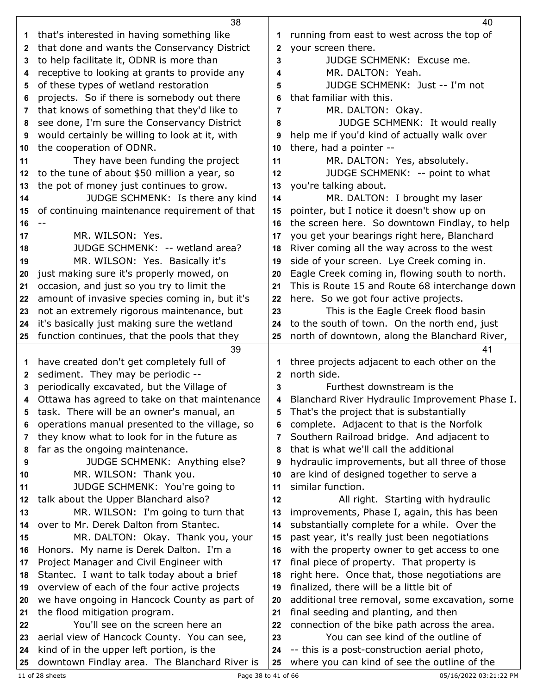|              | 38                                                                                         |          | 40                                                                                           |
|--------------|--------------------------------------------------------------------------------------------|----------|----------------------------------------------------------------------------------------------|
| 1            | that's interested in having something like                                                 | 1        | running from east to west across the top of                                                  |
| $\mathbf{2}$ | that done and wants the Conservancy District                                               | 2        | your screen there.                                                                           |
| 3            | to help facilitate it, ODNR is more than                                                   | 3        | JUDGE SCHMENK: Excuse me.                                                                    |
| 4            | receptive to looking at grants to provide any                                              | 4        | MR. DALTON: Yeah.                                                                            |
| 5            | of these types of wetland restoration                                                      | 5        | JUDGE SCHMENK: Just -- I'm not                                                               |
| 6            | projects. So if there is somebody out there                                                | 6        | that familiar with this.                                                                     |
| 7            | that knows of something that they'd like to                                                | 7        | MR. DALTON: Okay.                                                                            |
| 8            | see done, I'm sure the Conservancy District                                                | 8        | JUDGE SCHMENK: It would really                                                               |
| 9            | would certainly be willing to look at it, with                                             | 9        | help me if you'd kind of actually walk over                                                  |
| 10           | the cooperation of ODNR.                                                                   | 10       | there, had a pointer --                                                                      |
| 11           | They have been funding the project                                                         | 11       | MR. DALTON: Yes, absolutely.                                                                 |
| 12           | to the tune of about \$50 million a year, so                                               | 12       | JUDGE SCHMENK: -- point to what                                                              |
| 13           | the pot of money just continues to grow.                                                   | 13       | you're talking about.                                                                        |
| 14           | JUDGE SCHMENK: Is there any kind                                                           | 14       | MR. DALTON: I brought my laser                                                               |
| 15           | of continuing maintenance requirement of that                                              | 15       | pointer, but I notice it doesn't show up on                                                  |
| 16           |                                                                                            | 16       | the screen here. So downtown Findlay, to help                                                |
| 17           | MR. WILSON: Yes.                                                                           | 17       | you get your bearings right here, Blanchard                                                  |
| 18           | JUDGE SCHMENK: -- wetland area?                                                            | 18       | River coming all the way across to the west                                                  |
| 19           | MR. WILSON: Yes. Basically it's                                                            | 19       | side of your screen. Lye Creek coming in.                                                    |
| 20           | just making sure it's properly mowed, on                                                   | 20       | Eagle Creek coming in, flowing south to north.                                               |
| 21           | occasion, and just so you try to limit the                                                 | 21       | This is Route 15 and Route 68 interchange down                                               |
| 22           | amount of invasive species coming in, but it's                                             | 22       | here. So we got four active projects.                                                        |
| 23           | not an extremely rigorous maintenance, but                                                 | 23       | This is the Eagle Creek flood basin                                                          |
| 24           | it's basically just making sure the wetland                                                | 24       | to the south of town. On the north end, just                                                 |
| 25           | function continues, that the pools that they                                               | 25       | north of downtown, along the Blanchard River,                                                |
|              | 39                                                                                         |          | 41                                                                                           |
|              |                                                                                            |          |                                                                                              |
| 1            | have created don't get completely full of                                                  | 1        | three projects adjacent to each other on the                                                 |
| 2            | sediment. They may be periodic --                                                          | 2        | north side.                                                                                  |
| 3            | periodically excavated, but the Village of                                                 | 3        | Furthest downstream is the                                                                   |
| 4            | Ottawa has agreed to take on that maintenance                                              | 4        | Blanchard River Hydraulic Improvement Phase I.                                               |
| 5            | task. There will be an owner's manual, an                                                  |          | That's the project that is substantially                                                     |
| 6            | operations manual presented to the village, so                                             | 6        | complete. Adjacent to that is the Norfolk                                                    |
| 7            | they know what to look for in the future as                                                | 7        | Southern Railroad bridge. And adjacent to                                                    |
| 8            | far as the ongoing maintenance.                                                            | 8        | that is what we'll call the additional                                                       |
| 9            | JUDGE SCHMENK: Anything else?                                                              | 9        | hydraulic improvements, but all three of those                                               |
| 10           | MR. WILSON: Thank you.                                                                     | 10       | are kind of designed together to serve a                                                     |
| 11           | JUDGE SCHMENK: You're going to                                                             | 11       | similar function.                                                                            |
| 12           | talk about the Upper Blanchard also?                                                       | 12       | All right. Starting with hydraulic                                                           |
| 13           | MR. WILSON: I'm going to turn that                                                         | 13       | improvements, Phase I, again, this has been                                                  |
| 14           | over to Mr. Derek Dalton from Stantec.                                                     | 14       | substantially complete for a while. Over the                                                 |
| 15           | MR. DALTON: Okay. Thank you, your                                                          | 15       | past year, it's really just been negotiations                                                |
| 16           | Honors. My name is Derek Dalton. I'm a                                                     | 16       | with the property owner to get access to one                                                 |
| 17           | Project Manager and Civil Engineer with                                                    | 17       | final piece of property. That property is                                                    |
| 18           | Stantec. I want to talk today about a brief                                                | 18       | right here. Once that, those negotiations are                                                |
| 19           | overview of each of the four active projects                                               | 19       | finalized, there will be a little bit of                                                     |
| 20           | we have ongoing in Hancock County as part of                                               | 20       | additional tree removal, some excavation, some                                               |
| 21           | the flood mitigation program.                                                              | 21       | final seeding and planting, and then                                                         |
| 22           | You'll see on the screen here an                                                           | 22       | connection of the bike path across the area.                                                 |
| 23           | aerial view of Hancock County. You can see,                                                | 23       | You can see kind of the outline of                                                           |
| 24<br>25     | kind of in the upper left portion, is the<br>downtown Findlay area. The Blanchard River is | 24<br>25 | -- this is a post-construction aerial photo,<br>where you can kind of see the outline of the |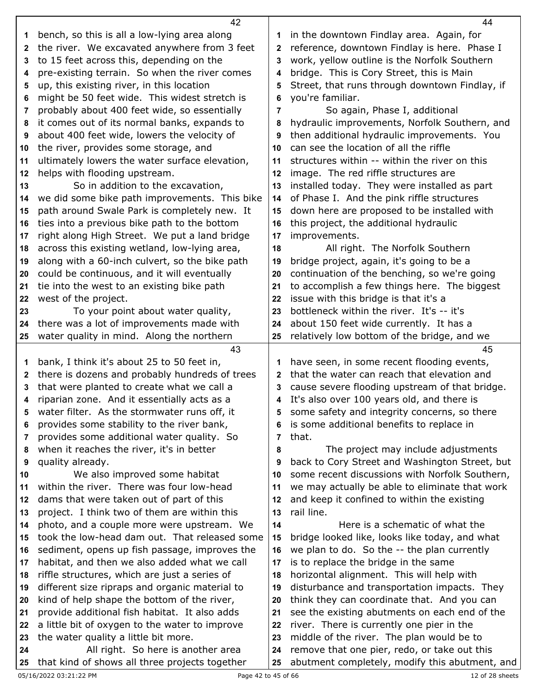|          | 42                                                                                   |              | 44                                                                                             |
|----------|--------------------------------------------------------------------------------------|--------------|------------------------------------------------------------------------------------------------|
| 1        | bench, so this is all a low-lying area along                                         | 1            | in the downtown Findlay area. Again, for                                                       |
| 2        | the river. We excavated anywhere from 3 feet                                         | 2            | reference, downtown Findlay is here. Phase I                                                   |
| 3        | to 15 feet across this, depending on the                                             | 3            | work, yellow outline is the Norfolk Southern                                                   |
| 4        | pre-existing terrain. So when the river comes                                        | 4            | bridge. This is Cory Street, this is Main                                                      |
| 5        | up, this existing river, in this location                                            | 5            | Street, that runs through downtown Findlay, if                                                 |
| 6        | might be 50 feet wide. This widest stretch is                                        | 6            | you're familiar.                                                                               |
| 7        | probably about 400 feet wide, so essentially                                         | 7            | So again, Phase I, additional                                                                  |
| 8        | it comes out of its normal banks, expands to                                         | 8            | hydraulic improvements, Norfolk Southern, and                                                  |
| 9        | about 400 feet wide, lowers the velocity of                                          | 9            | then additional hydraulic improvements. You                                                    |
| 10       | the river, provides some storage, and                                                | 10           | can see the location of all the riffle                                                         |
| 11       | ultimately lowers the water surface elevation,                                       | 11           | structures within -- within the river on this                                                  |
| 12       | helps with flooding upstream.                                                        | 12           | image. The red riffle structures are                                                           |
| 13       | So in addition to the excavation,                                                    | 13           | installed today. They were installed as part                                                   |
| 14       | we did some bike path improvements. This bike                                        | 14           | of Phase I. And the pink riffle structures                                                     |
| 15       | path around Swale Park is completely new. It                                         | 15           | down here are proposed to be installed with                                                    |
| 16       | ties into a previous bike path to the bottom                                         | 16           | this project, the additional hydraulic                                                         |
| 17       | right along High Street. We put a land bridge                                        | 17           | improvements.                                                                                  |
| 18       | across this existing wetland, low-lying area,                                        | 18           | All right. The Norfolk Southern                                                                |
| 19       | along with a 60-inch culvert, so the bike path                                       | 19           | bridge project, again, it's going to be a                                                      |
| 20       | could be continuous, and it will eventually                                          | 20           | continuation of the benching, so we're going                                                   |
| 21       | tie into the west to an existing bike path                                           | 21           | to accomplish a few things here. The biggest                                                   |
| 22       | west of the project.                                                                 | 22           | issue with this bridge is that it's a                                                          |
| 23       | To your point about water quality,                                                   | 23           | bottleneck within the river. It's -- it's                                                      |
| 24       | there was a lot of improvements made with                                            | 24           | about 150 feet wide currently. It has a                                                        |
| 25       | water quality in mind. Along the northern                                            | 25           | relatively low bottom of the bridge, and we                                                    |
|          | 43                                                                                   |              | 45                                                                                             |
|          | bank, I think it's about 25 to 50 feet in,                                           |              |                                                                                                |
| 1        |                                                                                      | 1            | have seen, in some recent flooding events,                                                     |
| 2        | there is dozens and probably hundreds of trees                                       | $\mathbf{2}$ | that the water can reach that elevation and                                                    |
| 3        | that were planted to create what we call a                                           | 3            | cause severe flooding upstream of that bridge.                                                 |
| 4        | riparian zone. And it essentially acts as a                                          | 4            | It's also over 100 years old, and there is                                                     |
|          | water filter. As the stormwater runs off, it                                         |              | some safety and integrity concerns, so there                                                   |
| 6        | provides some stability to the river bank,                                           | 6            | is some additional benefits to replace in                                                      |
| 7        | provides some additional water quality. So                                           | 7            | that.                                                                                          |
| 8        | when it reaches the river, it's in better                                            | 8            | The project may include adjustments                                                            |
| 9        | quality already.                                                                     | 9            | back to Cory Street and Washington Street, but                                                 |
| 10       | We also improved some habitat                                                        | 10           | some recent discussions with Norfolk Southern,                                                 |
| 11       | within the river. There was four low-head                                            | 11           | we may actually be able to eliminate that work                                                 |
| 12       | dams that were taken out of part of this                                             | 12           | and keep it confined to within the existing                                                    |
| 13       | project. I think two of them are within this                                         | 13           | rail line.                                                                                     |
| 14       | photo, and a couple more were upstream. We                                           | 14           | Here is a schematic of what the                                                                |
| 15       | took the low-head dam out. That released some                                        | 15           | bridge looked like, looks like today, and what                                                 |
| 16       | sediment, opens up fish passage, improves the                                        | 16           | we plan to do. So the -- the plan currently                                                    |
| 17       | habitat, and then we also added what we call                                         | 17           | is to replace the bridge in the same                                                           |
| 18       | riffle structures, which are just a series of                                        | 18           | horizontal alignment. This will help with                                                      |
| 19       | different size ripraps and organic material to                                       | 19           | disturbance and transportation impacts. They                                                   |
| 20       | kind of help shape the bottom of the river,                                          | 20           | think they can coordinate that. And you can                                                    |
| 21       | provide additional fish habitat. It also adds                                        | 21           | see the existing abutments on each end of the                                                  |
| 22       | a little bit of oxygen to the water to improve                                       | 22           | river. There is currently one pier in the                                                      |
| 23       | the water quality a little bit more.                                                 | 23           | middle of the river. The plan would be to                                                      |
| 24<br>25 | All right. So here is another area<br>that kind of shows all three projects together | 24<br>25     | remove that one pier, redo, or take out this<br>abutment completely, modify this abutment, and |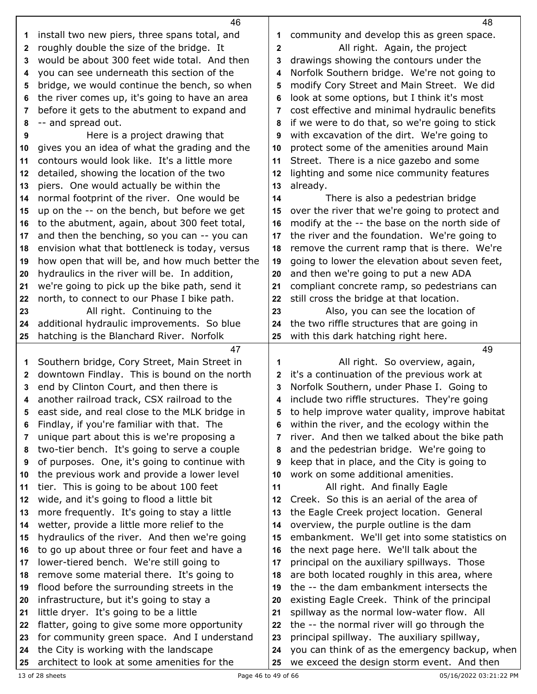|          | 46                                                                                    |             | 48                                                                                           |
|----------|---------------------------------------------------------------------------------------|-------------|----------------------------------------------------------------------------------------------|
| 1        | install two new piers, three spans total, and                                         | 1           | community and develop this as green space.                                                   |
| 2        | roughly double the size of the bridge. It                                             | $\mathbf 2$ | All right. Again, the project                                                                |
| 3        | would be about 300 feet wide total. And then                                          | 3           | drawings showing the contours under the                                                      |
| 4        | you can see underneath this section of the                                            | 4           | Norfolk Southern bridge. We're not going to                                                  |
| 5        | bridge, we would continue the bench, so when                                          | 5           | modify Cory Street and Main Street. We did                                                   |
| 6        | the river comes up, it's going to have an area                                        | 6           | look at some options, but I think it's most                                                  |
| 7        | before it gets to the abutment to expand and                                          | 7           | cost effective and minimal hydraulic benefits                                                |
| 8        | -- and spread out.                                                                    | 8           | if we were to do that, so we're going to stick                                               |
| 9        | Here is a project drawing that                                                        | 9           | with excavation of the dirt. We're going to                                                  |
| 10       | gives you an idea of what the grading and the                                         | 10          | protect some of the amenities around Main                                                    |
| 11       | contours would look like. It's a little more                                          | 11          | Street. There is a nice gazebo and some                                                      |
| 12       | detailed, showing the location of the two                                             | 12          | lighting and some nice community features                                                    |
| 13       | piers. One would actually be within the                                               | 13          | already.                                                                                     |
| 14       | normal footprint of the river. One would be                                           | 14          | There is also a pedestrian bridge                                                            |
| 15       | up on the -- on the bench, but before we get                                          | 15          | over the river that we're going to protect and                                               |
| 16       | to the abutment, again, about 300 feet total,                                         | 16          | modify at the -- the base on the north side of                                               |
| 17       | and then the benching, so you can -- you can                                          | 17          | the river and the foundation. We're going to                                                 |
| 18       | envision what that bottleneck is today, versus                                        | 18          | remove the current ramp that is there. We're                                                 |
| 19       | how open that will be, and how much better the                                        | 19          | going to lower the elevation about seven feet,                                               |
| 20       | hydraulics in the river will be. In addition,                                         | 20          | and then we're going to put a new ADA                                                        |
| 21       | we're going to pick up the bike path, send it                                         | 21          | compliant concrete ramp, so pedestrians can                                                  |
| 22       | north, to connect to our Phase I bike path.                                           | 22          | still cross the bridge at that location.                                                     |
| 23       | All right. Continuing to the                                                          | 23          | Also, you can see the location of                                                            |
| 24       | additional hydraulic improvements. So blue                                            | 24          | the two riffle structures that are going in                                                  |
| 25       | hatching is the Blanchard River. Norfolk                                              | 25          | with this dark hatching right here.                                                          |
|          |                                                                                       |             |                                                                                              |
|          | 47                                                                                    |             | 49                                                                                           |
| 1        | Southern bridge, Cory Street, Main Street in                                          | 1           | All right. So overview, again,                                                               |
| 2        | downtown Findlay. This is bound on the north                                          | 2           | it's a continuation of the previous work at                                                  |
| 3        | end by Clinton Court, and then there is                                               | 3           | Norfolk Southern, under Phase I. Going to                                                    |
| 4        | another railroad track, CSX railroad to the                                           | 4           | include two riffle structures. They're going                                                 |
|          | east side, and real close to the MLK bridge in                                        | 5           | to help improve water quality, improve habitat                                               |
| 6        | Findlay, if you're familiar with that. The                                            | 6           | within the river, and the ecology within the                                                 |
| 7        | unique part about this is we're proposing a                                           | 7           | river. And then we talked about the bike path                                                |
| 8        | two-tier bench. It's going to serve a couple                                          | 8           | and the pedestrian bridge. We're going to                                                    |
| 9        | of purposes. One, it's going to continue with                                         | 9           | keep that in place, and the City is going to                                                 |
| 10       | the previous work and provide a lower level                                           | 10          | work on some additional amenities.                                                           |
| 11       | tier. This is going to be about 100 feet                                              | 11          | All right. And finally Eagle                                                                 |
| 12       | wide, and it's going to flood a little bit                                            | 12          | Creek. So this is an aerial of the area of                                                   |
| 13       | more frequently. It's going to stay a little                                          | 13          | the Eagle Creek project location. General                                                    |
| 14       | wetter, provide a little more relief to the                                           | 14          | overview, the purple outline is the dam                                                      |
| 15       | hydraulics of the river. And then we're going                                         | 15          | embankment. We'll get into some statistics on                                                |
| 16       | to go up about three or four feet and have a                                          | 16          | the next page here. We'll talk about the                                                     |
| 17       | lower-tiered bench. We're still going to                                              | 17          | principal on the auxiliary spillways. Those                                                  |
| 18       | remove some material there. It's going to                                             | 18          | are both located roughly in this area, where                                                 |
| 19       | flood before the surrounding streets in the                                           | 19          | the -- the dam embankment intersects the                                                     |
| 20       | infrastructure, but it's going to stay a                                              | 20          | existing Eagle Creek. Think of the principal                                                 |
| 21       | little dryer. It's going to be a little                                               | 21          | spillway as the normal low-water flow. All                                                   |
| 22       | flatter, going to give some more opportunity                                          | 22          | the -- the normal river will go through the                                                  |
| 23       | for community green space. And I understand                                           | 23          | principal spillway. The auxiliary spillway,                                                  |
| 24<br>25 | the City is working with the landscape<br>architect to look at some amenities for the | 24<br>25    | you can think of as the emergency backup, when<br>we exceed the design storm event. And then |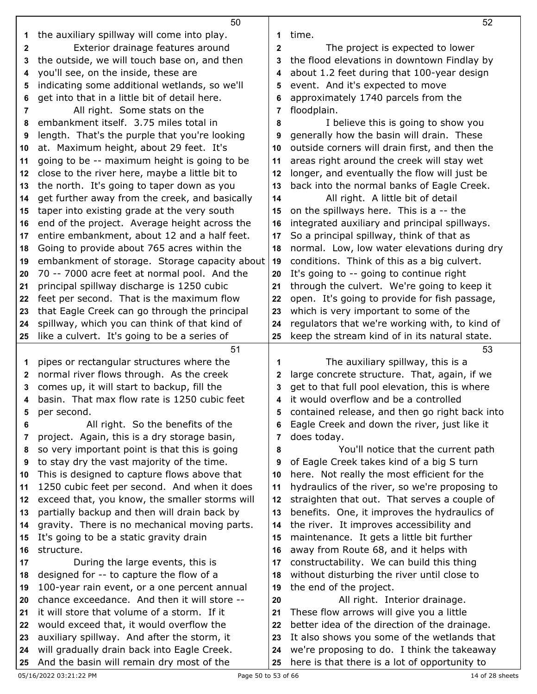|              | 50                                                                                       |              | 52                                                                                           |
|--------------|------------------------------------------------------------------------------------------|--------------|----------------------------------------------------------------------------------------------|
| 1            | the auxiliary spillway will come into play.                                              | 1            | time.                                                                                        |
| $\mathbf{2}$ | Exterior drainage features around                                                        | $\mathbf{2}$ | The project is expected to lower                                                             |
| 3            | the outside, we will touch base on, and then                                             | 3            | the flood elevations in downtown Findlay by                                                  |
| 4            | you'll see, on the inside, these are                                                     | 4            | about 1.2 feet during that 100-year design                                                   |
| 5            | indicating some additional wetlands, so we'll                                            | 5            | event. And it's expected to move                                                             |
| 6            | get into that in a little bit of detail here.                                            | 6            | approximately 1740 parcels from the                                                          |
| 7            | All right. Some stats on the                                                             | 7            | floodplain.                                                                                  |
| 8            | embankment itself. 3.75 miles total in                                                   | 8            | I believe this is going to show you                                                          |
| 9            | length. That's the purple that you're looking                                            | 9            | generally how the basin will drain. These                                                    |
| 10           | at. Maximum height, about 29 feet. It's                                                  | 10           | outside corners will drain first, and then the                                               |
| 11           | going to be -- maximum height is going to be                                             | 11           | areas right around the creek will stay wet                                                   |
| 12           | close to the river here, maybe a little bit to                                           | 12           | longer, and eventually the flow will just be                                                 |
| 13           | the north. It's going to taper down as you                                               | 13           | back into the normal banks of Eagle Creek.                                                   |
| 14           | get further away from the creek, and basically                                           | 14           | All right. A little bit of detail                                                            |
| 15           | taper into existing grade at the very south                                              | 15           | on the spillways here. This is a -- the                                                      |
| 16           | end of the project. Average height across the                                            | 16           | integrated auxiliary and principal spillways.                                                |
| 17           | entire embankment, about 12 and a half feet.                                             | 17           | So a principal spillway, think of that as                                                    |
| 18           | Going to provide about 765 acres within the                                              | 18           | normal. Low, low water elevations during dry                                                 |
| 19           | embankment of storage. Storage capacity about                                            | 19           | conditions. Think of this as a big culvert.                                                  |
| 20           | 70 -- 7000 acre feet at normal pool. And the                                             | 20           | It's going to -- going to continue right                                                     |
| 21           | principal spillway discharge is 1250 cubic                                               | 21           | through the culvert. We're going to keep it                                                  |
| 22           | feet per second. That is the maximum flow                                                | 22           | open. It's going to provide for fish passage,                                                |
| 23           | that Eagle Creek can go through the principal                                            | 23           | which is very important to some of the                                                       |
| 24           | spillway, which you can think of that kind of                                            | 24           | regulators that we're working with, to kind of                                               |
| 25           | like a culvert. It's going to be a series of                                             | 25           | keep the stream kind of in its natural state.                                                |
|              |                                                                                          |              |                                                                                              |
|              | 51                                                                                       |              | 53                                                                                           |
| 1            | pipes or rectangular structures where the                                                | 1            | The auxiliary spillway, this is a                                                            |
| $\mathbf{2}$ | normal river flows through. As the creek                                                 | 2            | large concrete structure. That, again, if we                                                 |
| 3            | comes up, it will start to backup, fill the                                              | 3            | get to that full pool elevation, this is where                                               |
| 4            | basin. That max flow rate is 1250 cubic feet                                             |              | it would overflow and be a controlled                                                        |
|              | per second.                                                                              |              | contained release, and then go right back into                                               |
| 6            | All right. So the benefits of the                                                        | 6            | Eagle Creek and down the river, just like it                                                 |
| 7            | project. Again, this is a dry storage basin,                                             | 7            | does today.                                                                                  |
| 8            | so very important point is that this is going                                            | 8            | You'll notice that the current path                                                          |
| 9            | to stay dry the vast majority of the time.                                               | 9            | of Eagle Creek takes kind of a big S turn                                                    |
| 10           | This is designed to capture flows above that                                             | 10           | here. Not really the most efficient for the                                                  |
| 11           | 1250 cubic feet per second. And when it does                                             | 11           | hydraulics of the river, so we're proposing to                                               |
| 12           | exceed that, you know, the smaller storms will                                           | 12           | straighten that out. That serves a couple of                                                 |
| 13           | partially backup and then will drain back by                                             | 13           | benefits. One, it improves the hydraulics of                                                 |
| 14           | gravity. There is no mechanical moving parts.                                            | 14           | the river. It improves accessibility and                                                     |
| 15           | It's going to be a static gravity drain                                                  | 15           | maintenance. It gets a little bit further                                                    |
| 16           | structure.                                                                               | 16           | away from Route 68, and it helps with                                                        |
| 17           | During the large events, this is                                                         | 17           | constructability. We can build this thing                                                    |
| 18           | designed for -- to capture the flow of a                                                 | 18           | without disturbing the river until close to                                                  |
| 19           | 100-year rain event, or a one percent annual                                             | 19           | the end of the project.                                                                      |
| 20           | chance exceedance. And then it will store --                                             | 20           | All right. Interior drainage.                                                                |
| 21           | it will store that volume of a storm. If it                                              | 21           | These flow arrows will give you a little                                                     |
| 22           | would exceed that, it would overflow the                                                 | 22           | better idea of the direction of the drainage.                                                |
| 23           | auxiliary spillway. And after the storm, it                                              | 23           | It also shows you some of the wetlands that                                                  |
| 24           | will gradually drain back into Eagle Creek.<br>And the basin will remain dry most of the | 24           | we're proposing to do. I think the takeaway<br>here is that there is a lot of opportunity to |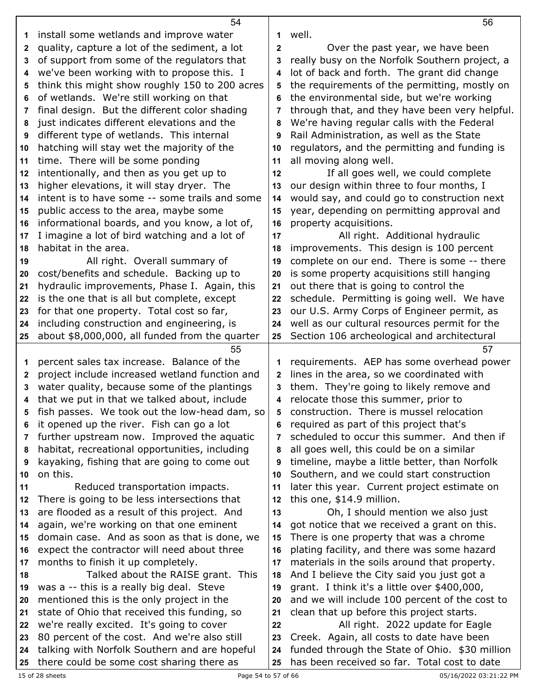|              | 54                                                                                         |              | 56                                                                                             |
|--------------|--------------------------------------------------------------------------------------------|--------------|------------------------------------------------------------------------------------------------|
| 1            | install some wetlands and improve water                                                    | 1            | well.                                                                                          |
| $\mathbf{2}$ | quality, capture a lot of the sediment, a lot                                              | $\mathbf{2}$ | Over the past year, we have been                                                               |
| 3            | of support from some of the regulators that                                                | 3            | really busy on the Norfolk Southern project, a                                                 |
| 4            | we've been working with to propose this. I                                                 | 4            | lot of back and forth. The grant did change                                                    |
| 5            | think this might show roughly 150 to 200 acres                                             | 5            | the requirements of the permitting, mostly on                                                  |
| 6            | of wetlands. We're still working on that                                                   | 6            | the environmental side, but we're working                                                      |
| 7            | final design. But the different color shading                                              | 7            | through that, and they have been very helpful.                                                 |
| 8            | just indicates different elevations and the                                                | 8            | We're having regular calls with the Federal                                                    |
| 9            | different type of wetlands. This internal                                                  | 9            | Rail Administration, as well as the State                                                      |
| 10           | hatching will stay wet the majority of the                                                 | 10           | regulators, and the permitting and funding is                                                  |
| 11           | time. There will be some ponding                                                           | 11           | all moving along well.                                                                         |
| 12           | intentionally, and then as you get up to                                                   | 12           | If all goes well, we could complete                                                            |
| 13           | higher elevations, it will stay dryer. The                                                 | 13           | our design within three to four months, I                                                      |
| 14           | intent is to have some -- some trails and some                                             | 14           | would say, and could go to construction next                                                   |
| 15           | public access to the area, maybe some                                                      | 15           | year, depending on permitting approval and                                                     |
| 16           | informational boards, and you know, a lot of,                                              | 16           | property acquisitions.                                                                         |
| 17           | I imagine a lot of bird watching and a lot of                                              | 17           | All right. Additional hydraulic                                                                |
|              | habitat in the area.                                                                       | 18           | improvements. This design is 100 percent                                                       |
| 18           | All right. Overall summary of                                                              |              | complete on our end. There is some -- there                                                    |
| 19           | cost/benefits and schedule. Backing up to                                                  | 19           | is some property acquisitions still hanging                                                    |
| 20           | hydraulic improvements, Phase I. Again, this                                               | 20           |                                                                                                |
| 21           |                                                                                            | 21           | out there that is going to control the                                                         |
| 22           | is the one that is all but complete, except                                                | 22           | schedule. Permitting is going well. We have                                                    |
| 23           | for that one property. Total cost so far,                                                  | 23           | our U.S. Army Corps of Engineer permit, as                                                     |
| 24<br>25     | including construction and engineering, is                                                 | 24           | well as our cultural resources permit for the                                                  |
|              | about \$8,000,000, all funded from the quarter                                             | 25           | Section 106 archeological and architectural                                                    |
|              |                                                                                            |              |                                                                                                |
|              | 55                                                                                         |              | 57                                                                                             |
| 1            | percent sales tax increase. Balance of the                                                 | 1            | requirements. AEP has some overhead power                                                      |
| 2            | project include increased wetland function and                                             | $\mathbf{2}$ | lines in the area, so we coordinated with                                                      |
| 3            | water quality, because some of the plantings                                               | 3            | them. They're going to likely remove and                                                       |
| 4            | that we put in that we talked about, include                                               | 4            | relocate those this summer, prior to                                                           |
|              | fish passes. We took out the low-head dam, so                                              |              | 5 construction. There is mussel relocation                                                     |
| 6            | it opened up the river. Fish can go a lot                                                  | 6            | required as part of this project that's                                                        |
| 7            | further upstream now. Improved the aquatic                                                 | 7            | scheduled to occur this summer. And then if                                                    |
| 8            | habitat, recreational opportunities, including                                             | 8            | all goes well, this could be on a similar                                                      |
| 9            | kayaking, fishing that are going to come out                                               | 9            | timeline, maybe a little better, than Norfolk                                                  |
| 10           | on this.                                                                                   | 10           | Southern, and we could start construction                                                      |
| 11           | Reduced transportation impacts.                                                            | 11           | later this year. Current project estimate on                                                   |
| 12           | There is going to be less intersections that                                               | 12           | this one, \$14.9 million.                                                                      |
| 13           | are flooded as a result of this project. And                                               | 13           | Oh, I should mention we also just                                                              |
| 14           | again, we're working on that one eminent                                                   | 14           | got notice that we received a grant on this.                                                   |
| 15           | domain case. And as soon as that is done, we                                               | 15           | There is one property that was a chrome                                                        |
| 16           | expect the contractor will need about three                                                | 16           | plating facility, and there was some hazard                                                    |
| 17           | months to finish it up completely.                                                         | 17           | materials in the soils around that property.                                                   |
| 18           | Talked about the RAISE grant. This                                                         | 18           | And I believe the City said you just got a                                                     |
| 19           | was a -- this is a really big deal. Steve                                                  | 19           | grant. I think it's a little over \$400,000,                                                   |
| 20           | mentioned this is the only project in the                                                  | 20           | and we will include 100 percent of the cost to                                                 |
| 21           | state of Ohio that received this funding, so                                               | 21           | clean that up before this project starts.                                                      |
| 22           | we're really excited. It's going to cover                                                  | 22           | All right. 2022 update for Eagle                                                               |
| 23           | 80 percent of the cost. And we're also still                                               | 23           | Creek. Again, all costs to date have been                                                      |
| 24           | talking with Norfolk Southern and are hopeful<br>there could be some cost sharing there as | 24           | funded through the State of Ohio. \$30 million<br>has been received so far. Total cost to date |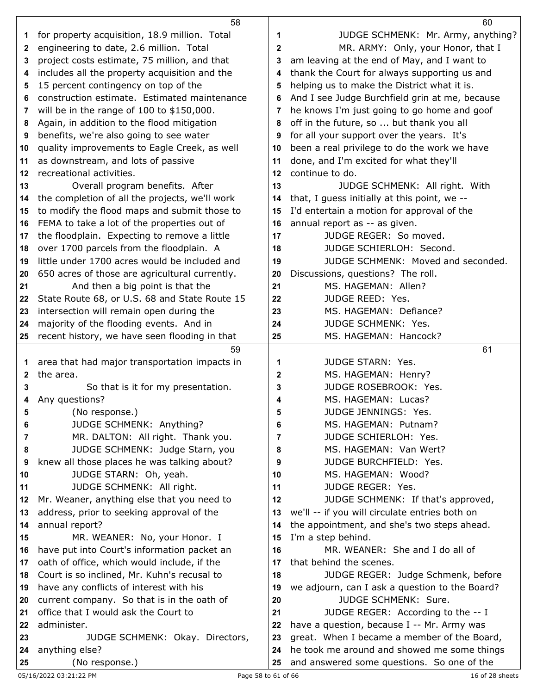|              | 58                                             |                | 60                                             |
|--------------|------------------------------------------------|----------------|------------------------------------------------|
| 1            | for property acquisition, 18.9 million. Total  | 1              | JUDGE SCHMENK: Mr. Army, anything?             |
| 2            | engineering to date, 2.6 million. Total        | $\mathbf{2}$   | MR. ARMY: Only, your Honor, that I             |
| 3            | project costs estimate, 75 million, and that   | 3              | am leaving at the end of May, and I want to    |
| 4            | includes all the property acquisition and the  | 4              | thank the Court for always supporting us and   |
| 5            | 15 percent contingency on top of the           | 5              | helping us to make the District what it is.    |
| 6            | construction estimate. Estimated maintenance   | 6              | And I see Judge Burchfield grin at me, because |
| 7            | will be in the range of $100$ to $$150,000$ .  | 7              | he knows I'm just going to go home and goof    |
| 8            | Again, in addition to the flood mitigation     | 8              | off in the future, so  but thank you all       |
| 9            | benefits, we're also going to see water        | 9              | for all your support over the years. It's      |
| 10           | quality improvements to Eagle Creek, as well   | 10             | been a real privilege to do the work we have   |
| 11           | as downstream, and lots of passive             | 11             | done, and I'm excited for what they'll         |
| $12 \,$      | recreational activities.                       | 12             | continue to do.                                |
| 13           | Overall program benefits. After                | 13             | JUDGE SCHMENK: All right. With                 |
| 14           | the completion of all the projects, we'll work | 14             | that, I guess initially at this point, we --   |
| 15           | to modify the flood maps and submit those to   | 15             | I'd entertain a motion for approval of the     |
| 16           | FEMA to take a lot of the properties out of    | 16             | annual report as -- as given.                  |
| 17           | the floodplain. Expecting to remove a little   | 17             | JUDGE REGER: So moved.                         |
| 18           | over 1700 parcels from the floodplain. A       | 18             | JUDGE SCHIERLOH: Second.                       |
| 19           | little under 1700 acres would be included and  | 19             | JUDGE SCHMENK: Moved and seconded.             |
| 20           | 650 acres of those are agricultural currently. | 20             | Discussions, questions? The roll.              |
| 21           | And then a big point is that the               | 21             | MS. HAGEMAN: Allen?                            |
| 22           | State Route 68, or U.S. 68 and State Route 15  | 22             | JUDGE REED: Yes.                               |
| 23           | intersection will remain open during the       | 23             | MS. HAGEMAN: Defiance?                         |
| 24           | majority of the flooding events. And in        | 24             | JUDGE SCHMENK: Yes.                            |
|              | recent history, we have seen flooding in that  | 25             | MS. HAGEMAN: Hancock?                          |
| 25           |                                                |                |                                                |
|              | 59                                             |                | 61                                             |
| 1            | area that had major transportation impacts in  | 1              | <b>JUDGE STARN: Yes.</b>                       |
| $\mathbf{2}$ | the area.                                      | $\mathbf{2}$   | MS. HAGEMAN: Henry?                            |
| 3            | So that is it for my presentation.             | 3              | JUDGE ROSEBROOK: Yes.                          |
| 4            | Any questions?                                 | 4              | MS. HAGEMAN: Lucas?                            |
| 5            | (No response.)                                 | 5              | JUDGE JENNINGS: Yes.                           |
| 6            | JUDGE SCHMENK: Anything?                       | 6              | MS. HAGEMAN: Putnam?                           |
| 7            | MR. DALTON: All right. Thank you.              | $\overline{7}$ | JUDGE SCHIERLOH: Yes.                          |
| 8            | JUDGE SCHMENK: Judge Starn, you                | 8              | MS. HAGEMAN: Van Wert?                         |
| 9            | knew all those places he was talking about?    | 9              | JUDGE BURCHFIELD: Yes.                         |
| 10           | JUDGE STARN: Oh, yeah.                         | 10             | MS. HAGEMAN: Wood?                             |
| 11           | JUDGE SCHMENK: All right.                      | 11             | JUDGE REGER: Yes.                              |
| 12           | Mr. Weaner, anything else that you need to     | 12             | JUDGE SCHMENK: If that's approved,             |
| 13           | address, prior to seeking approval of the      | 13             | we'll -- if you will circulate entries both on |
| 14           | annual report?                                 | 14             | the appointment, and she's two steps ahead.    |
| 15           | MR. WEANER: No, your Honor. I                  | 15             | I'm a step behind.                             |
| 16           | have put into Court's information packet an    | 16             | MR. WEANER: She and I do all of                |
| 17           | oath of office, which would include, if the    | 17             | that behind the scenes.                        |
| 18           | Court is so inclined, Mr. Kuhn's recusal to    | 18             | JUDGE REGER: Judge Schmenk, before             |
| 19           | have any conflicts of interest with his        | 19             | we adjourn, can I ask a question to the Board? |
| 20           | current company. So that is in the oath of     | 20             | JUDGE SCHMENK: Sure.                           |
| 21           | office that I would ask the Court to           | 21             | JUDGE REGER: According to the -- I             |
| 22           | administer.                                    | 22             | have a question, because I -- Mr. Army was     |
| 23           | JUDGE SCHMENK: Okay. Directors,                | 23             | great. When I became a member of the Board,    |
| 24           | anything else?                                 | 24             | he took me around and showed me some things    |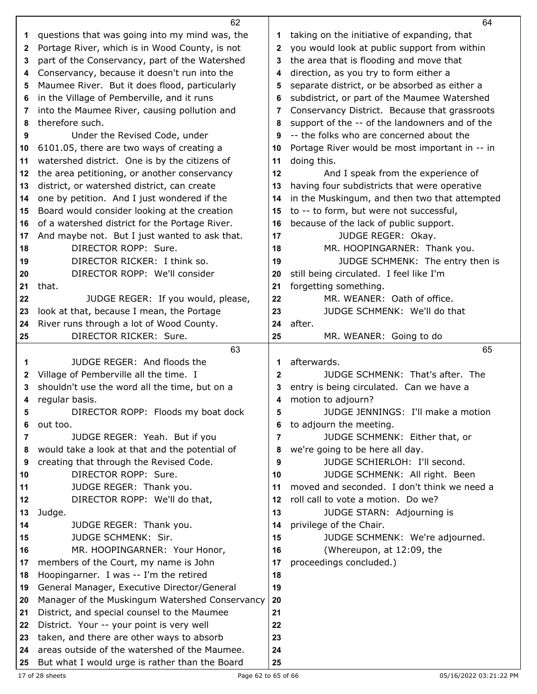|    | 62                                                                                              |          | 64                                             |  |
|----|-------------------------------------------------------------------------------------------------|----------|------------------------------------------------|--|
| 1  | questions that was going into my mind was, the                                                  | 1        | taking on the initiative of expanding, that    |  |
| 2  | Portage River, which is in Wood County, is not                                                  | 2        | you would look at public support from within   |  |
| 3  | part of the Conservancy, part of the Watershed                                                  | 3        | the area that is flooding and move that        |  |
| 4  | Conservancy, because it doesn't run into the                                                    | 4        | direction, as you try to form either a         |  |
| 5  | Maumee River. But it does flood, particularly                                                   | 5        | separate district, or be absorbed as either a  |  |
| 6  | in the Village of Pemberville, and it runs                                                      | 6        | subdistrict, or part of the Maumee Watershed   |  |
| 7  | into the Maumee River, causing pollution and                                                    | 7        | Conservancy District. Because that grassroots  |  |
| 8  | therefore such.                                                                                 | 8        | support of the -- of the landowners and of the |  |
| 9  | Under the Revised Code, under                                                                   | 9        | -- the folks who are concerned about the       |  |
| 10 | 6101.05, there are two ways of creating a                                                       | 10       | Portage River would be most important in -- in |  |
| 11 | watershed district. One is by the citizens of                                                   | 11       | doing this.                                    |  |
| 12 | the area petitioning, or another conservancy                                                    | 12       | And I speak from the experience of             |  |
| 13 | district, or watershed district, can create                                                     | 13       | having four subdistricts that were operative   |  |
| 14 | one by petition. And I just wondered if the                                                     | 14       | in the Muskingum, and then two that attempted  |  |
| 15 | Board would consider looking at the creation                                                    | 15       | to -- to form, but were not successful,        |  |
| 16 | of a watershed district for the Portage River.                                                  | 16       | because of the lack of public support.         |  |
| 17 | And maybe not. But I just wanted to ask that.                                                   | 17       | JUDGE REGER: Okay.                             |  |
| 18 | DIRECTOR ROPP: Sure.                                                                            | 18       | MR. HOOPINGARNER: Thank you.                   |  |
| 19 | DIRECTOR RICKER: I think so.                                                                    | 19       | JUDGE SCHMENK: The entry then is               |  |
| 20 | DIRECTOR ROPP: We'll consider                                                                   | 20       | still being circulated. I feel like I'm        |  |
| 21 | that.                                                                                           | 21       | forgetting something.                          |  |
| 22 | JUDGE REGER: If you would, please,                                                              | 22       | MR. WEANER: Oath of office.                    |  |
| 23 | look at that, because I mean, the Portage                                                       | 23       | JUDGE SCHMENK: We'll do that                   |  |
| 24 | River runs through a lot of Wood County.                                                        | 24       | after.                                         |  |
| 25 | DIRECTOR RICKER: Sure.                                                                          | 25       | MR. WEANER: Going to do                        |  |
|    |                                                                                                 |          |                                                |  |
|    | 63                                                                                              |          | 65                                             |  |
| 1  | JUDGE REGER: And floods the                                                                     | 1        | afterwards.                                    |  |
| 2  | Village of Pemberville all the time. I                                                          | 2        | JUDGE SCHMENK: That's after. The               |  |
| 3  | shouldn't use the word all the time, but on a                                                   | 3        | entry is being circulated. Can we have a       |  |
| 4  | regular basis.                                                                                  | 4        | motion to adjourn?                             |  |
| 5  | DIRECTOR ROPP: Floods my boat dock                                                              | 5        | JUDGE JENNINGS: I'll make a motion             |  |
| 6  | out too.                                                                                        | 6        | to adjourn the meeting.                        |  |
| 7  | JUDGE REGER: Yeah. But if you                                                                   | 7        | JUDGE SCHMENK: Either that, or                 |  |
| 8  | would take a look at that and the potential of                                                  | 8        | we're going to be here all day.                |  |
| 9  | creating that through the Revised Code.                                                         | 9        | JUDGE SCHIERLOH: I'll second.                  |  |
| 10 | DIRECTOR ROPP: Sure.                                                                            | 10       | JUDGE SCHMENK: All right. Been                 |  |
| 11 | JUDGE REGER: Thank you.                                                                         | 11       | moved and seconded. I don't think we need a    |  |
| 12 | DIRECTOR ROPP: We'll do that,                                                                   | 12       | roll call to vote a motion. Do we?             |  |
| 13 | Judge.                                                                                          | 13       | JUDGE STARN: Adjourning is                     |  |
| 14 | JUDGE REGER: Thank you.                                                                         | 14       | privilege of the Chair.                        |  |
| 15 | JUDGE SCHMENK: Sir.                                                                             | 15       | JUDGE SCHMENK: We're adjourned.                |  |
| 16 | MR. HOOPINGARNER: Your Honor,                                                                   | 16       | (Whereupon, at 12:09, the                      |  |
| 17 | members of the Court, my name is John                                                           | 17       | proceedings concluded.)                        |  |
| 18 | Hoopingarner. I was -- I'm the retired                                                          | 18       |                                                |  |
| 19 | General Manager, Executive Director/General                                                     | 19       |                                                |  |
| 20 | Manager of the Muskingum Watershed Conservancy                                                  | 20       |                                                |  |
| 21 | District, and special counsel to the Maumee                                                     | 21       |                                                |  |
| 22 | District. Your -- your point is very well                                                       | 22       |                                                |  |
| 23 | taken, and there are other ways to absorb                                                       | 23       |                                                |  |
| 24 | areas outside of the watershed of the Maumee.<br>But what I would urge is rather than the Board | 24<br>25 |                                                |  |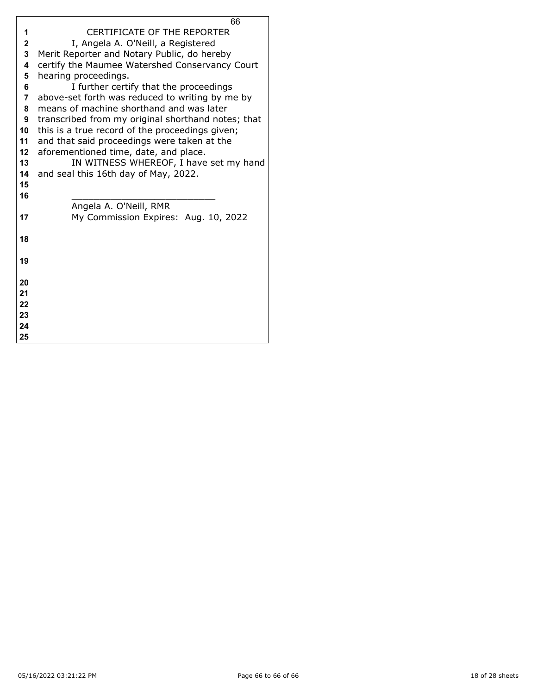|                         | 66                                                 |
|-------------------------|----------------------------------------------------|
| 1                       | <b>CERTIFICATE OF THE REPORTER</b>                 |
| $\overline{\mathbf{2}}$ | I, Angela A. O'Neill, a Registered                 |
| $\overline{\mathbf{3}}$ | Merit Reporter and Notary Public, do hereby        |
| 4                       | certify the Maumee Watershed Conservancy Court     |
| 5                       | hearing proceedings.                               |
| 6                       | I further certify that the proceedings             |
| $\overline{7}$          | above-set forth was reduced to writing by me by    |
| 8                       | means of machine shorthand and was later           |
| 9                       | transcribed from my original shorthand notes; that |
| 10                      | this is a true record of the proceedings given;    |
| 11                      | and that said proceedings were taken at the        |
| 12                      | aforementioned time, date, and place.              |
| 13                      | IN WITNESS WHEREOF, I have set my hand             |
| 14                      | and seal this 16th day of May, 2022.               |
| 15                      |                                                    |
| 16                      |                                                    |
|                         | Angela A. O'Neill, RMR                             |
| 17                      | My Commission Expires: Aug. 10, 2022               |
|                         |                                                    |
| 18                      |                                                    |
|                         |                                                    |
| 19                      |                                                    |
|                         |                                                    |
| 20                      |                                                    |
| 21                      |                                                    |
| 22                      |                                                    |
| 23                      |                                                    |
| 24                      |                                                    |
| 25                      |                                                    |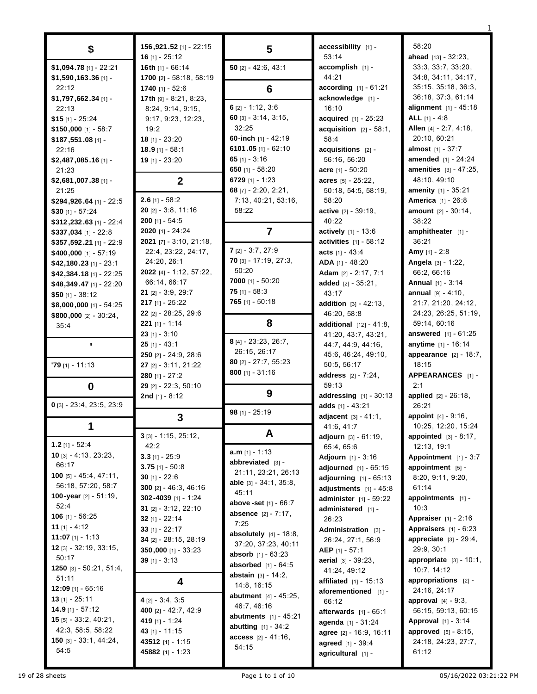|                                    |                                               |                                   |                                   | 58:20                                         |
|------------------------------------|-----------------------------------------------|-----------------------------------|-----------------------------------|-----------------------------------------------|
| \$                                 | 156, 921. 52 [1] - 22: 15<br>16 $[1] - 25:12$ | $\overline{\mathbf{5}}$           | accessibility [1] -<br>53:14      | ahead $[13] - 32:23$ ,                        |
| \$1,094.78 [1] - 22:21             | 16th [1] - 66:14                              | 50 $[2] - 42:6, 43:1$             | accomplish [1] -                  | 33:3, 33:7, 33:20,                            |
| \$1,590,163.36 [1] -               | 1700 [2] - 58:18, 58:19                       |                                   | 44:21                             | 34:8, 34:11, 34:17,                           |
| 22:12                              | 1740 [1] - 52:6                               | 6                                 | <b>according</b> $[1] - 61:21$    | 35:15, 35:18, 36:3,                           |
| \$1,797,662.34 [1] -               | 17th [9] - 8:21, 8:23,                        |                                   | acknowledge [1] -                 | 36:18, 37:3, 61:14                            |
| 22:13                              | 8:24, 9:14, 9:15,                             | $6$ [2] - 1:12, 3:6               | 16:10                             | alignment [1] - 45:18                         |
| $$15$ [1] - 25:24                  | 9:17, 9:23, 12:23,                            | 60 $[3] - 3.14, 3.15,$            | acquired [1] - 25:23              | ALL $[1] - 4:8$                               |
| \$150,000 [1] - 58:7               | 19:2                                          | 32:25                             | $acquisition$ [2] - 58:1,         | Allen [4] - 2:7, 4:18,                        |
| \$187,551.08 [1] -                 | $18$ [1] - 23:20                              | 60-inch [1] - 42:19               | 58:4                              | 20:10, 60:21                                  |
| 22:16                              | $18.9$ [1] - 58:1                             | 6101.05 [1] - 62:10               | $acquisitions$ [2] -              | <b>almost</b> $[1] - 37:7$                    |
| \$2,487,085.16 [1] -               | 19 [1] - 23:20                                | 65 $[1] - 3:16$                   | 56:16, 56:20                      | <b>amended</b> [1] - 24:24                    |
| 21:23                              |                                               | 650 [1] - 58:20                   | acre [1] - 50:20                  | amenities [3] - 47:25,                        |
| \$2,681,007.38 [1] -               | $\boldsymbol{2}$                              | 6729 [1] - 1:23                   | acres $[5] - 25:22$ ,             | 48:10, 49:10                                  |
| 21:25                              |                                               | 68 $[7] - 2:20, 2:21,$            | 50:18, 54:5, 58:19,               | amenity [1] - 35:21                           |
| \$294,926.64 [1] - 22:5            | $2.6$ [1] - 58:2                              | 7:13, 40:21, 53:16,               | 58:20                             | <b>America</b> [1] - 26:8                     |
| $$30$ [1] - 57:24                  | $20$ [2] - 3:8, 11:16                         | 58:22                             | active [2] - 39:19,               | amount [2] - 30:14,                           |
| \$312,232.63 [1] - 22:4            | $200$ [1] - 54:5                              |                                   | 40:22                             | 38:22                                         |
| \$337,034 [1] - 22:8               | 2020 [1] - 24:24                              | $\overline{7}$                    | actively [1] - 13:6               | amphitheater $[1]$ -                          |
| \$357,592.21 [1] - 22:9            | <b>2021</b> $[7] - 3:10, 21:18,$              |                                   | activities $[1] - 58:12$          | 36:21                                         |
| $$400,000$ [1] - 57:19             | 22.4, 23.22, 24:17,                           | $7$ [2] - 3:7, 27:9               | acts $[1] - 43:4$                 | Amy [1] - 2:8                                 |
| $$42,180.23$ [1] - 23:1            | 24:20, 26:1                                   | 70 [3] - 17:19, 27:3,             | ADA [1] - 48:20                   | Angela [3] - 1:22,                            |
| \$42,384.18 [1] - 22:25            | 2022 [4] - 1:12, 57:22,                       | 50:20                             | Adam [2] - 2:17, 7:1              | 66:2, 66:16                                   |
| \$48,349.47 [1] - 22:20            | 66:14, 66:17                                  | 7000 [1] - $50:20$                | added $[2] - 35:21$ ,             | <b>Annual</b> [1] - 3:14                      |
| $$50$ [1] - 38:12                  | $21$ [2] - 3:9, 29:7                          | 75 [1] - 58:3                     | 43:17                             | <b>annual</b> $[9] - 4:10$ ,                  |
| $$8,000,000$ [1] - 54:25           | $217$ [1] - 25:22                             | 765 [1] - 50:18                   | <b>addition</b> $[3] - 42:13$ ,   | 21:7, 21:20, 24:12,                           |
| \$800,000 [2] - 30:24,             | 22 [2] - 28:25, 29:6                          |                                   | 46:20, 58:8                       | 24:23, 26:25, 51:19,                          |
| 35:4                               | <b>221</b> [1] - 1:14                         | 8                                 | <b>additional</b> $[12] - 41:8$ , | 59:14, 60:16                                  |
|                                    | $23$ [1] - 3:10                               | 8 [4] - 23:23, 26:7,              | 41:20, 43:7, 43:21,               | answered [1] - 61:25                          |
| $\blacksquare$                     | $25$ [1] - 43:1                               | 26:15, 26:17                      | 44: 7, 44: 9, 44: 16,             | anytime [1] - 16:14                           |
|                                    | <b>250</b> $[2] - 24:9, 28:6$                 | 80 [2] - 27:7, 55:23              | 45:6, 46:24, 49:10,               | <b>appearance</b> $[2] - 18:7$ ,              |
| $'79$ [1] - 11:13                  | 27 [2] - 3:11, 21:22                          | $800$ [1] - 31:16                 | 50:5, 56:17                       | 18:15                                         |
|                                    | 280 [1] - $27:2$                              |                                   | address [2] - 7:24,<br>59:13      | APPEARANCES [1] -<br>2:1                      |
| $\mathbf 0$                        | 29 [2] - 22:3, 50:10<br>2nd $[1] - 8:12$      | 9                                 | <b>addressing</b> $[1] - 30:13$   | applied [2] - 26:18,                          |
| $0$ [3] - 23:4, 23:5, 23:9         |                                               |                                   | adds $[1] - 43:21$                | 26:21                                         |
|                                    | 3                                             | 98 [1] - 25:19                    | adjacent [3] - 41:1,              | appoint [4] - 9:16,                           |
|                                    |                                               |                                   | 41:6, 41:7                        | 10:25, 12:20, 15:24                           |
|                                    | $3$ [3] - 1:15, 25:12,                        | A                                 | adjourn [3] - 61:19,              | <b>appointed</b> $[3] - 8:17$ ,               |
| $1.2$ [1] - 52:4                   | 42:2                                          |                                   | 65:4, 65:6                        | 12:13, 19:1                                   |
| <b>10</b> $[3] - 4:13$ , $23:23$ , | $3.3$ [1] - 25:9                              | $a.m$ [1] - 1:13                  | <b>Adjourn</b> $[1] - 3:16$       | Appointment [1] - 3:7                         |
| 66:17                              | $3.75$ [1] - 50:8                             | abbreviated [3] -                 | adjourned [1] - 65:15             | appointment [5] -                             |
| <b>100</b> [5] - 45:4, 47:11,      | 30 $[1] - 22:6$                               | 21:11, 23:21, 26:13               | <b>adjourning</b> $[1] - 65:13$   | 8:20, 9:11, 9:20,                             |
| 56:18, 57:20, 58:7                 | 300 [2] - 46:3, 46:16                         | able $[3] - 34:1, 35:8,$<br>45:11 | adjustments $[1] - 45:8$          | 61:14                                         |
| 100-year [2] - 51:19,              | 302-4039 [1] - 1:24                           | above -set [1] - 66:7             | <b>administer</b> $[1] - 59:22$   | appointments [1] -                            |
| 52:4                               | 31 $[2] - 3:12, 22:10$                        | absence [2] - 7:17,               | administered [1] -                | 10:3                                          |
| <b>106</b> [1] - 56:25             | 32 $[1] - 22:14$                              | 7:25                              | 26:23                             | <b>Appraiser</b> $[1] - 2.16$                 |
| 11 $[1] - 4:12$                    | 33 $[1] - 22:17$                              | <b>absolutely</b> $[4] - 18.8$ ,  | Administration [3] -              | Appraisers [1] - 6:23                         |
| 11:07 [1] - 1:13                   | 34 [2] - 28:15, 28:19                         | 37:20, 37:23, 40:11               | 26:24, 27:1, 56:9                 | appreciate $[3] - 29:4$ ,                     |
| $12$ [3] - 32:19, 33:15,           | $350,000$ [1] - $33:23$                       | <b>absorb</b> $[1] - 63:23$       | AEP $[1] - 57:1$                  | 29:9, 30:1                                    |
| 50:17<br>1250 [3] - 50:21, 51:4,   | 39 [1] - $3:13$                               | <b>absorbed</b> $[1] - 64:5$      | aerial [3] - 39:23,               | appropriate $[3] - 10:1$ ,                    |
| 51:11                              |                                               | abstain [3] - 14:2,               | 41:24, 49:12                      | 10:7, 14:12                                   |
| <b>12:09</b> [1] - 65:16           | 4                                             | 14:8, 16:15                       | affiliated [1] - 15:13            | appropriations [2] -                          |
| $13$ [1] - 25:11                   | $4$ [2] - 3:4, 3:5                            | abutment [4] - 45:25,             | aforementioned [1] -              | 24:16, 24:17<br><b>approval</b> $[4] - 9:3$ , |
| $14.9$ [1] - 57:12                 | 400 [2] - 42:7, 42:9                          | 46:7, 46:16                       | 66:12<br>afterwards $[1] - 65:1$  | 56:15, 59:13, 60:15                           |
| <b>15</b> $[5]$ - 33:2, 40:21,     | 419 [1] - 1:24                                | <b>abutments</b> $[1] - 45:21$    | agenda [1] - 31:24                | <b>Approval</b> $[1] - 3:14$                  |
| 42:3, 58:5, 58:22                  | 43 [1] - 11:15                                | <b>abutting</b> $[1] - 34:2$      | agree [2] - 16:9, 16:11           | <b>approved</b> $[5] - 8:15$ ,                |
| <b>150</b> [3] - 33:1, 44:24,      | 43512 [1] - 1:15                              | access [2] - 41:16,               | agreed [1] - 39:4                 | 24:18, 24:23, 27:7,                           |
| 54:5                               | 45882 [1] - 1:23                              | 54:15                             | agricultural [1] -                | 61:12                                         |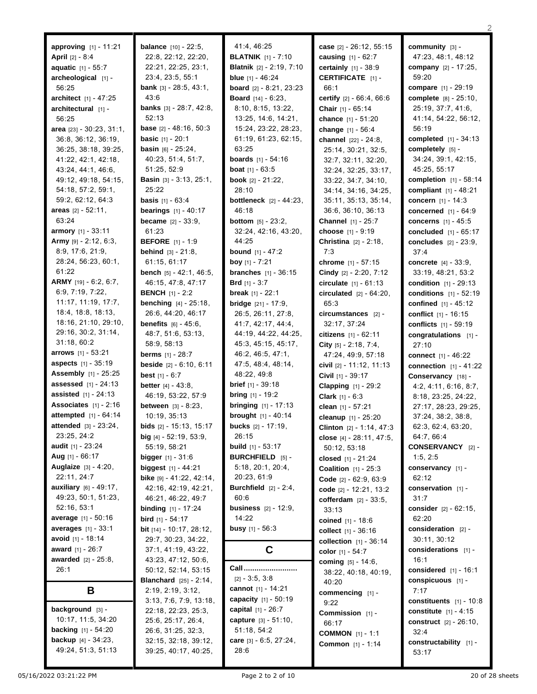| <b>approving</b> $[1] - 11:21$                    | <b>balance</b> [10] - 22:5,                   | 41.4, 46:25                                 | case [2] - 26:12, 55:15                   | community $[3]$ -                           |
|---------------------------------------------------|-----------------------------------------------|---------------------------------------------|-------------------------------------------|---------------------------------------------|
| <b>April</b> [2] - 8:4                            | 22:8, 22:12, 22:20,                           | <b>BLATNIK</b> [1] - 7:10                   | <b>causing</b> $[1] - 62:7$               | 47:23, 48:1, 48:12                          |
| <b>aquatic</b> [1] - 55:7                         | 22:21, 22:25, 23:1,                           | <b>Blatnik</b> [2] - 2:19, 7:10             | <b>certainly</b> $[1] - 38.9$             | company [2] - 17:25,                        |
| archeological [1] -                               | 23:4, 23:5, 55:1                              | <b>blue</b> $[1] - 46:24$                   | <b>CERTIFICATE</b> [1] -                  | 59:20                                       |
| 56:25                                             | <b>bank</b> $[3] - 28.5, 43.1,$               | board [2] - 8:21, 23:23                     | 66:1                                      | compare [1] - 29:19                         |
| architect [1] - 47:25                             | 43:6                                          | <b>Board</b> $[14] - 6:23$ ,                | certify [2] - 66:4, 66:6                  | complete [8] - 25:10,<br>25:19, 37:7, 41:6, |
| architectural [1] -                               | <b>banks</b> $[3] - 28:7, 42:8,$<br>52:13     | 8:10, 8:15, 13:22,                          | <b>Chair</b> $[1] - 65:14$                |                                             |
| 56:25                                             | base [2] - 48:16, 50:3                        | 13:25, 14:6, 14:21,<br>15:24, 23:22, 28:23, | chance [1] - 51:20                        | 41:14, 54:22, 56:12,<br>56:19               |
| area $[23] - 30.23, 31.1,$<br>36:8, 36:12, 36:19, | <b>basic</b> $[1] - 20:1$                     | 61:19, 61:23, 62:15,                        | change [1] - 56:4<br>channel [22] - 24:8. | completed [1] - 34:13                       |
| 36:25, 38:18, 39:25,                              | <b>basin</b> $[6] - 25:24$ ,                  | 63:25                                       | 25:14, 30:21, 32:5,                       | completely $[5]$ -                          |
| 41:22, 42:1, 42:18,                               | 40:23, 51:4, 51:7,                            | <b>boards</b> $[1] - 54:16$                 | 32:7, 32:11, 32:20,                       | 34:24, 39:1, 42:15,                         |
| 43:24, 44:1, 46:6,                                | 51:25, 52:9                                   | <b>boat</b> $[1] - 63:5$                    | 32:24, 32:25, 33:17,                      | 45:25, 55:17                                |
| 49:12, 49:18, 54:15,                              | <b>Basin</b> [3] - 3:13, 25:1,                | <b>book</b> $[2] - 21:22$ ,                 | 33:22, 34:7, 34:10,                       | <b>completion</b> $[1] - 58:14$             |
| 54:18, 57:2, 59:1,                                | 25:22                                         | 28:10                                       | 34:14, 34:16, 34:25,                      | <b>compliant</b> $[1] - 48:21$              |
| 59:2, 62:12, 64:3                                 | <b>basis</b> $[1] - 63:4$                     | <b>bottleneck</b> [2] - 44:23,              | 35:11, 35:13, 35:14,                      | <b>concern</b> $[1] - 14:3$                 |
| areas $[2] - 52:11$ ,                             | <b>bearings</b> $[1] - 40:17$                 | 46:18                                       | 36:6, 36:10, 36:13                        | concerned [1] - 64:9                        |
| 63:24                                             | <b>became</b> $[2] - 33:9$ .                  | <b>bottom</b> $[5] - 23:2$                  | <b>Channel</b> [1] - 25:7                 | concerns $[1] - 45:5$                       |
| armory [1] - 33:11                                | 61:23                                         | 32:24, 42:16, 43:20,                        | choose [1] - 9:19                         | concluded [1] - 65:17                       |
| Army [9] - 2:12, 6:3,                             | <b>BEFORE</b> [1] - 1:9                       | 44:25                                       | <b>Christina</b> $[2] - 2:18$ ,           | <b>concludes</b> $[2] - 23:9$ ,             |
| 8:9, 17:6, 21:9,                                  | <b>behind</b> $[3] - 21:8$                    | <b>bound</b> $[1] - 47:2$                   | 7:3                                       | 37.4                                        |
| 28:24, 56:23, 60:1,                               | 61:15, 61:17                                  | <b>boy</b> $[1] - 7:21$                     | chrome [1] - 57:15                        | <b>concrete</b> $[4] - 33:9$ ,              |
| 61:22                                             | <b>bench</b> $[5] - 42:1, 46:5,$              | <b>branches</b> $[1] - 36:15$               | Cindy [2] - 2:20, 7:12                    | 33:19, 48:21, 53:2                          |
| ARMY [19] - 6:2, 6:7,                             | 46:15, 47:8, 47:17                            | <b>Brd</b> $[1] - 3:7$                      | <b>circulate</b> $[1] - 61:13$            | <b>condition</b> $[1] - 29:13$              |
| 6:9, 7:19, 7:22,                                  | <b>BENCH</b> [1] - 2:2                        | <b>break</b> $[1] - 22:1$                   | <b>circulated</b> $[2] - 64:20$ ,         | <b>conditions</b> [1] - 52:19               |
| 11:17, 11:19, 17:7,                               | <b>benching</b> [4] - 25:18,                  | <b>bridge</b> $[21] - 17:9$ ,               | 65.3                                      | confined [1] - 45:12                        |
| 18:4, 18:8, 18:13,                                | 26:6, 44:20, 46:17                            | 26:5, 26:11, 27:8,                          | circumstances [2] -                       | conflict $[1] - 16:15$                      |
| 18:16, 21:10, 29:10,                              | <b>benefits</b> $[6] - 45:6$ ,                | 41:7, 42:17, 44:4,                          | 32:17, 37:24                              | <b>conflicts</b> [1] - 59:19                |
| 29:16, 30:2, 31:14,                               | 48:7, 51:6, 53:13,                            | 44:19, 44:22, 44:25,                        | citizens $[1] - 62:11$                    | congratulations [1] -                       |
| 31:18, 60:2                                       | 58:9, 58:13                                   | 45:3, 45:15, 45:17,                         | City $[5] - 2.18$ , 7:4,                  | 27:10                                       |
| <b>arrows</b> $[1] - 53:21$                       | <b>berms</b> $[1] - 28:7$                     | 46:2, 46:5, 47:1,                           | 47:24, 49:9, 57:18                        | <b>connect</b> [1] - 46:22                  |
| <b>aspects</b> [1] - 35:19                        | <b>beside</b> $[2] - 6:10, 6:11$              | 47:5, 48:4, 48:14,                          | civil [2] - 11:12, 11:13                  | <b>connection</b> $[1] - 41:22$             |
| <b>Assembly</b> [1] - 25:25                       | best $[1] - 6:7$                              | 48:22, 49:8                                 | Civil [1] - 39:17                         | Conservancy [18] -                          |
| <b>assessed</b> [1] - 24:13                       | <b>better</b> $[4] - 43:8$ ,                  | <b>brief</b> $[1] - 39:18$                  | <b>Clapping</b> [1] - 29:2                | 4:2, 4:11, 6:16, 8:7,                       |
| <b>assisted</b> $[1] - 24:13$                     | 46:19, 53:22, 57:9                            | <b>bring</b> $[1]$ - 19:2                   | <b>Clark</b> $[1] - 6:3$                  | 8:18, 23:25, 24:22,                         |
| Associates $[1] - 2:16$                           | between [3] - 8:23,                           | <b>bringing</b> $[1] - 17:13$               | clean [1] - 57:21                         | 27:17, 28:23, 29:25,                        |
| attempted [1] - 64:14                             | 10:19, 35:13                                  | <b>brought</b> [1] - 40:14                  | cleanup [1] - 25:20                       | 37:24, 38:2, 38:8,                          |
| attended [3] - 23:24,                             | <b>bids</b> $[2] - 15:13, 15:17$              | <b>bucks</b> [2] - 17:19,                   | Clinton [2] - 1:14, 47:3                  | 62:3, 62:4, 63:20,                          |
| 23:25, 24:2                                       | big $[4] - 52:19, 53:9,$                      | 26:15                                       | close [4] - 28:11, 47:5,                  | 64:7, 66:4                                  |
| <b>audit</b> $[1] - 23:24$                        | 55:19, 58:21                                  | <b>build</b> $[1] - 53:17$                  | 50:12, 53:18                              | <b>CONSERVANCY</b> [2] -                    |
| Aug [1] - 66:17                                   | <b>bigger</b> $[1] - 31:6$                    | <b>BURCHFIELD</b> [5] -                     | closed [1] - 21:24                        | 1:5, 2:5                                    |
| Auglaize [3] - 4:20,                              | biggest $[1] - 44:21$                         | 5:18, 20:1, 20:4,                           | <b>Coalition</b> $[1] - 25:3$             | conservancy [1] -                           |
| 22:11, 24:7                                       | bike $[9] - 41.22, 42.14,$                    | 20:23, 61:9                                 | Code [2] - 62:9, 63:9                     | 62:12                                       |
| auxiliary [6] - 49:17,                            | 42:16, 42:19, 42:21,                          | <b>Burchfield</b> $[2] - 2:4$ ,             | code [2] - 12:21, 13:2                    | conservation $[1]$ -                        |
| 49:23, 50:1, 51:23,                               | 46:21, 46:22, 49:7                            | 60:6                                        | <b>cofferdam</b> $[2] - 33:5,$            | 31:7                                        |
| 52:16, 53:1                                       | <b>binding</b> $[1] - 17:24$                  | <b>business</b> $[2] - 12:9$ ,              | 33:13                                     | consider [2] - 62:15,                       |
| average [1] - 50:16                               | <b>bird</b> $[1] - 54:17$                     | 14:22                                       | coined $[1] - 18.6$                       | 62:20                                       |
| averages [1] - 33:1                               | bit [14] - 10:17, 28:12,                      | <b>busy</b> $[1] - 56:3$                    | collect $[1] - 36:16$                     | consideration $[2]$ -                       |
| avoid $[1] - 18:14$                               | 29:7, 30:23, 34:22,                           |                                             | collection $[1] - 36:14$                  | 30:11, 30:12                                |
| <b>award</b> $[1] - 26:7$                         | 37:1, 41:19, 43:22,                           | C                                           | color $[1] - 54:7$                        | considerations $[1]$ -                      |
| <b>awarded</b> [2] - 25:8,                        | 43:23, 47:12, 50:6,                           | Call                                        | coming [5] - 14:6,                        | 16:1                                        |
| 26:1                                              | 50:12, 52:14, 53:15                           | $[2] - 3.5, 3.8$                            | 38:22, 40:18, 40:19,                      | considered $[1] - 16:1$                     |
|                                                   | <b>Blanchard</b> [25] - 2:14,                 | cannot $[1] - 14:21$                        | 40:20                                     | conspicuous [1] -                           |
| В                                                 | 2:19, 2:19, 3:12,                             | capacity [1] - 50:19                        | commencing [1] -                          | 7:17                                        |
| background [3] -                                  | 3:13, 7:6, 7:9, 13:18,<br>22:18, 22:23, 25:3, | capital $[1] - 26:7$                        | 9:22                                      | constituents $[1] - 10:8$                   |
| 10:17, 11:5, 34:20                                | 25:6, 25:17, 26:4,                            | capture $[3] - 51:10$ ,                     | Commission [1] -                          | <b>constitute</b> $[1] - 4:15$              |
| <b>backing</b> $[1] - 54:20$                      | 26:6, 31:25, 32:3,                            | 51:18, 54:2                                 | 66:17                                     | <b>construct</b> $[2] - 26:10$ ,            |
| <b>backup</b> $[4] - 34:23$ ,                     | 32:15, 32:18, 39:12,                          | care [3] - 6:5, 27:24,                      | <b>COMMON</b> $[1] - 1:1$                 | 32:4                                        |
| 49:24, 51:3, 51:13                                | 39:25, 40:17, 40:25,                          | 28:6                                        | <b>Common</b> [1] - 1:14                  | constructability [1] -                      |
|                                                   |                                               |                                             |                                           | 53:17                                       |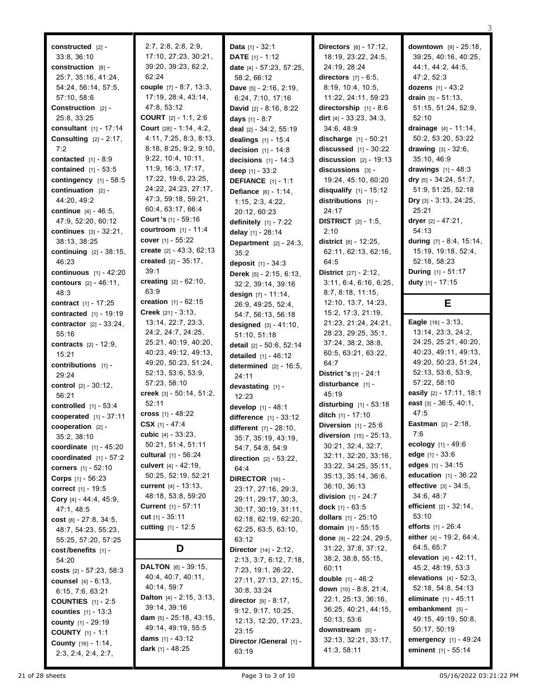| constructed [2] -                                      | 2:7, 2:8, 2:8, 2:9,                      | <b>Data</b> $[1] - 32:1$                   | Directors [6] - 17:12,                               | <b>downtown</b> $[9] - 25:18$ ,                       |
|--------------------------------------------------------|------------------------------------------|--------------------------------------------|------------------------------------------------------|-------------------------------------------------------|
| 33:8, 36:10                                            | 17:10, 27:23, 30:21,                     | DATE [1] - 1:12                            | 18:19, 23:22, 24:5,                                  | 39:25, 40:16, 40:25,                                  |
| construction [8] -                                     | 39:20, 39:23, 62:2,<br>62:24             | date [4] - 57:23, 57:25,                   | 24:19, 28:24<br>directors $[7] - 6:5$ ,              | 44:1, 44:2, 44:5,<br>47:2, 52:3                       |
| 25:7, 35:16, 41:24,                                    | couple $[7] - 8.7, 13.3,$                | 58:2, 66:12                                | 8:19, 10:4, 10:5,                                    |                                                       |
| 54:24, 56:14, 57:5,                                    | 17:19, 28:4, 43:14,                      | Dave [5] - 2:16, 2:19,                     | 11:22, 24:11, 59:23                                  | dozens [1] - 43:2                                     |
| 57:10, 58:6<br>Construction [2] -                      | 47:8, 53:12                              | 6:24, 7:10, 17:16                          | directorship $[1] - 8:6$                             | drain $[5] - 51:13$ ,<br>51:15, 51:24, 52:9,          |
| 25:8, 33:25                                            | <b>COURT</b> $[2] - 1:1, 2:6$            | David [2] - 8:16, 8:22                     | dirt $[4] - 33:23, 34:3,$                            | 52:10                                                 |
| <b>consultant</b> $[1] - 17:14$                        | Court [28] - 1:14, 4:2,                  | days $[1] - 8:7$<br>deal [2] - 34:2, 55:19 | 34:6, 48:9                                           | drainage $[4] - 11:14$ ,                              |
| Consulting $[2] - 2:17$ ,                              | 4:11, 7:25, 8:3, 8:13,                   | dealings $[1] - 15:4$                      | discharge $[1] - 50:21$                              | 50:2, 53:20, 53:22                                    |
| 7:2                                                    | 8:18, 8:25, 9:2, 9:10,                   | decision $[1] - 14.8$                      | discussed $[1] - 30:22$                              | drawing $[3] - 32:6$ ,                                |
| contacted $[1] - 8:9$                                  | 9:22, 10:4, 10:11,                       | <b>decisions</b> $[1] - 14.3$              | discussion $[2] - 19:13$                             | 35:10, 46:9                                           |
| contained $[1] - 53:5$                                 | 11:9, 16:3, 17:17,                       | deep $[1] - 33:2$                          | discussions [3] -                                    | drawings $[1] - 48:3$                                 |
| contingency [1] - 58:5                                 | 17:22, 19:6, 23:25,                      | <b>DEFIANCE</b> [1] - 1:1                  | 19:24, 45:10, 60:20                                  | dry [5] - 34:24, 51:7,                                |
| continuation $[2]$ -                                   | 24:22, 24:23, 27:17,                     | <b>Defiance</b> $[6] - 1:14$ ,             | disqualify $[1] - 15:12$                             | 51:9, 51:25, 52:18                                    |
| 44:20, 49:2                                            | 47:3, 59:18, 59:21,                      | 1:15, 2:3, 4:22,                           | distributions [1] -                                  | <b>Dry</b> $[3] - 3.13, 24.25,$                       |
| <b>continue</b> $[4] - 46.5$ ,                         | 60:4, 63:17, 66:4                        | 20:12, 60:23                               | 24:17                                                | 25:21                                                 |
| 47:9, 52:20, 60:12                                     | <b>Court 's</b> $[1]$ - 59:16            | definitely $[1] - 7:22$                    | <b>DISTRICT</b> $[2] - 1:5$ ,                        | dryer $[2] - 47:21$ ,                                 |
| <b>continues</b> $[3] - 32:21$ ,                       | <b>courtroom</b> $[1] - 11:4$            | delay [1] - 28:14                          | 2:10                                                 | 54:13                                                 |
| 38:13, 38:25                                           | cover $[1] - 55:22$                      | Department $[2] - 24:3$ ,                  | district $[6] - 12:25$ ,                             | during [7] - 8:4, 15:14,                              |
| <b>continuing</b> $[2] - 38:15$ ,                      | create [2] - 43:3, 62:13                 | 35:2                                       | 62:11, 62:13, 62:16,                                 | 15:19, 19:18, 52:4,                                   |
| 46:23                                                  | created $[2] - 35:17$ ,                  | deposit [1] - 34:3                         | 64:5                                                 | 52:18, 58:23                                          |
| continuous $[1] - 42:20$                               | 39:1                                     | <b>Derek</b> $[5] - 2:15, 6:13,$           | District [27] - 2:12,                                | During [1] - 51:17                                    |
| contours [2] - 46:11,                                  | <b>creating</b> $[2] - 62:10$ ,          | 32:2, 39:14, 39:16                         | 3:11, 6:4, 6:16, 6:25,                               | duty [1] - 17:15                                      |
| 48:3                                                   | 63:9                                     | design $[7] - 11.14$ ,                     | 8.7, 8.18, 11.15,                                    |                                                       |
| <b>contract</b> $[1] - 17:25$                          | <b>creation</b> $[1] - 62:15$            | 26:9, 49:25, 52:4,                         | 12:10, 13:7, 14:23,                                  | Е                                                     |
| contracted $[1] - 19:19$                               | <b>Creek</b> $[21] - 3:13$ ,             | 54:7, 56:13, 56:18                         | 15:2, 17:3, 21:19,                                   |                                                       |
| <b>contractor</b> $[2] - 33:24$ ,                      | 13:14, 22:7, 23:3,                       | designed [3] - 41:10,                      | 21:23, 21:24, 24:21,                                 | Eagle [18] - 3:13,                                    |
| 55:16                                                  | 24:2, 24:7, 24:25,                       | 51:10, 51:18                               | 28:23, 29:25, 35:1,                                  | 13:14, 23:3, 24:2,<br>24:25, 25:21, 40:20,            |
| <b>contracts</b> $[2] - 12:9$ ,                        | 25:21, 40:19, 40:20,                     |                                            | 37:24, 38:2, 38:8,                                   |                                                       |
|                                                        |                                          | detail [2] - 50:6, 52:14                   |                                                      |                                                       |
| 15:21                                                  | 40:23, 49:12, 49:13,                     | detailed $[1] - 46:12$                     | 60:5, 63:21, 63:22,                                  | 40:23, 49:11, 49:13,                                  |
| contributions [1] -                                    | 49:20, 50:23, 51:24,                     | determined $[2] - 16:5$ ,                  | 64:7                                                 | 49:20, 50:23, 51:24,                                  |
| 29:24                                                  | 52:13, 53:6, 53:9,                       | 24:11                                      | District 's [1] - 24:1                               | 52:13, 53:6, 53:9,                                    |
| <b>control</b> $[2] - 30:12$ ,                         | 57:23, 58:10                             | devastating $[1]$ -                        | disturbance [1] -                                    | 57:22, 58:10                                          |
| 56:21                                                  | creek $[3] - 50:14, 51:2,$<br>52:11      | 12:23                                      | 45:19                                                | easily [2] - 17:11, 18:1                              |
| controlled $[1] - 53:4$                                |                                          | develop [1] - 48:1                         | disturbing $[1] - 53:18$                             | east [3] - 36:5, 40:1,<br>47:5                        |
| <b>cooperated</b> $[1] - 37:11$                        | cross [1] - 48:22<br>CSX $[1] - 47:4$    | difference $[1] - 33:12$                   | ditch $[1] - 17:10$<br><b>Diversion</b> $[1] - 25:6$ | <b>Eastman</b> $[2] - 2:18$ ,                         |
| cooperation $[2]$ -                                    | cubic $[4] - 33.23$ ,                    | different [7] - 28:10,                     | diversion [15] - 25:13,                              | 7:6                                                   |
| 35:2, 38:10                                            | 50:21, 51:4, 51:11                       | 35:7, 35:19, 43:19,                        | 30:21, 32:4, 32:7,                                   | ecology [1] - 49:6                                    |
| <b>coordinate</b> $[1] - 45:20$                        | <b>cultural</b> $[1] - 56:24$            | 54:7, 54:8, 54:9                           | 32:11, 32:20, 33:16,                                 | edge $[1] - 33:6$                                     |
| coordinated $[1] - 57:2$<br><b>corners</b> [1] - 52:10 | culvert $[4] - 42:19$ ,                  | $direction$ [2] - $53:22$ ,                | 33:22, 34:25, 35:11,                                 | edges $[1] - 34:15$                                   |
| <b>Corps</b> $[1] - 56:23$                             | 50:25, 52:19, 52:21                      | 64:4<br>DIRECTOR [16] -                    | 35:13, 35:14, 36:6,                                  | <b>education</b> $[1] - 36:22$                        |
| <b>correct</b> [1] - 19:5                              | <b>current</b> $[4] - 13:13,$            | 23:17, 27:16, 29:3,                        | 36:10, 36:13                                         | effective [3] - 34:5,                                 |
| Cory [4] - 44:4, 45:9,                                 | 48:18, 53:8, 59:20                       | 29:11, 29:17, 30:3,                        | division $[1] - 24:7$                                | 34 6, 48 7                                            |
| 47:1, 48:5                                             | <b>Current</b> $[1] - 57:11$             | 30:17, 30:19, 31:11,                       | dock $[1] - 63.5$                                    | efficient $[2] - 32:14$ ,                             |
| cost $[8] - 27:8, 34:5,$                               | cut $[1] - 35:11$                        | 62:18, 62:19, 62:20,                       | dollars $[1] - 25:10$                                | 53:10                                                 |
| 48:7, 54:23, 55:23,                                    | cutting $[1] - 12:5$                     | 62:25, 63:5, 63:10,                        | domain [1] - 55:15                                   | efforts [1] - 26:4                                    |
| 55:25, 57:20, 57:25                                    |                                          | 63:12                                      | done $[9] - 22:24, 29:5,$                            | either $[4] - 19.2, 64.4,$                            |
| cost/benefits [1] -                                    | D                                        | <b>Director</b> $[14] - 2:12$ ,            | 31:22, 37:8, 37:12,                                  | 64:5, 65:7                                            |
| 54:20                                                  |                                          | 2:13, 3:7, 6:12, 7:18,                     | 38:2, 38:8, 55:15,                                   | elevation $[4] - 42:11$ ,                             |
| costs $[2] - 57:23, 58:3$                              | <b>DALTON</b> $[6] - 39:15$              | 7:23, 19:1, 26:22,                         | 60:11                                                | 45:2, 48:19, 53:3                                     |
| <b>counsel</b> $[4] - 6:13$ ,                          | 40:4, 40:7, 40:11,<br>40:14, 59:7        | 27:11, 27:13, 27:15,                       | double [1] - 46:2                                    | elevations $[4] - 52:3$ ,                             |
| 6:15, 7:6, 63:21                                       | Dalton [4] - 2:15, 3:13,                 | 30:8, 33:24                                | down $[10] - 8.8, 21.4,$                             | 52:18, 54:8, 54:13<br><b>eliminate</b> $[1] - 45:11$  |
| <b>COUNTIES</b> $[1] - 2:5$                            | 39:14, 39:16                             | <b>director</b> $[9] - 8.17$ ,             | 22:1, 25:13, 36:16,<br>36:25, 40:21, 44:15,          | embankment [5] -                                      |
| <b>counties</b> $[1] - 13:3$                           | dam $[5] - 25:18, 43:15,$                | 9:12, 9:17, 10:25,<br>12:13, 12:20, 17:23, | 50:13, 53:6                                          | 49:15, 49:19, 50:8,                                   |
| county [1] - 29:19<br><b>COUNTY</b> $[1] - 1.1$        | 49:14, 49:19, 55:5                       | 23:15                                      | downstream $[5]$ -                                   | 50:17, 50:19                                          |
| <b>County</b> [16] - 1:14,                             | dams $[1] - 43:12$<br>dark $[1] - 48:25$ | Director /General [1] -                    | 32:13, 32:21, 33:17,                                 | <b>emergency</b> $[1] - 49:24$<br>eminent [1] - 55:14 |

21 of 28 sheets **21** of 28 sheets **Page 3** to 3 of 10 **Page 3** to 3 of 10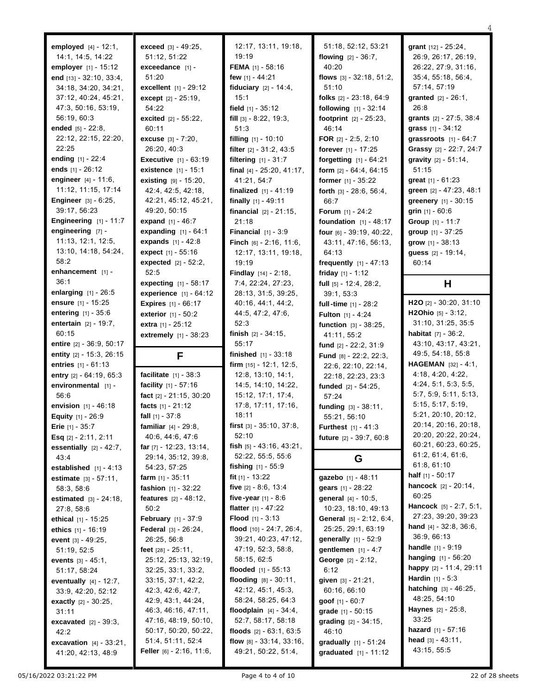05/16/2022 03:21:22 PM 22 of 28 sheets **engineering** [7] - 11:13, 12:1, 12:5, 13:10, 14:18, 54:24, 58:2 **enhancement** [1] - 36:1 **enlarging** [1] - 26:5 **ensure** [1] - 15:25 **entering** [1] - 35:6 **entertain** [2] - 19:7, 60:15 **entire** [2] - 36:9, 50:17 **entity** [2] - 15:3, 26:15 **entries** [1] - 61:13 **entry** [2] - 64:19, 65:3 **environmental** [1] - 56:6 **envision** [1] - 46:18 **Equity** [1] - 26:9 **Erie** [1] - 35:7 **Esq** [2] - 2:11, 2:11 **essentially** [2] - 42:7, 43:4 **established** [1] - 4:13 **estimate** [3] - 57:11, 58:3, 58:6 **estimated** [3] - 24:18, 27:8, 58:6 **ethical** [1] - 15:25 **ethics** [1] - 16:19 **event** [3] - 49:25, 51:19, 52:5 **events** [3] - 45:1, 51:17, 58:24 **eventually** [4] - 12:7, 33:9, 42:20, 52:12 **exactly** [2] - 30:25, 31:11 **excavated** [2] - 39:3, 42:2 **excavation** [4] - 33:21, 41:20, 42:13, 48:9

**employed** [4] - 12:1, 14:1, 14:5, 14:22 **employer** [1] - 15:12 **end** [13] - 32:10, 33:4, 34:18, 34:20, 34:21, 37:12, 40:24, 45:21, 47:3, 50:16, 53:19, 56:19, 60:3 **ended** [5] - 22:8, 22:12, 22:15, 22:20,

22:25

**ending** [1] - 22:4 **ends** [1] - 26:12 **engineer** [4] - 11:6, 11:12, 11:15, 17:14 **Engineer** [3] - 6:25, 39:17, 56:23 **Engineering** [1] - 11:7

**exceed** [3] - 49:25, 51:12, 51:22 **exceedance** [1] - 51:20 **excellent** [1] - 29:12 **except** [2] - 25:19, 54:22 **excited** [2] - 55:22, 60:11 **excuse** [3] - 7:20, 26:20, 40:3 **Executive** [1] - 63:19 **existence** [1] - 15:1 **existing** [9] - 15:20, 42:4, 42:5, 42:18, 42:21, 45:12, 45:21, 49:20, 50:15 **expand** [1] - 46:7 **expanding** [1] - 64:1 **expands** [1] - 42:8 **expect** [1] - 55:16 **expected** [2] - 52:2, 52:5 **expecting** [1] - 58:17 **experience** [1] - 64:12 **Expires** [1] - 66:17 **exterior** [1] - 50:2 **extra** [1] - 25:12 **extremely** [1] - 38:23 **F facilitate** [1] - 38:3 **facility** [1] - 57:16 **fact** [2] - 21:15, 30:20 **facts** [1] - 21:12 **fall** [1] - 37:8 **familiar** [4] - 29:8, 40:6, 44:6, 47:6 **far** [7] - 12:23, 13:14, 29:14, 35:12, 39:8, 54:23, 57:25 **farm** [1] - 35:11 **fashion** [1] - 32:22 **features** [2] - 48:12, 50:2 **February** [1] - 37:9 **Federal** [3] - 26:24, 26:25, 56:8 **feet** [28] - 25:11, 25:12, 25:13, 32:19, 32:25, 33:1, 33:2, 33:15, 37:1, 42:2, 42:3, 42:6, 42:7, 42:9, 43:1, 44:24, 46:3, 46:16, 47:11, 47:16, 48:19, 50:10, 50:17, 50:20, 50:22, 51:4, 51:11, 52:4 **Feller** [6] - 2:16, 11:6,

12:17, 13:11, 19:18, 19:19 **FEMA** [1] - 58:16 **few** [1] - 44:21 **fiduciary** [2] - 14:4, 15:1 **field** [1] - 35:12 **fill** [3] - 8:22, 19:3, 51:3 **filling** [1] - 10:10 **filter** [2] - 31:2, 43:5 **filtering** [1] - 31:7 **final** [4] - 25:20, 41:17, 41:21, 54:7 **finalized** [1] - 41:19 **finally** [1] - 49:11 **financial** [2] - 21:15, 21:18 **Financial** [1] - 3:9 **Finch** [6] - 2:16, 11:6, 12:17, 13:11, 19:18, 19:19 **Findlay** [14] - 2:18, 7:4, 22:24, 27:23, 28:13, 31:5, 39:25, 40:16, 44:1, 44:2, 44:5, 47:2, 47:6, 52:3 **finish** [2] - 34:15, 55:17 **finished** [1] - 33:18 **firm** [15] - 12:1, 12:5, 12:8, 13:10, 14:1, 14:5, 14:10, 14:22, 15:12, 17:1, 17:4, 17:8, 17:11, 17:16, 18:11 **first** [3] - 35:10, 37:8,  $52.10$ **fish** [5] - 43:16, 43:21, 52:22, 55:5, 55:6 **fishing** [1] - 55:9 **fit** [1] - 13:22 **five** [2] - 8:6, 13:4 **five-year** [1] - 8:6 **flatter** [1] - 47:22 **Flood** [1] - 3:13 **flood** [10] - 24:7, 26:4, 39:21, 40:23, 47:12, 47:19, 52:3, 58:8, 58:15, 62:5 **flooded** [1] - 55:13 **flooding** [8] - 30:11, 42:12, 45:1, 45:3, 58:24, 58:25, 64:3 **floodplain** [4] - 34:4, 52:7, 58:17, 58:18 **floods** [2] - 63:1, 63:5 **flow** [8] - 33:14, 33:16, 49:21, 50:22, 51:4,

51:18, 52:12, 53:21 **flowing** [2] - 36:7, 40:20 **flows** [3] - 32:18, 51:2, 51:10 **folks** [2] - 23:18, 64:9 **following** [1] - 32:14 **footprint** [2] - 25:23, 46:14 **FOR** [2] - 2:5, 2:10 **forever** [1] - 17:25 **forgetting** [1] - 64:21 **form** [2] - 64:4, 64:15 **former** [1] - 35:22 **forth** [3] - 28:6, 56:4, 66:7 **Forum** [1] - 24:2 **foundation** [1] - 48:17 **four** [6] - 39:19, 40:22, 43:11, 47:16, 56:13, 64:13 **frequently** [1] - 47:13 **friday** [1] - 1:12 **full** [5] - 12:4, 28:2, 39:1, 53:3 **full-time** [1] - 28:2 **Fulton** [1] - 4:24 **function** [3] - 38:25, 41:11, 55:2 **fund** [2] - 22:2, 31:9 **Fund** [8] - 22:2, 22:3, 22:6, 22:10, 22:14, 22:18, 22:23, 23:3 **funded** [2] - 54:25, 57:24 **funding** [3] - 38:11, 55:21, 56:10 **Furthest** [1] - 41:3 **future** [2] - 39:7, 60:8 **G gazebo** [1] - 48:11 **gears** [1] - 28:22 **general** [4] - 10:5, 10:23, 18:10, 49:13 **General** [5] - 2:12, 6:4, 25:25, 29:1, 63:19 **generally** [1] - 52:9 **gentlemen** [1] - 4:7 **George** [2] - 2:12, 6:12 **given** [3] - 21:21, 60:16, 66:10 **goof** [1] - 60:7 **grade** [1] - 50:15 **grading** [2] - 34:15, 46:10

**gradually** [1] - 51:24 **graduated** [1] - 11:12 **grant** [12] - 25:24, 26:9, 26:17, 26:19, 26:22, 27:9, 31:16, 35:4, 55:18, 56:4, 57:14, 57:19 **granted** [2] - 26:1, 26:8 **grants** [2] - 27:5, 38:4 **grass** [1] - 34:12 **grassroots** [1] - 64:7 **Grassy** [2] - 22:7, 24:7 **gravity** [2] - 51:14, 51:15 **great** [1] - 61:23 **green** [2] - 47:23, 48:1 **greenery** [1] - 30:15 **grin** [1] - 60:6 **Group** [1] - 11:7 **group** [1] - 37:25 **grow** [1] - 38:13 **guess** [2] - 19:14, 60:14 **H H2O** [2] - 30:20, 31:10 **H2Ohio** [5] - 3:12, 31:10, 31:25, 35:5 **habitat** [7] - 36:2, 43:10, 43:17, 43:21, 49:5, 54:18, 55:8 **HAGEMAN** [32] - 4:1, 4:18, 4:20, 4:22, 4:24, 5:1, 5:3, 5:5, 5:7, 5:9, 5:11, 5:13, 5:15, 5:17, 5:19, 5:21, 20:10, 20:12, 20:14, 20:16, 20:18, 20:20, 20:22, 20:24, 60:21, 60:23, 60:25, 61:2, 61:4, 61:6, 61:8, 61:10 **half** [1] - 50:17 **hancock** [2] - 20:14, 60:25 **Hancock** [5] - 2:7, 5:1, 27:23, 39:20, 39:23 **hand** [4] - 32:8, 36:6, 36:9, 66:13 **handle** [1] - 9:19 **hanging** [1] - 56:20 **happy** [2] - 11:4, 29:11 **Hardin** [1] - 5:3 **hatching** [3] - 46:25, 48:25, 54:10 **Haynes** [2] - 25:8, 33:25 **hazard** [1] - 57:16 **head** [3] - 43:11, 43:15, 55:5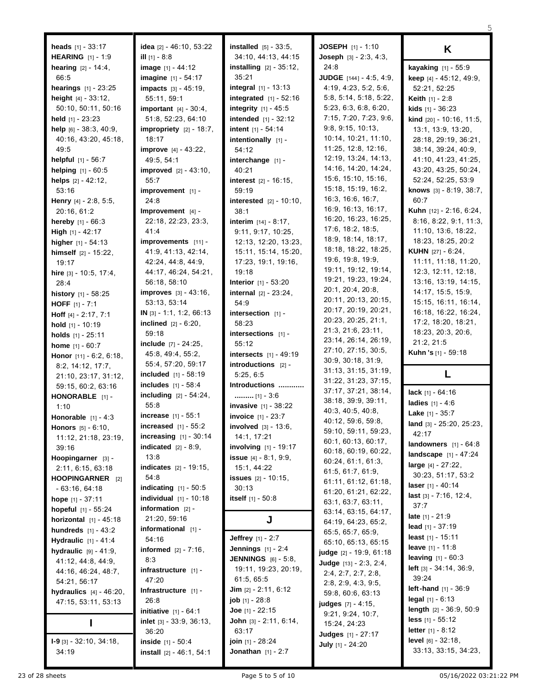| <b>heads</b> $[1] - 33:17$        | idea $[2] - 46:10, 53:22$        | <b>installed</b> $[5] - 33:5$ ,   | JOSEPH [1] - 1:10                                          | K                                                       |
|-----------------------------------|----------------------------------|-----------------------------------|------------------------------------------------------------|---------------------------------------------------------|
| <b>HEARING</b> [1] - 1:9          | <b>ill</b> $[1]$ - 8:8           | 34:10, 44:13, 44:15               | Joseph [3] - 2:3, 4:3,                                     |                                                         |
| <b>hearing</b> $[2] - 14.4$ ,     | image [1] - 44:12                | <b>installing</b> $[2] - 35:12$ , | 24:8                                                       | kayaking [1] - 55:9                                     |
| 66.5                              | imagine [1] - 54:17              | 35:21                             | <b>JUDGE</b> $[144] - 4:5, 4:9,$                           | keep [4] - 45:12, 49:9,                                 |
| <b>hearings</b> $[1] - 23:25$     | impacts [3] - 45:19,             | <b>integral</b> $[1] - 13:13$     | 4:19, 4:23, 5:2, 5:6,                                      | 52:21, 52:25                                            |
| <b>height</b> $[4] - 33:12$ ,     | 55:11, 59:1                      | integrated [1] - 52:16            | 5:8, 5:14, 5:18, 5:22,                                     | <b>Keith</b> $[1] - 2:8$                                |
| 50:10, 50:11, 50:16               | <b>important</b> $[4] - 30:4$ ,  | <b>integrity</b> $[1] - 45:5$     | 5:23, 6:3, 6:8, 6:20,                                      | <b>kids</b> $[1] - 36:23$                               |
| held $[1]$ - 23:23                | 51:8, 52:23, 64:10               | <b>intended</b> $[1] - 32:12$     | 7:15, 7:20, 7:23, 9:6,                                     |                                                         |
| help [6] - 38:3, 40:9,            | impropriety $[2] - 18:7$ ,       | intent [1] - 54:14                | 9:8, 9:15, 10:13,                                          | <b>kind</b> $[20] - 10:16, 11:5,$<br>13:1, 13:9, 13:20, |
|                                   | 18:17                            |                                   | 10:14, 10:21, 11:10,                                       | 28:18, 29:19, 36:21,                                    |
| 40:16, 43:20, 45:18,<br>49.5      |                                  | intentionally [1] -<br>54:12      | 11:25, 12:8, 12:16,                                        |                                                         |
|                                   | <b>improve</b> $[4] - 43:22$ ,   |                                   | 12:19, 13:24, 14:13,                                       | 38:14, 39:24, 40:9,                                     |
| <b>helpful</b> $[1] - 56:7$       | 49:5, 54:1                       | interchange [1] -                 | 14:16, 14:20, 14:24,                                       | 41:10, 41:23, 41:25,<br>43:20, 43:25, 50:24,            |
| helping [1] - 60:5                | <b>improved</b> $[2] - 43:10$ ,  | 40:21                             | 15:6, 15:10, 15:16,                                        |                                                         |
| helps $[2] - 42:12$ ,             | 55:7                             | <b>interest</b> $[2] - 16:15$ ,   | 15:18, 15:19, 16:2,                                        | 52:24, 52:25, 53:9                                      |
| 53:16                             | improvement [1] -                | 59:19                             | 16:3, 16:6, 16:7,                                          | knows [3] - 8:19, 38:7,                                 |
| <b>Henry</b> $[4] - 2.8, 5.5,$    | 24:8                             | <b>interested</b> $[2] - 10:10$ , | 16:9, 16:13, 16:17,                                        | 60:7                                                    |
| 20:16, 61:2                       | Improvement [4] -                | 38:1                              | 16:20, 16:23, 16:25,                                       | <b>Kuhn</b> $[12] - 2.16, 6.24,$                        |
| <b>hereby</b> $[1] - 66:3$        | 22:18, 22:23, 23:3,              | <b>interim</b> $[14] - 8:17$ ,    | 17:6, 18:2, 18:5,                                          | 8:16, 8:22, 9:1, 11:3,                                  |
| <b>High</b> $[1] - 42:17$         | 41:4                             | 9:11, 9:17, 10:25,                | 18:9, 18:14, 18:17,                                        | 11:10, 13:6, 18:22,                                     |
| <b>higher</b> $[1] - 54:13$       | improvements [11] -              | 12:13, 12:20, 13:23,              | 18:18, 18:22, 18:25,                                       | 18:23, 18:25, 20:2                                      |
| himself [2] - 15:22,              | 41.9, 41.13, 42.14,              | 15:11, 15:14, 15:20,              | 19:6, 19:8, 19:9,                                          | KUHN [27] - 6:24.                                       |
| 19:17                             | 42:24, 44:8, 44:9,               | 17:23, 19:1, 19:16,               | 19:11, 19:12, 19:14,                                       | 11:11, 11:18, 11:20,                                    |
| hire [3] - 10:5, 17:4,            | 44:17, 46:24, 54:21,             | 19:18                             | 19:21, 19:23, 19:24,                                       | 12:3, 12:11, 12:18,                                     |
| 28:4                              | 56:18, 58:10                     | <b>Interior</b> [1] - 53:20       | 20:1, 20:4, 20:8,                                          | 13:16, 13:19, 14:15,                                    |
| <b>history</b> $[1] - 58:25$      | <b>improves</b> $[3] - 43:16$ ,  | <b>internal</b> $[2] - 23:24$ ,   | 20:11, 20:13, 20:15,                                       | 14:17, 15:5, 15:9,                                      |
| <b>HOFF</b> $[1] - 7:1$           | 53:13, 53:14                     | 54:9                              | 20:17, 20:19, 20:21,                                       | 15:15, 16:11, 16:14,                                    |
| <b>Hoff</b> $[4] - 2:17, 7:1$     | IN $[3] - 1:1, 1:2, 66:13$       | intersection $[1]$ -              | 20:23, 20:25, 21:1,                                        | 16:18, 16:22, 16:24,                                    |
| hold $[1]$ - 10:19                | <b>inclined</b> $[2] - 6:20$ ,   | 58:23                             | 21:3, 21:6, 23:11,                                         | 17:2, 18:20, 18:21,                                     |
| holds $[1] - 25:11$               | 59:18                            | intersections $[1]$ -             | 23:14, 26:14, 26:19,                                       | 18:23, 20:3, 20:6,                                      |
| <b>home</b> $[1] - 60:7$          | <b>include</b> $[7] - 24:25$ ,   | 55:12                             | 27:10, 27:15, 30:5,                                        | 21:2, 21:5                                              |
| Honor [11] - 6:2, 6:18,           | 45:8, 49:4, 55:2,                | intersects $[1] - 49:19$          | 30:9, 30:18, 31:9,                                         | Kuhn 's [1] - 59:18                                     |
| 8:2, 14:12, 17:7,                 | 55:4, 57:20, 59:17               | introductions $[2]$ -             | 31:13, 31:15, 31:19,                                       |                                                         |
| 21:10, 23:17, 31:12,              | <b>included</b> $[1] - 58:19$    | 5:25, 6:5                         | 31:22, 31:23, 37:15,                                       | L                                                       |
| 59:15, 60:2, 63:16                | includes [1] - 58:4              | Introductions                     | 37:17, 37:21, 38:14,                                       |                                                         |
| HONORABLE [1] -                   | including [2] - 54:24,           | [1] - $3.6$                       | 38:18, 39:9, 39:11,                                        | <b>lack</b> $[1] - 64:16$                               |
| 1:10                              | 55:8                             | <b>invasive</b> [1] - 38:22       | 40:3, 40:5, 40:8,                                          | <b>ladies</b> $[1] - 4.6$                               |
| Honorable $[1] - 4:3$             | <b>increase</b> $[1] - 55:1$     | <b>invoice</b> [1] - 23:7         | 40:12, 59:6, 59:8,                                         | <b>Lake</b> $[1] - 35:7$                                |
| Honors [5] - 6:10,                | increased $[1] - 55:2$           | involved [3] - 13:6,              | 59:10, 59:11, 59:23,                                       | land [3] - 25:20, 25:23,                                |
| 11:12, 21:18, 23:19,              | increasing $[1] - 30:14$         | 14:1, 17:21                       | 60:1, 60:13, 60:17,                                        | 42:17                                                   |
| 39:16                             | indicated $[2] - 8.9$ ,          | <b>involving</b> $[1]$ - 19:17    | 60:18, 60:19, 60:22,                                       | <b>landowners</b> $[1] - 64:8$                          |
| Hoopingarner [3] -                | 13:8                             | <b>issue</b> $[4] - 8.1, 9.9$ ,   | 60:24, 61:1, 61:3,                                         | landscape [1] - 47:24                                   |
| 2:11, 6:15, 63:18                 | <b>indicates</b> $[2] - 19:15$ , | 15:1, 44:22                       | 61:5, 61:7, 61:9.                                          | large $[4] - 27:22$ ,                                   |
| HOOPINGARNER [2]                  | 54:8                             | <b>issues</b> $[2] - 10:15$ ,     | 61:11, 61:12, 61:18,                                       | 30:23, 51:17, 53:2                                      |
| $-63:16, 64:18$                   | <b>indicating</b> $[1] - 50:5$   | 30:13                             | 61:20, 61:21, 62:22,                                       | laser $[1] - 40:14$                                     |
| hope $[1] - 37:11$                | <b>individual</b> $[1] - 10:18$  | itself $[1] - 50.8$               | 63:1, 63:7, 63:11,                                         | <b>last</b> $[3] - 7:16$ , $12:4$ ,                     |
| hopeful [1] - 55:24               | information $[2]$ -              |                                   | 63:14, 63:15, 64:17,                                       | 37:7                                                    |
| <b>horizontal</b> $[1] - 45:18$   | 21:20, 59:16                     | J                                 | 64:19, 64:23, 65:2,                                        | <b>late</b> $[1] - 21:9$                                |
| <b>hundreds</b> $[1] - 43:2$      | informational $[1]$ -            |                                   | 65:5, 65:7, 65:9,                                          | lead $[1] - 37:19$                                      |
| <b>Hydraulic</b> $[1] - 41:4$     | 54:16                            | <b>Jeffrey</b> $[1] - 2:7$        | 65:10, 65:13, 65:15                                        | least $[1] - 15:11$                                     |
| <b>hydraulic</b> $[9] - 41:9$ ,   | <b>informed</b> $[2] - 7:16$ ,   | <b>Jennings</b> $[1] - 2:4$       |                                                            | <b>leave</b> $[1] - 11.8$                               |
| 41:12, 44:8, 44:9,                | 8:3                              | <b>JENNINGS</b> [6] - 5:8,        | <b>judge</b> [2] - 19:9, 61:18<br>Judge $[13] - 2.3, 2.4,$ | leaving $[1] - 60:3$                                    |
| 44:16, 46:24, 48:7,               | infrastructure $[1]$ -           | 19:11, 19:23, 20:19,              |                                                            | <b>left</b> $[3] - 34 \cdot 14$ , $36 \cdot 9$ ,        |
| 54:21, 56:17                      | 47:20                            | 61:5, 65:5                        | 2.4, 2.7, 2.7, 2.8,                                        | 39:24                                                   |
| <b>hydraulics</b> $[4] - 46:20$ , | Infrastructure $[1]$ -           | <b>Jim</b> $[2] - 2:11, 6:12$     | 2:8, 2:9, 4:3, 9:5,                                        | left-hand [1] - 36:9                                    |
| 47:15, 53:11, 53:13               | 26:8                             | <b>job</b> $[1] - 28.8$           | 59:8, 60:6, 63:13                                          | legal $[1] - 6:13$                                      |
|                                   | <b>initiative</b> $[1] - 64:1$   | <b>Joe</b> $[1]$ - 22:15          | <b>judges</b> [7] - 4:15,                                  | length [2] - 36:9, 50:9                                 |
|                                   | inlet [3] - 33:9, 36:13,         | John [3] - 2:11, 6:14,            | 9:21, 9:24, 10:7,                                          | <b>less</b> $[1] - 55:12$                               |
| L                                 | 36:20                            | 63:17                             | 15:24, 24:23                                               | letter [1] - 8:12                                       |
| $I-9$ [3] - 32:10, 34:18,         | inside $[1] - 50:4$              | <b>join</b> $[1]$ - 28:24         | <b>Judges</b> [1] - 27:17                                  | level [6] - 32:18,                                      |
| 34:19                             | install [2] - 46:1, 54:1         | <b>Jonathan</b> $[1] - 2:7$       | July [1] - 24:20                                           | 33:13, 33:15, 34:23,                                    |
|                                   |                                  |                                   |                                                            |                                                         |

23 of 28 sheets **Page 5 to 5 of 10** Page 5 to 5 of 10 05/16/2022 03:21:22 PM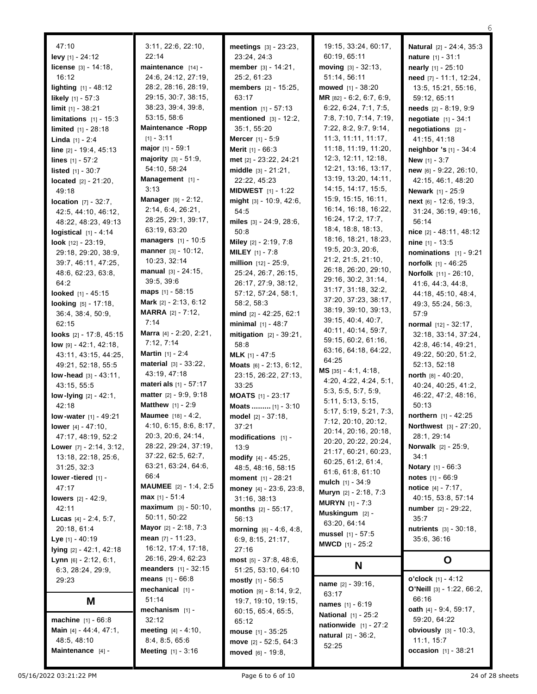47:10 **levy** [1] - 24:12 **license** [3] - 14:18, 16:12 **lighting** [1] - 48:12 **likely** [1] - 57:3 **limit** [1] - 38:21 **limitations** [1] - 15:3 **limited** [1] - 28:18 **Linda** [1] - 2:4 **line** [2] - 19:4, 45:13 **lines** [1] - 57:2 **listed** [1] - 30:7 **located** [2] - 21:20, 49:18 **location** [7] - 32:7, 42:5, 44:10, 46:12, 48:22, 48:23, 49:13 **logistical** [1] - 4:14 **look** [12] - 23:19, 29:18, 29:20, 38:9, 39:7, 46:11, 47:25, 48:6, 62:23, 63:8, 64:2 **looked** [1] - 45:15 **looking** [5] - 17:18, 36:4, 38:4, 50:9, 62:15 **looks** [2] - 17:8, 45:15 **low** [9] - 42:1, 42:18, 43:11, 43:15, 44:25, 49:21, 52:18, 55:5 **low -head** [3] - 43:11, 43:15, 55:5 **low -lying** [2] - 42:1, 42:18 **low -water** [1] - 49:21 **lower** [4] - 47:10, 47:17, 48:19, 52:2 **Lower** [7] - 2:14, 3:12, 13:18, 22:18, 25:6, 31:25, 32:3 **lower -tiered** [1] - 47:17 **lowers** [2] - 42:9, 42:11 **Lucas** [4] - 2:4, 5:7, 20:18, 61:4 **Lye** [1] - 40:19 **lying** [2] - 42:1, 42:18 **Lynn** [6] - 2:12, 6:1, 6:3, 28:24, 29:9, 29:23 **M machine** [1] - 66:8 **Main** [4] - 44:4, 47:1, 48:5, 48:10

3:11, 22:6, 22:10, 22:14 **maintenance** [14] - 24:6, 24:12, 27:19, 28:2, 28:16, 28:19, 29:15, 30:7, 38:15, 38:23, 39:4, 39:8, 53:15, 58:6 **Maintenance -Ropp**  $[1] - 3:11$ **major** [1] - 59:1 **majority** [3] - 51:9, 54:10, 58:24 **Management** [1] - 3:13 **Manager** [9] - 2:12, 2:14, 6:4, 26:21, 28:25, 29:1, 39:17, 63:19, 63:20 **managers** [1] - 10:5 **manner** [3] - 10:12, 10:23, 32:14 **manual** [3] - 24:15, 39:5, 39:6 **maps** [1] - 58:15 **Mark** [2] - 2:13, 6:12 **MARRA** [2] - 7:12, 7:14 **Marra** [4] - 2:20, 2:21, 7:12, 7:14 **Martin** [1] - 2:4 **material** [3] - 33:22, 43:19, 47:18 **materi als** [1] - 57:17 **matter** [2] - 9:9, 9:18 **Matthew** [1] - 2:9 **Maumee** [18] - 4:2, 4:10, 6:15, 8:6, 8:17, 20:3, 20:6, 24:14, 28:22, 29:24, 37:19, 37:22, 62:5, 62:7, 63:21, 63:24, 64:6, 66:4 **MAUMEE** [2] - 1:4, 2:5 **max** [1] - 51:4 **maximum** [3] - 50:10, 50:11, 50:22 **Mayor** [2] - 2:18, 7:3 **mean** [7] - 11:23, 16:12, 17:4, 17:18, 26:16, 29:4, 62:23 **meanders** [1] - 32:15 **means** [1] - 66:8 **mechanical** [1] - 51:14 **mechanism** [1] - 32:12 **meeting** [4] - 4:10, 8:4, 8:5, 65:6 **Meeting** [1] - 3:16

**meetings** [3] - 23:23, 23:24, 24:3 **member** [3] - 14:21, 25:2, 61:23 **members** [2] - 15:25, 63:17 **mention** [1] - 57:13 **mentioned** [3] - 12:2, 35:1, 55:20 **Mercer** [1] - 5:9 **Merit** [1] - 66:3 **met** [2] - 23:22, 24:21 **middle** [3] - 21:21, 22:22, 45:23 **MIDWEST** [1] - 1:22 **might** [3] - 10:9, 42:6, 54:5 **miles** [3] - 24:9, 28:6, 50:8 **Miley** [2] - 2:19, 7:8 **MILEY** [1] - 7:8 **million** [12] - 25:9, 25:24, 26:7, 26:15, 26:17, 27:9, 38:12, 57:12, 57:24, 58:1, 58:2, 58:3 **mind** [2] - 42:25, 62:1 **minimal** [1] - 48:7 **mitigation** [2] - 39:21, 58:8 **MLK** [1] - 47:5 **Moats** [6] - 2:13, 6:12, 23:15, 26:22, 27:13, 33:25 **MOATS** [1] - 23:17 **Moats .........** [1] - 3:10 **model** [2] - 37:18, 37:21 **modifications** [1] -  $13.9$ **modify** [4] - 45:25, 48:5, 48:16, 58:15 **moment** [1] - 28:21 **money** [4] - 23:6, 23:8, 31:16, 38:13 **months** [2] - 55:17, 56:13 **morning** [6] - 4:6, 4:8, 6:9, 8:15, 21:17, 27:16 **most** [5] - 37:8, 48:6, 51:25, 53:10, 64:10 **mostly** [1] - 56:5 **motion** [9] - 8:14, 9:2, 19:7, 19:10, 19:15, 60:15, 65:4, 65:5, 65:12 **mouse** [1] - 35:25 **move** [2] - 52:5, 64:3 **moved** [6] - 19:8,

19:15, 33:24, 60:17, 60:19, 65:11 **moving** [3] - 32:13, 51:14, 56:11 **mowed** [1] - 38:20 **MR** [82] - 6:2, 6:7, 6:9, 6:22, 6:24, 7:1, 7:5, 7:8, 7:10, 7:14, 7:19, 7:22, 8:2, 9:7, 9:14, 11:3, 11:11, 11:17, 11:18, 11:19, 11:20, 12:3, 12:11, 12:18, 12:21, 13:16, 13:17, 13:19, 13:20, 14:11, 14:15, 14:17, 15:5, 15:9, 15:15, 16:11, 16:14, 16:18, 16:22, 16:24, 17:2, 17:7, 18:4, 18:8, 18:13, 18:16, 18:21, 18:23, 19:5, 20:3, 20:6, 21:2, 21:5, 21:10, 26:18, 26:20, 29:10, 29:16, 30:2, 31:14, 31:17, 31:18, 32:2, 37:20, 37:23, 38:17, 38:19, 39:10, 39:13, 39:15, 40:4, 40:7, 40:11, 40:14, 59:7, 59:15, 60:2, 61:16, 63:16, 64:18, 64:22, 64:25 **MS** [35] - 4:1, 4:18, 4:20, 4:22, 4:24, 5:1, 5:3, 5:5, 5:7, 5:9, 5:11, 5:13, 5:15, 5:17, 5:19, 5:21, 7:3, 7:12, 20:10, 20:12, 20:14, 20:16, 20:18, 20:20, 20:22, 20:24, 21:17, 60:21, 60:23, 60:25, 61:2, 61:4, 61:6, 61:8, 61:10 **mulch** [1] - 34:9 **Muryn** [2] - 2:18, 7:3 **MURYN** [1] - 7:3 **Muskingum** [2] - 63:20, 64:14 **mussel** [1] - 57:5 **MWCD** [1] - 25:2 **N**

**name** [2] - 39:16, 63:17 **names** [1] - 6:19 **National** [1] - 25:2 **nationwide** [1] - 27:2 **natural** [2] - 36:2, 52:25

28:1, 29:14 **Norwalk** [2] - 25:9, 34:1 **Notary** [1] - 66:3 **notes** [1] - 66:9 **notice** [4] - 7:17, 40:15, 53:8, 57:14 **number** [2] - 29:22, 35:7 **nutrients** [3] - 30:18, 35:6, 36:16 **O**

**Maintenance** [4] -

6

**Natural** [2] - 24:4, 35:3 **nature** [1] - 31:1 **nearly** [1] - 25:10 **need** [7] - 11:1, 12:24, 13:5, 15:21, 55:16, 59:12, 65:11 **needs** [2] - 8:19, 9:9 **negotiate** [1] - 34:1 **negotiations** [2] - 41:15, 41:18 **neighbor 's** [1] - 34:4 **New** [1] - 3:7

**new** [6] - 9:22, 26:10, 42:15, 46:1, 48:20 **Newark** [1] - 25:9 **next** [6] - 12:6, 19:3, 31:24, 36:19, 49:16,

**nice** [2] - 48:11, 48:12 **nine** [1] - 13:5

**nominations** [1] - 9:21 **norfolk** [1] - 46:25 **Norfolk** [11] - 26:10, 41:6, 44:3, 44:8, 44:18, 45:10, 48:4, 49:3, 55:24, 56:3,

**normal** [12] - 32:17, 32:18, 33:14, 37:24, 42:8, 46:14, 49:21, 49:22, 50:20, 51:2, 52:13, 52:18 **north** [8] - 40:20, 40:24, 40:25, 41:2, 46:22, 47:2, 48:16,

**northern** [1] - 42:25 **Northwest** [3] - 27:20,

56:14

57:9

50:13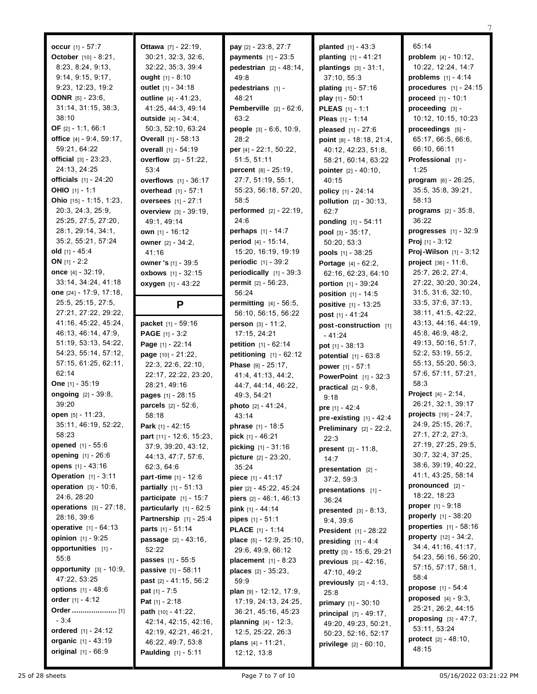| occur [1] - 57:7                           | Ottawa [7] - 22:19,            | pay [2] - 23:8, 27:7              | <b>planted</b> $[1] - 43:3$     |
|--------------------------------------------|--------------------------------|-----------------------------------|---------------------------------|
| <b>October</b> $[10] - 8:21$ ,             | 30:21, 32:3, 32:6,             | <b>payments</b> $[1] - 23:5$      | <b>planting</b> $[1] - 41:21$   |
| 8:23, 8:24, 9:13,                          | 32:22, 35:3, 39:4              | <b>pedestrian</b> $[2] - 48:14$ , | <b>plantings</b> $[3] - 31:1$ , |
| 9:14, 9:15, 9:17,                          | ought $[1] - 8:10$             | 49.8                              | 37:10, 55:3                     |
| 9:23, 12:23, 19:2                          | outlet $[1] - 34:18$           | pedestrians [1] -                 | <b>plating</b> $[1] - 57:16$    |
| <b>ODNR</b> $[5] - 23:6$ ,                 | <b>outline</b> $[4] - 41:23$ , | 48:21                             | <b>play</b> $[1] - 50:1$        |
| 31:14, 31:15, 38:3,                        | 41:25, 44:3, 49:14             | <b>Pemberville</b> $[2] - 62:6$   | <b>PLEAS</b> $[1] - 1:1$        |
| 38:10                                      | <b>outside</b> $[4] - 34:4,$   | 63:2                              | Pleas [1] - 1:14                |
| <b>OF</b> $[2] - 1.1, 66.1$                | 50:3, 52:10, 63:24             | <b>people</b> $[3] - 6.6, 10.9,$  | pleased $[1] - 27:6$            |
| office [4] - 9:4, 59:17,                   | Overall [1] - 58:13            | 28:2                              | point [8] - 18:18, 21:          |
| 59:21, 64:22                               | <b>overall</b> $[1] - 54:19$   | <b>per</b> $[4] - 22:1, 50:22,$   | 40:12, 42:23, 51:8,             |
| <b>official</b> $[3] - 23:23$ ,            | overflow [2] - 51:22,          | 51:5, 51:11                       | 58:21, 60:14, 63:22             |
| 24:13, 24:25                               | 53:4                           | <b>percent</b> $[8] - 25:19$ ,    | <b>pointer</b> $[2] - 40:10$ ,  |
| officials [1] - 24:20                      | <b>overflows</b> $[1] - 36:17$ | 27:7, 51:19, 55:1,                | 40:15                           |
| OHIO $[1] - 1:1$                           | overhead $[1] - 57:1$          | 55:23, 56:18, 57:20,              | <b>policy</b> $[1] - 24:14$     |
| Ohio [15] - 1:15, 1:23,                    | <b>oversees</b> [1] - 27:1     | 58:5                              | pollution [2] - 30:13,          |
| 20:3, 24:3, 25:9,                          | <b>overview</b> [3] - 39:19,   | <b>performed</b> $[2] - 22:19$ ,  | 62:7                            |
| 25:25, 27:5, 27:20,                        | 49:1, 49:14                    | 24:6                              | <b>ponding</b> $[1] - 54:11$    |
| 28:1, 29:14, 34:1,                         | own [1] - 16:12                | perhaps [1] - 14:7                | <b>pool</b> $[3] - 35:17$ ,     |
| 35:2, 55:21, 57:24                         | owner [2] - 34:2,              | period $[4] - 15:14$ ,            | 50:20, 53:3                     |
| old $[1] - 45:4$                           | 41:16                          | 15:20, 16:19, 19:19               |                                 |
| ON $[1] - 2:2$                             | owner 's [1] - 39:5            | <b>periodic</b> $[1] - 39:2$      | pools $[1] - 38:25$             |
| once $[4] - 32:19$ ,                       |                                | periodically $[1] - 39:3$         | Portage [4] - 62:2,             |
| 33:14, 34:24, 41:18                        | <b>oxbows</b> [1] - 32:15      | permit [2] - 56:23,               | 62:16, 62:23, 64:10             |
| one [24] - 17:9, 17:18,                    | oxygen [1] - 43:22             | 56:24                             | portion [1] - 39:24             |
|                                            |                                |                                   | position [1] - 14:5             |
| 25:5, 25:15, 27:5,<br>27:21, 27:22, 29:22, | P                              | <b>permitting</b> $[4] - 56:5$ ,  | positive [1] - 13:25            |
|                                            |                                | 56:10, 56:15, 56:22               | post [1] - 41:24                |
| 41:16, 45:22, 45:24,                       | packet [1] - 59:16             | person [3] - 11:2,                | post-construction               |
| 46:13, 46:14, 47:9,                        | <b>PAGE</b> $[1] - 3:2$        | 17:15, 24:21                      | - 41:24                         |
| 51:19, 53:13, 54:22,                       | Page [1] - 22:14               | <b>petition</b> $[1] - 62:14$     | <b>pot</b> $[1] - 38:13$        |
| 54:23, 55:14, 57:12,                       | page [10] - 21:22,             | petitioning $[1] - 62:12$         | <b>potential</b> $[1] - 63:8$   |
| 57:15, 61:25, 62:11,                       | 22:3, 22:6, 22:10,             | <b>Phase</b> $[9] - 25:17$ ,      | power [1] - 57:1                |
| 62:14                                      | 22:17, 22:22, 23:20,           | 41.4, 41.13, 44.2,                | <b>PowerPoint</b> $[1] - 32$ :  |
| One [1] - 35:19                            | 28:21, 49:16                   | 44 7, 44 14, 46 22,               | practical $[2] - 9.8$ ,         |
| <b>ongoing</b> $[2] - 39:8$ ,              | <b>pages</b> $[1] - 28:15$     | 49 3, 54 21                       | 9:18                            |
| 39:20                                      | parcels [2] - 52:6,            | <b>photo</b> $[2] - 41:24$ ,      | <b>pre</b> $[1] - 42:4$         |
| open [5] - 11:23,                          | 58:18                          | 43:14                             | pre-existing [1] - 42:          |
| 35:11, 46:19, 52:22,                       | <b>Park</b> [1] - 42:15        | <b>phrase</b> [1] - 18:5          | Preliminary [2] - 22:           |
| 58:23                                      | part [11] - 12:6, 15:23,       | <b>pick</b> $[1] - 46:21$         | 22:3                            |
| opened [1] - 55:6                          | 37:9, 39:20, 43:12,            | picking [1] - 31:16               | <b>present</b> $[2] - 11:8$     |
| opening [1] - 26:6                         | 44:13, 47:7, 57:6,             | picture [2] - 23:20,              | 14:7                            |
| opens $[1] - 43:16$                        | 62:3, 64:6                     | 35:24                             | <b>presentation</b> $[2]$ -     |
| <b>Operation</b> $[1] - 3:11$              | <b>part-time</b> $[1] - 12:6$  | piece [1] - 41:17                 | 37:2, 59:3                      |
| <b>operation</b> $[3] - 10:6$ ,            | <b>partially</b> $[1] - 51:13$ | pier [2] - 45:22, 45:24           | presentations [1] -             |
| 24:6, 28:20                                | participate $[1] - 15:7$       | piers $[2] - 46:1, 46:13$         | 36:24                           |
| operations [3] - 27:18,                    | particularly $[1] - 62:5$      | pink [1] - 44:14                  | presented $[3] - 8:13$ ,        |
| 28:16, 39:6                                | Partnership [1] - 25:4         | pipes [1] - 51:1                  | 9.4, 39.6                       |
| <b>operative</b> $[1] - 64.13$             | parts [1] - 51:14              | <b>PLACE</b> [1] - 1:14           | President [1] - 28:22           |
| opinion [1] - 9:25                         | <b>passage</b> $[2] - 43:16$ , | place [5] - 12:9, 25:10,          | presiding $[1] - 4.4$           |
| opportunities [1] -                        | 52:22                          | 29:6, 49:9, 66:12                 | pretty [3] - 15:6, 29:2         |
| 55:8                                       | <b>passes</b> $[1] - 55:5$     | <b>placement</b> $[1] - 8:23$     | previous [3] - 42:16,           |
| opportunity $[3] - 10:9$ ,                 | passive [1] - 58:11            | <b>places</b> $[2] - 35:23$ ,     |                                 |
| 47:22, 53:25                               | past [2] - 41:15, 56:2         | 59.9                              | 47:10, 49:2                     |
| <b>options</b> $[1] - 48.6$                | <b>pat</b> $[1] - 7:5$         | plan [9] - 12:12, 17:9,           | previously $[2] - 4:13$         |
| order $[1] - 4:12$                         | Pat $[1] - 2:18$               | 17:19, 24:13, 24:25,              | 25:8                            |
| Order  [1]                                 | <b>path</b> $[10] - 41:22$ ,   | 36:21, 45:16, 45:23               | <b>primary</b> $[1] - 30:10$    |
| $-3:4$                                     | 42:14, 42:15, 42:16,           | <b>planning</b> $[4] - 12:3$ ,    | principal [7] - 49:17,          |
| ordered [1] - 24:12                        |                                |                                   | 49:20, 49:23, 50:27             |
| organic [1] - 43:19                        | 42:19, 42:21, 46:21,           | 12:5, 25:22, 26:3                 | 50:23, 52:16, 52:17             |
|                                            | 46:22, 49:7, 53:8              | plans $[4] - 11:21$ ,             | privilege [2] - 60:10,          |

**Paulding** [1] - 5:11

**ed** [1] - 43:3 **planting** [1] - 41:21 **plantings** [3] - 31:1, **plating** [1] - 57:16 **S** [1] - 1:1 **Pleas** [1] - 1:14 **pleased** [1] - 27:6 **point** [8] - 18:18, 21:4, 40:12, 42:23, 51:8, 58:21, 60:14, 63:22 **pointer** [2] - 40:10, **policy** [1] - 24:14  $\frac{1}{2}$  - 30:13, **ponding** [1] - 54:11 **pool** [3] - 35:17, **pools** [1] - 38:25 **Portage** [4] - 62:2, 62:16, 62:23, 64:10 **portion** [1] - 39:24 **position** [1] - 14:5 **positive** [1] - 13:25 **post** [1] - 41:24 **post -construction** [1] **pot** [1] - 38:13 **potential** [1] - 63:8 **power** [1] - 57:1 **Point** [1] - 32:3 **practical** [2] - 9:8, **pre-existing** [1] - 42:4 **Preliminary** [2] - 22:2, **present** [2] - 11:8, **ntation**  $[2]$  **ntations** [1] **pred** [3] - 8:13, **President** [1] - 28:22 **ding** [1] - 4:4 **pretty** [3] - 15:6, 29:21 **previous** [3] - 42:16, **previously** [2] - 4:13, **primary** [1] - 30:10 **pal** [7] - 49:17, 49:20, 49:23, 50:21, 50:23, 52:16, 52:17 65:14 **problem** [4] - 10:12, 10:22, 12:24, 14:7 **problems** [1] - 4:14 **procedures** [1] - 24:15 **proceed** [1] - 10:1 **proceeding** [3] - 10:12, 10:15, 10:23 **proceedings** [5] - 65:17, 66:5, 66:6, 66:10, 66:11 **Professional** [1] - 1:25 **program** [6] - 26:25, 35:5, 35:8, 39:21, 58:13 **programs** [2] - 35:8, 36:22 **progresses** [1] - 32:9 **Proj** [1] - 3:12 **Proj-Wilson** [1] - 3:12 **project** [36] - 11:6, 25:7, 26:2, 27:4, 27:22, 30:20, 30:24, 31:5, 31:6, 32:10, 33:5, 37:6, 37:13, 38:11, 41:5, 42:22, 43:13, 44:16, 44:19, 45:8, 46:9, 48:2, 49:13, 50:16, 51:7, 52:2, 53:19, 55:2, 55:13, 55:20, 56:3, 57:6, 57:11, 57:21, 58:3 **Project** [4] - 2:14, 26:21, 32:1, 39:17 **projects** [19] - 24:7, 24:9, 25:15, 26:7, 27:1, 27:2, 27:3, 27:19, 27:25, 29:5, 30:7, 32:4, 37:25, 38:6, 39:19, 40:22, 41:1, 43:25, 58:14 **pronounced** [2] - 18:22, 18:23 **proper** [1] - 9:18 **properly** [1] - 38:20 **properties** [1] - 58:16 **property** [12] - 34:2, 34:4, 41:16, 41:17, 54:23, 56:16, 56:20, 57:15, 57:17, 58:1, 58:4 **propose** [1] - 54:4 **proposed** [4] - 9:3, 25:21, 26:2, 44:15 **proposing** [3] - 47:7, 53:11, 53:24 **protect** [2] - 48:10,

7

**original** [1] - 66:9

12:12, 13:8

25 of 28 sheets **Page 7 to 7 of 10 Page 7 to 7 of 10 Details 105/16/2022 03:21:22 PM** 

48:15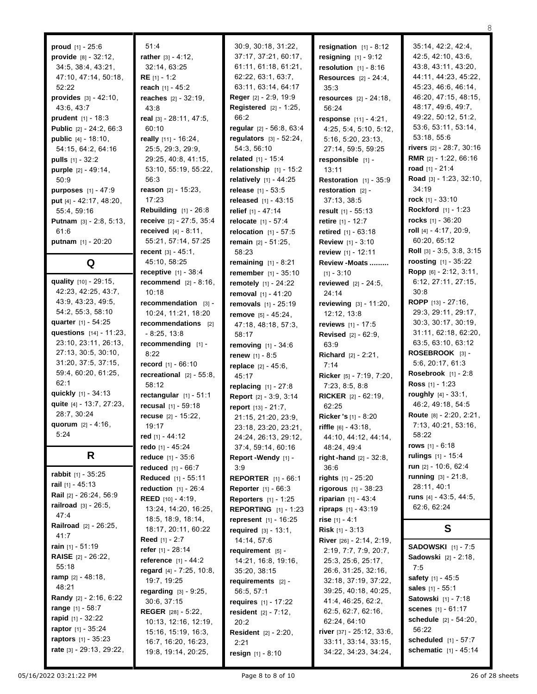47:4

41:7

55:18

48:21

**proud** [1] - 25:6 **provide** [8] - 32:12, 34:5, 38:4, 43:21, 47:10, 47:14, 50:18, 52:22 **provides** [3] - 42:10, 43:6, 43:7 **prudent** [1] - 18:3 **Public** [2] - 24:2, 66:3 **public** [4] - 18:10, 54:15, 64:2, 64:16 **pulls** [1] - 32:2 **purple** [2] - 49:14, 50:9 **purposes** [1] - 47:9 **put** [4] - 42:17, 48:20, 55:4, 59:16 **Putnam** [3] - 2:8, 5:13, 61:6 **putnam** [1] - 20:20 **Q**

**quality** [10] - 29:15, 42:23, 42:25, 43:7, 43:9, 43:23, 49:5, 54:2, 55:3, 58:10 **quarter** [1] - 54:25 **questions** [14] - 11:23, 23:10, 23:11, 26:13, 27:13, 30:5, 30:10, 31:20, 37:5, 37:15, 59:4, 60:20, 61:25,  $62.1$ **quickly** [1] - 34:13 **quite** [4] - 13:7, 27:23, 28:7, 30:24 **quorum** [2] - 4:16, 5:24

## **R**

**rabbit** [1] - 35:25 **rail** [1] - 45:13 **Rail** [2] - 26:24, 56:9 **railroad** [3] - 26:5, **Railroad** [2] - 26:25, **rain** [1] - 51:19 **RAISE** [2] - 26:22, **ramp** [2] - 48:18, **Randy** [2] - 2:16, 6:22 **range** [1] - 58:7 **rapid** [1] - 32:22 **raptor** [1] - 35:24 **raptors** [1] - 35:23 **rate** [3] - 29:13, 29:22,

51:4 **rather** [3] - 4:12, 32:14, 63:25 **RE** [1] - 1:2 **reach** [1] - 45:2 **reaches** [2] - 32:19, 43:8 **real** [3] - 28:11, 47:5, 60:10 **really** [11] - 16:24, 25:5, 29:3, 29:9, 29:25, 40:8, 41:15, 53:10, 55:19, 55:22, 56:3 **reason** [2] - 15:23, 17:23 **Rebuilding** [1] - 26:8 **receive** [2] - 27:5, 35:4 **received** [4] - 8:11, 55:21, 57:14, 57:25 **recent** [3] - 45:1, 45:10, 58:25 **receptive** [1] - 38:4 **recommend** [2] - 8:16, 10:18 **recommendation** [3] - 10:24, 11:21, 18:20 **recommendations** [2] - 8:25, 13:8 **recommending** [1] - 8:22 **record** [1] - 66:10 **recreational** [2] - 55:8, 58:12 **rectangular** [1] - 51:1 **recusal** [1] - 59:18 **recuse** [2] - 15:22, 19:17 **red** [1] - 44:12 **redo** [1] - 45:24 **reduce** [1] - 35:6 **reduced** [1] - 66:7 **Reduced** [1] - 55:11 **reduction** [1] - 26:4 **REED** [10] - 4:19, 13:24, 14:20, 16:25, 18:5, 18:9, 18:14, 18:17, 20:11, 60:22 **Reed** [1] - 2:7 **refer** [1] - 28:14 **reference** [1] - 44:2 **regard** [4] - 7:25, 10:8, 19:7, 19:25 **regarding** [3] - 9:25, 30:6, 37:15 **REGER** [28] - 5:22, 10:13, 12:16, 12:19, 15:16, 15:19, 16:3, 16:7, 16:20, 16:23, 19:8, 19:14, 20:25,

30:9, 30:18, 31:22, 37:17, 37:21, 60:17, 61:11, 61:18, 61:21, 62:22, 63:1, 63:7, 63:11, 63:14, 64:17 **Reger** [2] - 2:9, 19:9 **Registered** [2] - 1:25, 66:2 **regular** [2] - 56:8, 63:4 **regulators** [3] - 52:24, 54:3, 56:10 **related** [1] - 15:4 **relationship** [1] - 15:2 **relatively** [1] - 44:25 **release** [1] - 53:5 **released** [1] - 43:15 **relief** [1] - 47:14 **relocate** [1] - 57:4 **relocation** [1] - 57:5 **remain** [2] - 51:25, 58:23 **remaining** [1] - 8:21 **remember** [1] - 35:10 **remotely** [1] - 24:22 **removal** [1] - 41:20 **removals** [1] - 25:19 **remove** [5] - 45:24, 47:18, 48:18, 57:3, 58:17 **removing** [1] - 34:6 **renew** [1] - 8:5 **replace** [2] - 45:6, 45:17 **replacing** [1] - 27:8 **Report** [2] - 3:9, 3:14 **report** [13] - 21:7, 21:15, 21:20, 23:9, 23:18, 23:20, 23:21, 24:24, 26:13, 29:12, 37:4, 59:14, 60:16 **Report -Wendy** [1] - 3:9 **REPORTER** [1] - 66:1 **Reporter** [1] - 66:3 **Reporters** [1] - 1:25 **REPORTING** [1] - 1:23 **represent** [1] - 16:25 **required** [3] - 13:1, 14:14, 57:6 **requirement** [5] - 14:21, 16:8, 19:16, 35:20, 38:15 **requirements** [2] - 56:5, 57:1 **requires** [1] - 17:22 **resident** [2] - 7:12, 20:2 **Resident** [2] - 2:20, 2:21 **resign** [1] - 8:10

**resignation** [1] - 8:12 **resigning** [1] - 9:12 **resolution** [1] - 8:16 **Resources** [2] - 24:4, 35:3 **resources** [2] - 24:18, 56:24 **response** [11] - 4:21, 4:25, 5:4, 5:10, 5:12, 5:16, 5:20, 23:13, 27:14, 59:5, 59:25 **responsible** [1] - 13:11 **Restoration** [1] - 35:9 **restoration** [2] - 37:13, 38:5 **result** [1] - 55:13 **retire** [1] - 12:7 **retired** [1] - 63:18 **Review** [1] - 3:10 **review** [1] - 12:11 **Review -Moats .........**  $[1] - 3:10$ **reviewed** [2] - 24:5, 24:14 **reviewing** [3] - 11:20, 12:12, 13:8 **reviews** [1] - 17:5 **Revised** [2] - 62:9, 63:9 **Richard** [2] - 2:21, 7:14 **Ricker** [5] - 7:19, 7:20, 7:23, 8:5, 8:8 **RICKER** [2] - 62:19, 62:25 **Ricker 's** [1] - 8:20 **riffle** [6] - 43:18, 44:10, 44:12, 44:14, 48:24, 49:4 **right -hand** [2] - 32:8, 36:6 **rights** [1] - 25:20 **rigorous** [1] - 38:23 **riparian** [1] - 43:4 **ripraps** [1] - 43:19 **rise** [1] - 4:1 **Risk** [1] - 3:13 **River** [26] - 2:14, 2:19, 2:19, 7:7, 7:9, 20:7, 25:3, 25:6, 25:17, 26:6, 31:25, 32:16, 32:18, 37:19, 37:22, 39:25, 40:18, 40:25, 41:4, 46:25, 62:2, 62:5, 62:7, 62:16, 62:24, 64:10 **river** [37] - 25:12, 33:6, 33:11, 33:14, 33:15, 34:22, 34:23, 34:24,

35:14, 42:2, 42:4, 42:5, 42:10, 43:6, 43:8, 43:11, 43:20, 44:11, 44:23, 45:22, 45:23, 46:6, 46:14, 46:20, 47:15, 48:15, 48:17, 49:6, 49:7, 49:22, 50:12, 51:2, 53:6, 53:11, 53:14, 53:18, 55:6 **rivers** [2] - 28:7, 30:16 **RMR** [2] - 1:22, 66:16 **road** [1] - 21:4 **Road** [3] - 1:23, 32:10, 34:19 **rock** [1] - 33:10 **Rockford** [1] - 1:23 **rocks** [1] - 36:20 **roll** [4] - 4:17, 20:9, 60:20, 65:12 **Roll** [3] - 3:5, 3:8, 3:15 **roosting** [1] - 35:22 **Ropp** [6] - 2:12, 3:11, 6:12, 27:11, 27:15, 30:8 **ROPP** [13] - 27:16, 29:3, 29:11, 29:17, 30:3, 30:17, 30:19, 31:11, 62:18, 62:20, 63:5, 63:10, 63:12 **ROSEBROOK** [3] - 5:6, 20:17, 61:3 **Rosebrook** [1] - 2:8 **Ross** [1] - 1:23 **roughly** [4] - 33:1, 46:2, 49:18, 54:5 **Route** [8] - 2:20, 2:21, 7:13, 40:21, 53:16, 58:22 **rows** [1] - 6:18 **rulings** [1] - 15:4 **run** [2] - 10:6, 62:4 **running** [3] - 21:8, 28:11, 40:1 **runs** [4] - 43:5, 44:5, 62:6, 62:24

## **S**

**SADOWSKI** [1] - 7:5 **Sadowski** [2] - 2:18, 7:5 **safety** [1] - 45:5 **sales** [1] - 55:1 **Satowski** [1] - 7:18 **scenes** [1] - 61:17 **schedule** [2] - 54:20, 56:22 **scheduled** [1] - 57:7 **schematic** [1] - 45:14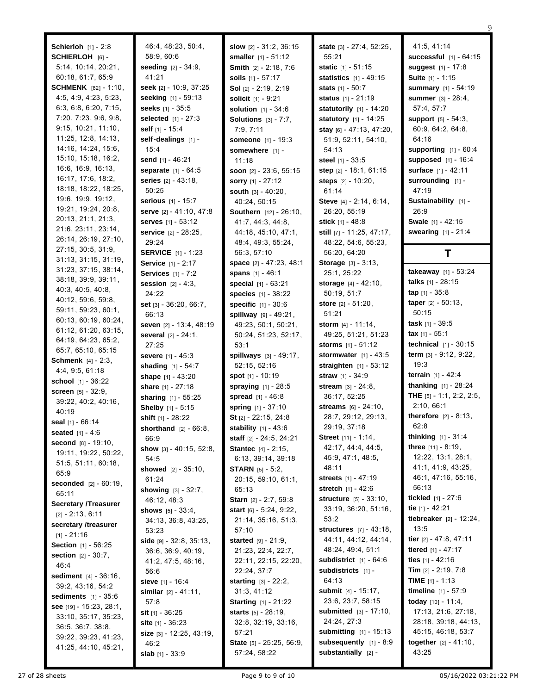**Schierloh** [1] - 2:8 **SCHIERLOH** [6] - 5:14, 10:14, 20:21, 60:18, 61:7, 65:9 **SCHMENK** [82] - 1:10, 4:5, 4:9, 4:23, 5:23, 6:3, 6:8, 6:20, 7:15, 7:20, 7:23, 9:6, 9:8, 9:15, 10:21, 11:10, 11:25, 12:8, 14:13, 14:16, 14:24, 15:6, 15:10, 15:18, 16:2, 16:6, 16:9, 16:13, 16:17, 17:6, 18:2, 18:18, 18:22, 18:25, 19:6, 19:9, 19:12, 19:21, 19:24, 20:8, 20:13, 21:1, 21:3, 21:6, 23:11, 23:14, 26:14, 26:19, 27:10, 27:15, 30:5, 31:9, 31:13, 31:15, 31:19, 31:23, 37:15, 38:14, 38:18, 39:9, 39:11, 40:3, 40:5, 40:8, 40:12, 59:6, 59:8, 59:11, 59:23, 60:1, 60:13, 60:19, 60:24, 61:12, 61:20, 63:15, 64:19, 64:23, 65:2, 65:7, 65:10, 65:15 **Schmenk** [4] - 2:3, 4:4, 9:5, 61:18 **school** [1] - 36:22 **screen** [5] - 32:9, 39:22, 40:2, 40:16, 40:19 **seal** [1] - 66:14 **seated** [1] - 4:6 **second** [8] - 19:10, 19:11, 19:22, 50:22, 51:5, 51:11, 60:18, 65:9 **seconded** [2] - 60:19, 65:11 **Secretary /Treasurer** [2] - 2:13, 6:11 **secretary /treasurer**  $[1] - 21:16$ **Section** [1] - 56:25 **section** [2] - 30:7, 46:4 **sediment** [4] - 36:16, 39:2, 43:16, 54:2 **sediments** [1] - 35:6 **see** [19] - 15:23, 28:1, 33:10, 35:17, 35:23, 36:5, 36:7, 38:8, 39:22, 39:23, 41:23, 41:25, 44:10, 45:21,

46:4, 48:23, 50:4, 58:9, 60:6 **seeding** [2] - 34:9, 41:21 **seek** [2] - 10:9, 37:25 **seeking** [1] - 59:13 **seeks** [1] - 35:5 **selected** [1] - 27:3 **self** [1] - 15:4 **self-dealings** [1] - 15:4 **send** [1] - 46:21 **separate** [1] - 64:5 **series** [2] - 43:18, 50:25 **serious** [1] - 15:7 **serve** [2] - 41:10, 47:8 **serves** [1] - 53:12 **service** [2] - 28:25, 29:24 **SERVICE** [1] - 1:23 **Service** [1] - 2:17 **Services** [1] - 7:2 **session** [2] - 4:3, 24:22 **set** [3] - 36:20, 66:7, 66:13 **seven** [2] - 13:4, 48:19 **several** [2] - 24:1, 27:25 **severe** [1] - 45:3 **shading** [1] - 54:7 **shape** [1] - 43:20 **share** [1] - 27:18 **sharing** [1] - 55:25 **Shelby** [1] - 5:15 **shift** [1] - 28:22 **shorthand** [2] - 66:8, 66:9 **show** [3] - 40:15, 52:8, 54:5 **showed** [2] - 35:10, 61:24 **showing** [3] - 32:7, 46:12, 48:3 **shows** [5] - 33:4, 34:13, 36:8, 43:25, 53:23 **side** [9] - 32:8, 35:13, 36:6, 36:9, 40:19, 41:2, 47:5, 48:16, 56:6 **sieve** [1] - 16:4 **similar** [2] - 41:11, 57:8 **sit** [1] - 36:25 **site** [1] - 36:23 **size** [3] - 12:25, 43:19, 46:2 **slab** [1] - 33:9

**slow** [2] - 31:2, 36:15 **smaller** [1] - 51:12 **Smith** [2] - 2:18, 7:6 **soils** [1] - 57:17 **Sol** [2] - 2:19, 2:19 **solicit** [1] - 9:21 **solution** [1] - 34:6 **Solutions** [3] - 7:7, 7:9, 7:11 **someone** [1] - 19:3 **somewhere** [1] - 11:18 **soon** [2] - 23:6, 55:15 **sorry** [1] - 27:12 **south** [3] - 40:20, 40:24, 50:15 **Southern** [12] - 26:10, 41:7, 44:3, 44:8, 44:18, 45:10, 47:1, 48:4, 49:3, 55:24, 56:3, 57:10 **space** [2] - 47:23, 48:1 **spans** [1] - 46:1 **special** [1] - 63:21 **species** [1] - 38:22 **specific** [1] - 30:6 **spillway** [9] - 49:21, 49:23, 50:1, 50:21, 50:24, 51:23, 52:17, 53:1 **spillways** [3] - 49:17, 52:15, 52:16 **spot** [1] - 10:19 **spraying** [1] - 28:5 **spread** [1] - 46:8 **spring** [1] - 37:10 **St** [2] - 22:15, 24:8 **stability** [1] - 43:6 **staff** [2] - 24:5, 24:21 **Stantec** [4] - 2:15, 6:13, 39:14, 39:18 **STARN** [5] - 5:2, 20:15, 59:10, 61:1, 65:13 **Starn** [2] - 2:7, 59:8 **start** [6] - 5:24, 9:22, 21:14, 35:16, 51:3, 57:10 **started** [9] - 21:9, 21:23, 22:4, 22:7, 22:11, 22:15, 22:20, 22:24, 37:7 **starting** [3] - 22:2, 31:3, 41:12 **Starting** [1] - 21:22 **starts** [5] - 28:19, 32:8, 32:19, 33:16, 57:21 **State** [5] - 25:25, 56:9, 57:24, 58:22

**state** [3] - 27:4, 52:25, 55:21 **static** [1] - 51:15 **statistics** [1] - 49:15 **stats** [1] - 50:7 **status** [1] - 21:19 **statutorily** [1] - 14:20 **statutory** [1] - 14:25 **stay** [6] - 47:13, 47:20, 51:9, 52:11, 54:10, 54:13 **steel** [1] - 33:5 **step** [2] - 18:1, 61:15 **steps** [2] - 10:20, 61:14 **Steve** [4] - 2:14, 6:14, 26:20, 55:19 **stick** [1] - 48:8 **still** [7] - 11:25, 47:17, 48:22, 54:6, 55:23, 56:20, 64:20 **Storage** [3] - 3:13, 25:1, 25:22 **storage** [4] - 42:10, 50:19, 51:7 **store** [2] - 51:20, 51:21 **storm** [4] - 11:14, 49:25, 51:21, 51:23 **storms** [1] - 51:12 **stormwater** [1] - 43:5 **straighten** [1] - 53:12 **straw** [1] - 34:9 **stream** [3] - 24:8, 36:17, 52:25 **streams** [6] - 24:10, 28:7, 29:12, 29:13, 29:19, 37:18 **Street** [11] - 1:14, 42:17, 44:4, 44:5, 45:9, 47:1, 48:5, 48:11 **streets** [1] - 47:19 **stretch** [1] - 42:6 **structure** [5] - 33:10, 33:19, 36:20, 51:16, 53:2 **structures** [7] - 43:18, 44:11, 44:12, 44:14, 48:24, 49:4, 51:1 **subdistrict** [1] - 64:6 **subdistricts** [1] - 64:13 **submit** [4] - 15:17, 23:6, 23:7, 58:15 **submitted** [3] - 17:10, 24:24, 27:3 **submitting** [1] - 15:13 **subsequently** [1] - 8:9 **substantially** [2] -

41:5, 41:14 **successful** [1] - 64:15 **suggest** [1] - 17:8 **Suite** [1] - 1:15 **summary** [1] - 54:19 **summer** [3] - 28:4, 57:4, 57:7 **support** [5] - 54:3, 60:9, 64:2, 64:8, 64:16 **supporting** [1] - 60:4 **supposed** [1] - 16:4 **surface** [1] - 42:11 **surrounding** [1] -  $47.19$ **Sustainability** [1] - 26:9 **Swale** [1] - 42:15 **swearing** [1] - 21:4

9

## **T**

**takeaway** [1] - 53:24 **talks** [1] - 28:15 **tap** [1] - 35:8 **taper** [2] - 50:13, 50:15 **task** [1] - 39:5 **tax** [1] - 55:1 **technical** [1] - 30:15 **term** [3] - 9:12, 9:22, 19:3 **terrain** [1] - 42:4 **thanking** [1] - 28:24 **THE** [5] - 1:1, 2:2, 2:5, 2:10, 66:1 **therefore** [2] - 8:13, 62:8 **thinking** [1] - 31:4 **three** [11] - 8:19, 12:22, 13:1, 28:1, 41:1, 41:9, 43:25, 46:1, 47:16, 55:16, 56:13 **tickled** [1] - 27:6 **tie** [1] - 42:21 **tiebreaker** [2] - 12:24, 13:5 **tier** [2] - 47:8, 47:11 **tiered** [1] - 47:17 **ties** [1] - 42:16 **Tim** [2] - 2:19, 7:8 **TIME** [1] - 1:13 **timeline** [1] - 57:9 **today** [10] - 11:4, 17:13, 21:6, 27:18, 28:18, 39:18, 44:13, 45:15, 46:18, 53:7 **together** [2] - 41:10, 43:25